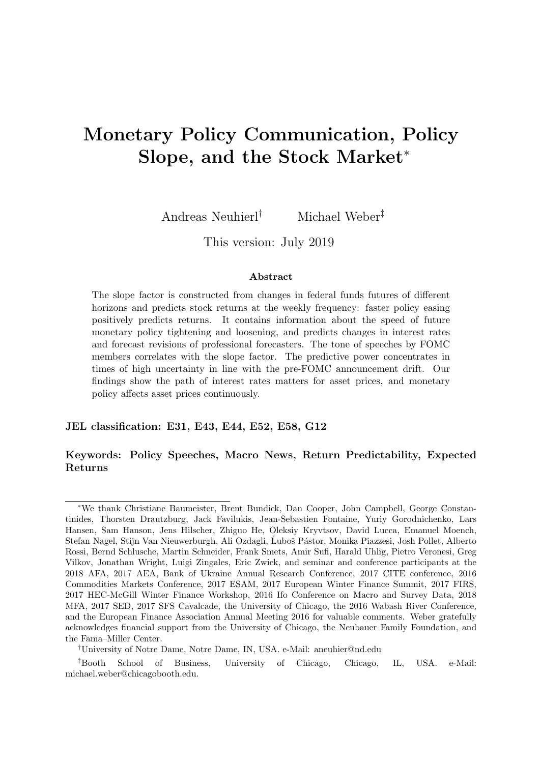# <span id="page-0-0"></span>Monetary Policy Communication, Policy Slope, and the Stock Market<sup>∗</sup>

Andreas Neuhierl† Michael Weber‡

This version: July 2019

#### Abstract

The slope factor is constructed from changes in federal funds futures of different horizons and predicts stock returns at the weekly frequency: faster policy easing positively predicts returns. It contains information about the speed of future monetary policy tightening and loosening, and predicts changes in interest rates and forecast revisions of professional forecasters. The tone of speeches by FOMC members correlates with the slope factor. The predictive power concentrates in times of high uncertainty in line with the pre-FOMC announcement drift. Our findings show the path of interest rates matters for asset prices, and monetary policy affects asset prices continuously.

#### JEL classification: E31, E43, E44, E52, E58, G12

### Keywords: Policy Speeches, Macro News, Return Predictability, Expected Returns

<sup>∗</sup>We thank Christiane Baumeister, Brent Bundick, Dan Cooper, John Campbell, George Constantinides, Thorsten Drautzburg, Jack Favilukis, Jean-Sebastien Fontaine, Yuriy Gorodnichenko, Lars Hansen, Sam Hanson, Jens Hilscher, Zhiguo He, Oleksiy Kryvtsov, David Lucca, Emanuel Moench, Stefan Nagel, Stijn Van Nieuwerburgh, Ali Ozdagli, Luboš Pástor, Monika Piazzesi, Josh Pollet, Alberto Rossi, Bernd Schlusche, Martin Schneider, Frank Smets, Amir Sufi, Harald Uhlig, Pietro Veronesi, Greg Vilkov, Jonathan Wright, Luigi Zingales, Eric Zwick, and seminar and conference participants at the 2018 AFA, 2017 AEA, Bank of Ukraine Annual Research Conference, 2017 CITE conference, 2016 Commodities Markets Conference, 2017 ESAM, 2017 European Winter Finance Summit, 2017 FIRS, 2017 HEC-McGill Winter Finance Workshop, 2016 Ifo Conference on Macro and Survey Data, 2018 MFA, 2017 SED, 2017 SFS Cavalcade, the University of Chicago, the 2016 Wabash River Conference, and the European Finance Association Annual Meeting 2016 for valuable comments. Weber gratefully acknowledges financial support from the University of Chicago, the Neubauer Family Foundation, and the Fama–Miller Center.

<sup>†</sup>University of Notre Dame, Notre Dame, IN, USA. e-Mail: aneuhier@nd.edu

<sup>‡</sup>Booth School of Business, University of Chicago, Chicago, IL, USA. e-Mail: michael.weber@chicagobooth.edu.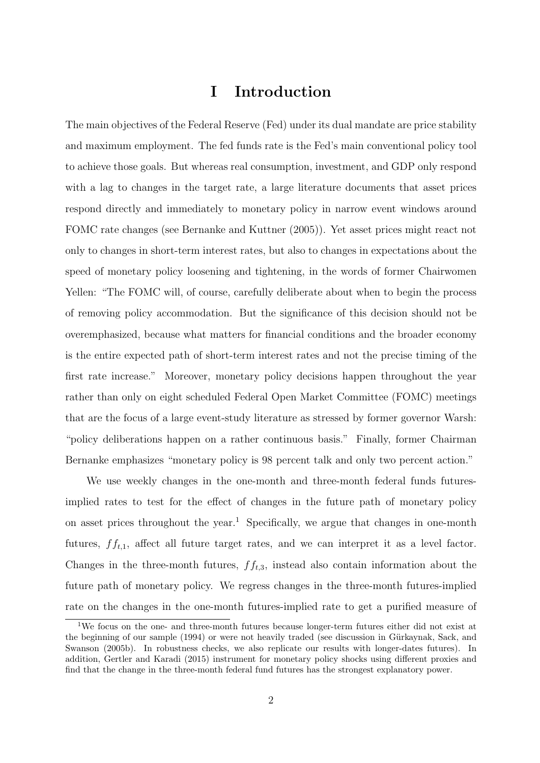# I Introduction

The main objectives of the Federal Reserve (Fed) under its dual mandate are price stability and maximum employment. The fed funds rate is the Fed's main conventional policy tool to achieve those goals. But whereas real consumption, investment, and GDP only respond with a lag to changes in the target rate, a large literature documents that asset prices respond directly and immediately to monetary policy in narrow event windows around FOMC rate changes (see [Bernanke and Kuttner](#page-27-0) [\(2005\)](#page-27-0)). Yet asset prices might react not only to changes in short-term interest rates, but also to changes in expectations about the speed of monetary policy loosening and tightening, in the words of former Chairwomen Yellen: "The FOMC will, of course, carefully deliberate about when to begin the process of removing policy accommodation. But the significance of this decision should not be overemphasized, because what matters for financial conditions and the broader economy is the entire expected path of short-term interest rates and not the precise timing of the first rate increase." Moreover, monetary policy decisions happen throughout the year rather than only on eight scheduled Federal Open Market Committee (FOMC) meetings that are the focus of a large event-study literature as stressed by former governor Warsh: "policy deliberations happen on a rather continuous basis." Finally, former Chairman Bernanke emphasizes "monetary policy is 98 percent talk and only two percent action."

We use weekly changes in the one-month and three-month federal funds futuresimplied rates to test for the effect of changes in the future path of monetary policy on asset prices throughout the year.<sup>[1](#page-0-0)</sup> Specifically, we argue that changes in one-month futures,  $ff_{t,1}$ , affect all future target rates, and we can interpret it as a level factor. Changes in the three-month futures,  $f_{t,3}$ , instead also contain information about the future path of monetary policy. We regress changes in the three-month futures-implied rate on the changes in the one-month futures-implied rate to get a purified measure of

<sup>1</sup>We focus on the one- and three-month futures because longer-term futures either did not exist at the beginning of our sample (1994) or were not heavily traded (see discussion in Gürkaynak, Sack, and [Swanson](#page-28-0) [\(2005b\)](#page-28-0). In robustness checks, we also replicate our results with longer-dates futures). In addition, [Gertler and Karadi](#page-28-1) [\(2015\)](#page-28-1) instrument for monetary policy shocks using different proxies and find that the change in the three-month federal fund futures has the strongest explanatory power.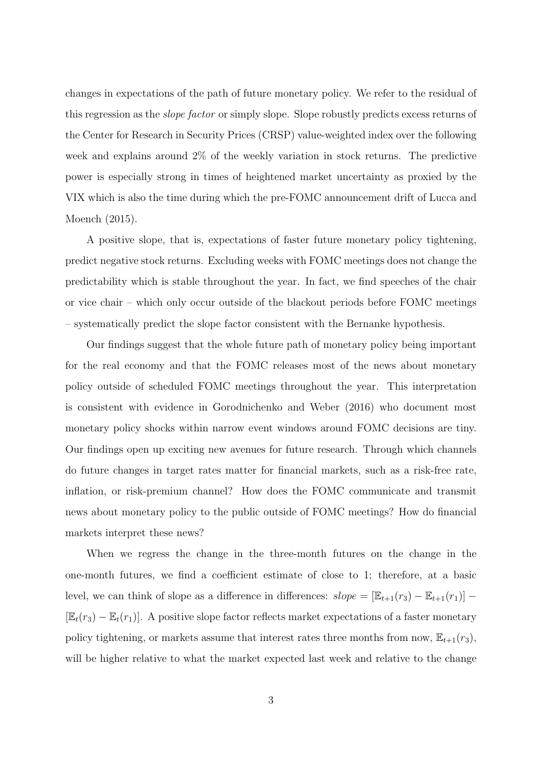changes in expectations of the path of future monetary policy. We refer to the residual of this regression as the slope factor or simply slope. Slope robustly predicts excess returns of the Center for Research in Security Prices (CRSP) value-weighted index over the following week and explains around 2% of the weekly variation in stock returns. The predictive power is especially strong in times of heightened market uncertainty as proxied by the VIX which is also the time during which the pre-FOMC announcement drift of [Lucca and](#page-29-0) [Moench](#page-29-0) [\(2015\)](#page-29-0).

A positive slope, that is, expectations of faster future monetary policy tightening, predict negative stock returns. Excluding weeks with FOMC meetings does not change the predictability which is stable throughout the year. In fact, we find speeches of the chair or vice chair – which only occur outside of the blackout periods before FOMC meetings – systematically predict the slope factor consistent with the Bernanke hypothesis.

Our findings suggest that the whole future path of monetary policy being important for the real economy and that the FOMC releases most of the news about monetary policy outside of scheduled FOMC meetings throughout the year. This interpretation is consistent with evidence in [Gorodnichenko and Weber](#page-28-2) [\(2016\)](#page-28-2) who document most monetary policy shocks within narrow event windows around FOMC decisions are tiny. Our findings open up exciting new avenues for future research. Through which channels do future changes in target rates matter for financial markets, such as a risk-free rate, inflation, or risk-premium channel? How does the FOMC communicate and transmit news about monetary policy to the public outside of FOMC meetings? How do financial markets interpret these news?

When we regress the change in the three-month futures on the change in the one-month futures, we find a coefficient estimate of close to 1; therefore, at a basic level, we can think of slope as a difference in differences:  $slope = [\mathbb{E}_{t+1}(r_3) - \mathbb{E}_{t+1}(r_1)]$  $[\mathbb{E}_t(r_3) - \mathbb{E}_t(r_1)]$ . A positive slope factor reflects market expectations of a faster monetary policy tightening, or markets assume that interest rates three months from now,  $\mathbb{E}_{t+1}(r_3)$ , will be higher relative to what the market expected last week and relative to the change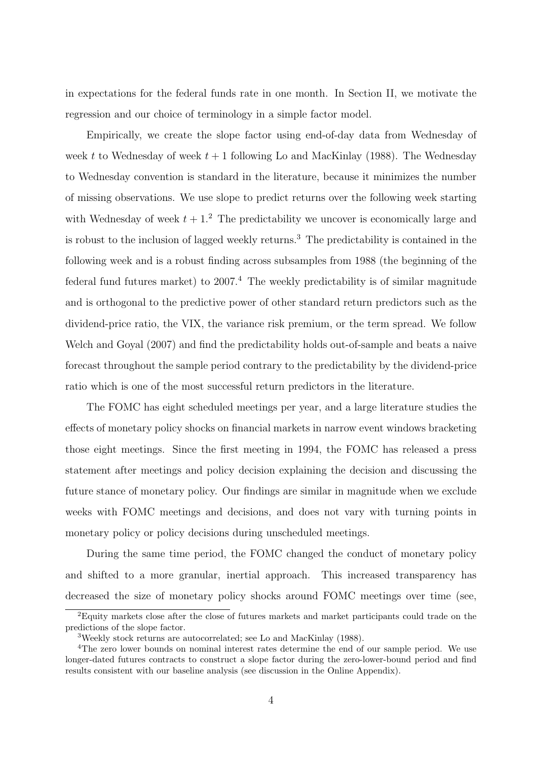in expectations for the federal funds rate in one month. In Section [II,](#page-7-0) we motivate the regression and our choice of terminology in a simple factor model.

Empirically, we create the slope factor using end-of-day data from Wednesday of week t to Wednesday of week  $t + 1$  following [Lo and MacKinlay](#page-29-1) [\(1988\)](#page-29-1). The Wednesday to Wednesday convention is standard in the literature, because it minimizes the number of missing observations. We use slope to predict returns over the following week starting with Wednesday of week  $t + 1<sup>2</sup>$  $t + 1<sup>2</sup>$  $t + 1<sup>2</sup>$ . The predictability we uncover is economically large and is robust to the inclusion of lagged weekly returns.[3](#page-0-0) The predictability is contained in the following week and is a robust finding across subsamples from 1988 (the beginning of the federal fund futures market) to  $2007<sup>4</sup>$  $2007<sup>4</sup>$  $2007<sup>4</sup>$ . The weekly predictability is of similar magnitude and is orthogonal to the predictive power of other standard return predictors such as the dividend-price ratio, the VIX, the variance risk premium, or the term spread. We follow [Welch and Goyal](#page-29-2) [\(2007\)](#page-29-2) and find the predictability holds out-of-sample and beats a naive forecast throughout the sample period contrary to the predictability by the dividend-price ratio which is one of the most successful return predictors in the literature.

The FOMC has eight scheduled meetings per year, and a large literature studies the effects of monetary policy shocks on financial markets in narrow event windows bracketing those eight meetings. Since the first meeting in 1994, the FOMC has released a press statement after meetings and policy decision explaining the decision and discussing the future stance of monetary policy. Our findings are similar in magnitude when we exclude weeks with FOMC meetings and decisions, and does not vary with turning points in monetary policy or policy decisions during unscheduled meetings.

During the same time period, the FOMC changed the conduct of monetary policy and shifted to a more granular, inertial approach. This increased transparency has decreased the size of monetary policy shocks around FOMC meetings over time (see,

<sup>2</sup>Equity markets close after the close of futures markets and market participants could trade on the predictions of the slope factor.

<sup>3</sup>Weekly stock returns are autocorrelated; see [Lo and MacKinlay](#page-29-1) [\(1988\)](#page-29-1).

<sup>4</sup>The zero lower bounds on nominal interest rates determine the end of our sample period. We use longer-dated futures contracts to construct a slope factor during the zero-lower-bound period and find results consistent with our baseline analysis (see discussion in the Online Appendix).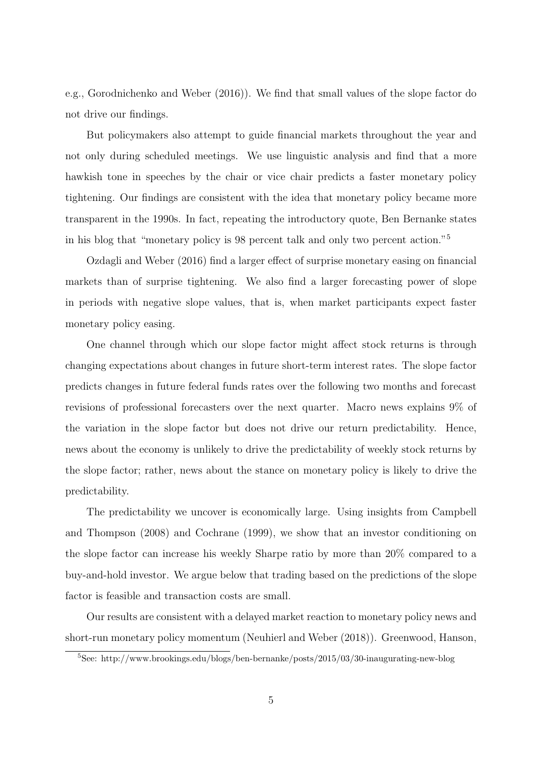e.g., [Gorodnichenko and Weber](#page-28-2) [\(2016\)](#page-28-2)). We find that small values of the slope factor do not drive our findings.

But policymakers also attempt to guide financial markets throughout the year and not only during scheduled meetings. We use linguistic analysis and find that a more hawkish tone in speeches by the chair or vice chair predicts a faster monetary policy tightening. Our findings are consistent with the idea that monetary policy became more transparent in the 1990s. In fact, repeating the introductory quote, Ben Bernanke states in his blog that "monetary policy is 98 percent talk and only two percent action."[5](#page-0-0)

[Ozdagli and Weber](#page-29-3) [\(2016\)](#page-29-3) find a larger effect of surprise monetary easing on financial markets than of surprise tightening. We also find a larger forecasting power of slope in periods with negative slope values, that is, when market participants expect faster monetary policy easing.

One channel through which our slope factor might affect stock returns is through changing expectations about changes in future short-term interest rates. The slope factor predicts changes in future federal funds rates over the following two months and forecast revisions of professional forecasters over the next quarter. Macro news explains 9% of the variation in the slope factor but does not drive our return predictability. Hence, news about the economy is unlikely to drive the predictability of weekly stock returns by the slope factor; rather, news about the stance on monetary policy is likely to drive the predictability.

The predictability we uncover is economically large. Using insights from [Campbell](#page-27-1) [and Thompson](#page-27-1) [\(2008\)](#page-27-1) and [Cochrane](#page-27-2) [\(1999\)](#page-27-2), we show that an investor conditioning on the slope factor can increase his weekly Sharpe ratio by more than 20% compared to a buy-and-hold investor. We argue below that trading based on the predictions of the slope factor is feasible and transaction costs are small.

Our results are consistent with a delayed market reaction to monetary policy news and short-run monetary policy momentum [\(Neuhierl and Weber](#page-29-4) [\(2018\)](#page-29-4)). [Greenwood, Hanson,](#page-28-3)

<sup>5</sup>[See: http://www.brookings.edu/blogs/ben-bernanke/posts/2015/03/30-inaugurating-new-blog](#page-28-3)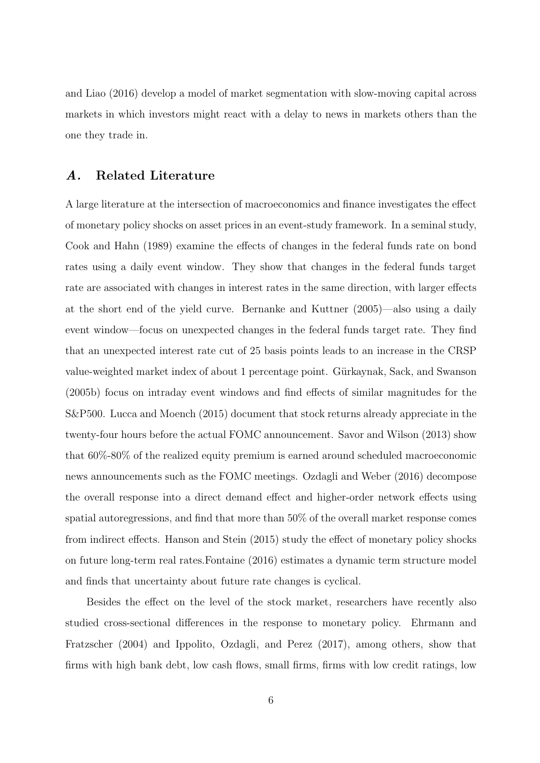[and Liao](#page-28-3) [\(2016\)](#page-28-3) develop a model of market segmentation with slow-moving capital across markets in which investors might react with a delay to news in markets others than the one they trade in.

### A. Related Literature

A large literature at the intersection of macroeconomics and finance investigates the effect of monetary policy shocks on asset prices in an event-study framework. In a seminal study, [Cook and Hahn](#page-27-3) [\(1989\)](#page-27-3) examine the effects of changes in the federal funds rate on bond rates using a daily event window. They show that changes in the federal funds target rate are associated with changes in interest rates in the same direction, with larger effects at the short end of the yield curve. [Bernanke and Kuttner](#page-27-0) [\(2005\)](#page-27-0)—also using a daily event window—focus on unexpected changes in the federal funds target rate. They find that an unexpected interest rate cut of 25 basis points leads to an increase in the CRSP value-weighted market index of about 1 percentage point. [G¨urkaynak, Sack, and Swanson](#page-28-0) [\(2005b\)](#page-28-0) focus on intraday event windows and find effects of similar magnitudes for the S&P500. [Lucca and Moench](#page-29-0) [\(2015\)](#page-29-0) document that stock returns already appreciate in the twenty-four hours before the actual FOMC announcement. [Savor and Wilson](#page-29-5) [\(2013\)](#page-29-5) show that 60%-80% of the realized equity premium is earned around scheduled macroeconomic news announcements such as the FOMC meetings. [Ozdagli and Weber](#page-29-3) [\(2016\)](#page-29-3) decompose the overall response into a direct demand effect and higher-order network effects using spatial autoregressions, and find that more than 50% of the overall market response comes from indirect effects. [Hanson and Stein](#page-28-4) [\(2015\)](#page-28-4) study the effect of monetary policy shocks on future long-term real rates[.Fontaine](#page-28-5) [\(2016\)](#page-28-5) estimates a dynamic term structure model and finds that uncertainty about future rate changes is cyclical.

Besides the effect on the level of the stock market, researchers have recently also studied cross-sectional differences in the response to monetary policy. [Ehrmann and](#page-27-4) [Fratzscher](#page-27-4) [\(2004\)](#page-27-4) and [Ippolito, Ozdagli, and Perez](#page-28-6) [\(2017\)](#page-28-6), among others, show that firms with high bank debt, low cash flows, small firms, firms with low credit ratings, low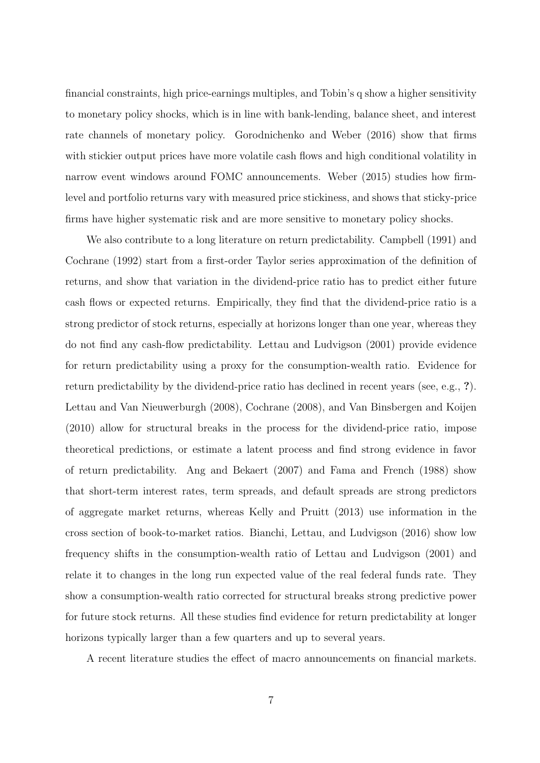financial constraints, high price-earnings multiples, and Tobin's q show a higher sensitivity to monetary policy shocks, which is in line with bank-lending, balance sheet, and interest rate channels of monetary policy. [Gorodnichenko and Weber](#page-28-2) [\(2016\)](#page-28-2) show that firms with stickier output prices have more volatile cash flows and high conditional volatility in narrow event windows around FOMC announcements. [Weber](#page-29-6) [\(2015\)](#page-29-6) studies how firmlevel and portfolio returns vary with measured price stickiness, and shows that sticky-price firms have higher systematic risk and are more sensitive to monetary policy shocks.

We also contribute to a long literature on return predictability. [Campbell](#page-27-5) [\(1991\)](#page-27-5) and [Cochrane](#page-27-6) [\(1992\)](#page-27-6) start from a first-order Taylor series approximation of the definition of returns, and show that variation in the dividend-price ratio has to predict either future cash flows or expected returns. Empirically, they find that the dividend-price ratio is a strong predictor of stock returns, especially at horizons longer than one year, whereas they do not find any cash-flow predictability. [Lettau and Ludvigson](#page-28-7) [\(2001\)](#page-28-7) provide evidence for return predictability using a proxy for the consumption-wealth ratio. Evidence for return predictability by the dividend-price ratio has declined in recent years (see, e.g., ?). [Lettau and Van Nieuwerburgh](#page-29-7) [\(2008\)](#page-29-7), [Cochrane](#page-27-7) [\(2008\)](#page-27-7), and [Van Binsbergen and Koijen](#page-29-8) [\(2010\)](#page-29-8) allow for structural breaks in the process for the dividend-price ratio, impose theoretical predictions, or estimate a latent process and find strong evidence in favor of return predictability. [Ang and Bekaert](#page-27-8) [\(2007\)](#page-27-8) and [Fama and French](#page-27-9) [\(1988\)](#page-27-9) show that short-term interest rates, term spreads, and default spreads are strong predictors of aggregate market returns, whereas [Kelly and Pruitt](#page-28-8) [\(2013\)](#page-28-8) use information in the cross section of book-to-market ratios. [Bianchi, Lettau, and Ludvigson](#page-27-10) [\(2016\)](#page-27-10) show low frequency shifts in the consumption-wealth ratio of [Lettau and Ludvigson](#page-28-7) [\(2001\)](#page-28-7) and relate it to changes in the long run expected value of the real federal funds rate. They show a consumption-wealth ratio corrected for structural breaks strong predictive power for future stock returns. All these studies find evidence for return predictability at longer horizons typically larger than a few quarters and up to several years.

A recent literature studies the effect of macro announcements on financial markets.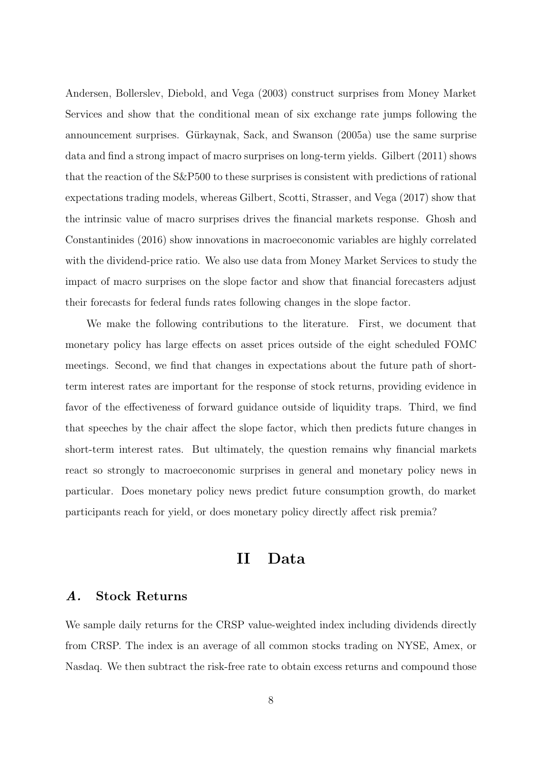[Andersen, Bollerslev, Diebold, and Vega](#page-27-11) [\(2003\)](#page-27-11) construct surprises from Money Market Services and show that the conditional mean of six exchange rate jumps following the announcement surprises. Gürkaynak, Sack, and Swanson [\(2005a\)](#page-28-9) use the same surprise data and find a strong impact of macro surprises on long-term yields. [Gilbert](#page-28-10) [\(2011\)](#page-28-10) shows that the reaction of the S&P500 to these surprises is consistent with predictions of rational expectations trading models, whereas [Gilbert, Scotti, Strasser, and Vega](#page-28-11) [\(2017\)](#page-28-11) show that the intrinsic value of macro surprises drives the financial markets response. [Ghosh and](#page-28-12) [Constantinides](#page-28-12) [\(2016\)](#page-28-12) show innovations in macroeconomic variables are highly correlated with the dividend-price ratio. We also use data from Money Market Services to study the impact of macro surprises on the slope factor and show that financial forecasters adjust their forecasts for federal funds rates following changes in the slope factor.

We make the following contributions to the literature. First, we document that monetary policy has large effects on asset prices outside of the eight scheduled FOMC meetings. Second, we find that changes in expectations about the future path of shortterm interest rates are important for the response of stock returns, providing evidence in favor of the effectiveness of forward guidance outside of liquidity traps. Third, we find that speeches by the chair affect the slope factor, which then predicts future changes in short-term interest rates. But ultimately, the question remains why financial markets react so strongly to macroeconomic surprises in general and monetary policy news in particular. Does monetary policy news predict future consumption growth, do market participants reach for yield, or does monetary policy directly affect risk premia?

# II Data

# <span id="page-7-0"></span>A. Stock Returns

We sample daily returns for the CRSP value-weighted index including dividends directly from CRSP. The index is an average of all common stocks trading on NYSE, Amex, or Nasdaq. We then subtract the risk-free rate to obtain excess returns and compound those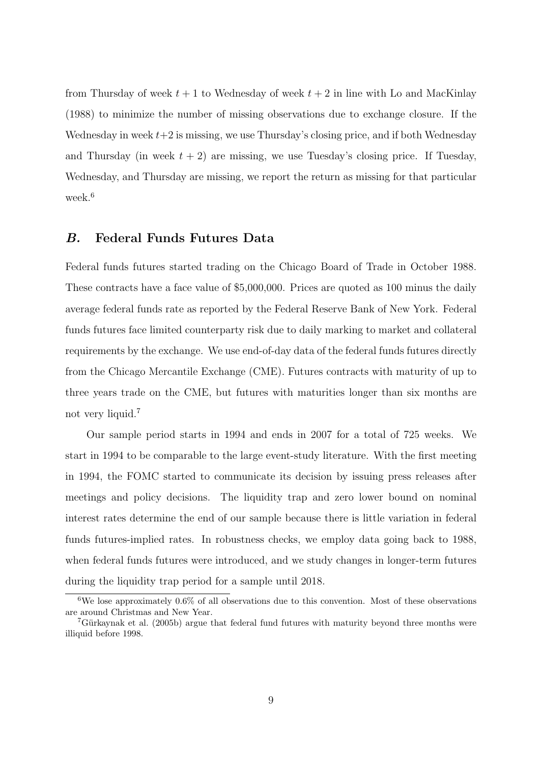from Thursday of week  $t + 1$  to Wednesday of week  $t + 2$  in line with [Lo and MacKinlay](#page-29-1) [\(1988\)](#page-29-1) to minimize the number of missing observations due to exchange closure. If the Wednesday in week  $t+2$  is missing, we use Thursday's closing price, and if both Wednesday and Thursday (in week  $t + 2$ ) are missing, we use Tuesday's closing price. If Tuesday, Wednesday, and Thursday are missing, we report the return as missing for that particular week.<sup>[6](#page-0-0)</sup>

### B. Federal Funds Futures Data

Federal funds futures started trading on the Chicago Board of Trade in October 1988. These contracts have a face value of \$5,000,000. Prices are quoted as 100 minus the daily average federal funds rate as reported by the Federal Reserve Bank of New York. Federal funds futures face limited counterparty risk due to daily marking to market and collateral requirements by the exchange. We use end-of-day data of the federal funds futures directly from the Chicago Mercantile Exchange (CME). Futures contracts with maturity of up to three years trade on the CME, but futures with maturities longer than six months are not very liquid.<sup>[7](#page-0-0)</sup>

Our sample period starts in 1994 and ends in 2007 for a total of 725 weeks. We start in 1994 to be comparable to the large event-study literature. With the first meeting in 1994, the FOMC started to communicate its decision by issuing press releases after meetings and policy decisions. The liquidity trap and zero lower bound on nominal interest rates determine the end of our sample because there is little variation in federal funds futures-implied rates. In robustness checks, we employ data going back to 1988, when federal funds futures were introduced, and we study changes in longer-term futures during the liquidity trap period for a sample until 2018.

<sup>&</sup>lt;sup>6</sup>We lose approximately  $0.6\%$  of all observations due to this convention. Most of these observations are around Christmas and New Year.

 $7G$ ürkaynak et al. [\(2005b\)](#page-28-0) argue that federal fund futures with maturity beyond three months were illiquid before 1998.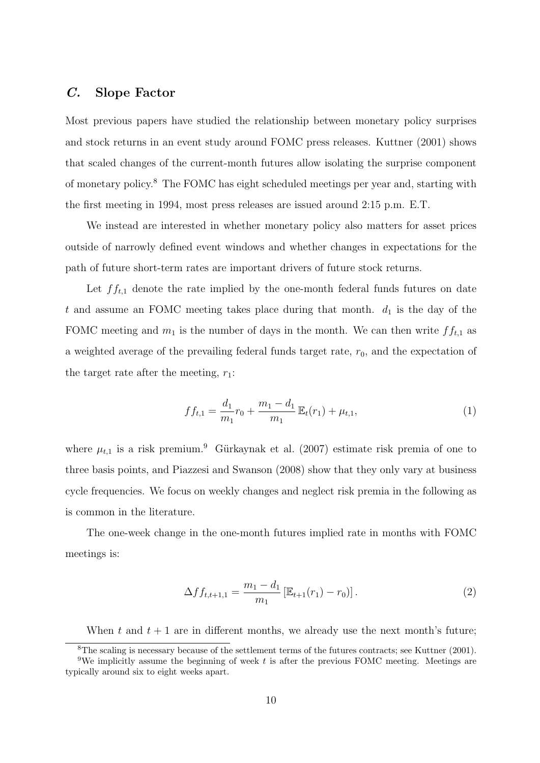# C. Slope Factor

Most previous papers have studied the relationship between monetary policy surprises and stock returns in an event study around FOMC press releases. [Kuttner](#page-28-13) [\(2001\)](#page-28-13) shows that scaled changes of the current-month futures allow isolating the surprise component of monetary policy.[8](#page-0-0) The FOMC has eight scheduled meetings per year and, starting with the first meeting in 1994, most press releases are issued around 2:15 p.m. E.T.

We instead are interested in whether monetary policy also matters for asset prices outside of narrowly defined event windows and whether changes in expectations for the path of future short-term rates are important drivers of future stock returns.

Let  $f_{t,1}$  denote the rate implied by the one-month federal funds futures on date t and assume an FOMC meeting takes place during that month.  $d_1$  is the day of the FOMC meeting and  $m_1$  is the number of days in the month. We can then write  $ff_{t,1}$  as a weighted average of the prevailing federal funds target rate,  $r_0$ , and the expectation of the target rate after the meeting,  $r_1$ :

$$
f f_{t,1} = \frac{d_1}{m_1} r_0 + \frac{m_1 - d_1}{m_1} \mathbb{E}_t(r_1) + \mu_{t,1},
$$
\n(1)

where  $\mu_{t,1}$  is a risk premium.<sup>[9](#page-0-0)</sup> Gürkaynak et al. [\(2007\)](#page-28-14) estimate risk premia of one to three basis points, and [Piazzesi and Swanson](#page-29-9) [\(2008\)](#page-29-9) show that they only vary at business cycle frequencies. We focus on weekly changes and neglect risk premia in the following as is common in the literature.

The one-week change in the one-month futures implied rate in months with FOMC meetings is:

$$
\Delta f f_{t,t+1,1} = \frac{m_1 - d_1}{m_1} \left[ \mathbb{E}_{t+1}(r_1) - r_0 \right]. \tag{2}
$$

When t and  $t + 1$  are in different months, we already use the next month's future;

<sup>8</sup>The scaling is necessary because of the settlement terms of the futures contracts; see [Kuttner](#page-28-13) [\(2001\)](#page-28-13).

<sup>&</sup>lt;sup>9</sup>We implicitly assume the beginning of week t is after the previous FOMC meeting. Meetings are typically around six to eight weeks apart.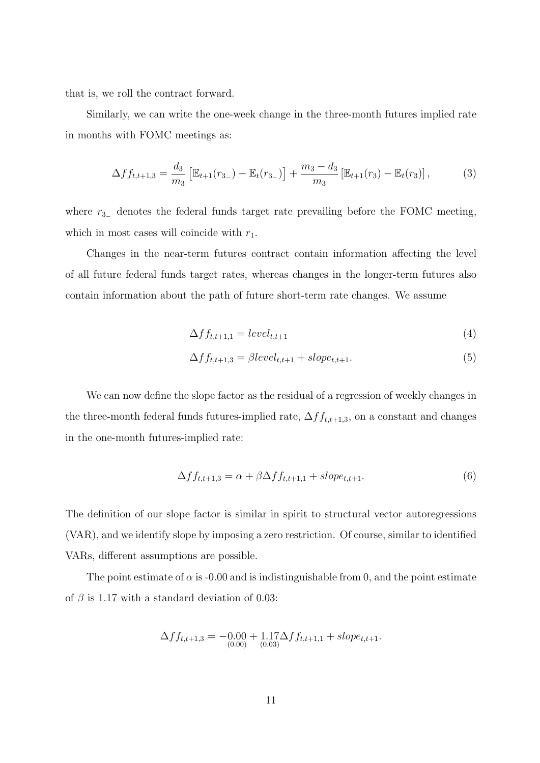that is, we roll the contract forward.

Similarly, we can write the one-week change in the three-month futures implied rate in months with FOMC meetings as:

$$
\Delta f f_{t,t+1,3} = \frac{d_3}{m_3} \left[ \mathbb{E}_{t+1}(r_{3-}) - \mathbb{E}_t(r_{3-}) \right] + \frac{m_3 - d_3}{m_3} \left[ \mathbb{E}_{t+1}(r_3) - \mathbb{E}_t(r_3) \right],\tag{3}
$$

where  $r_{3-}$  denotes the federal funds target rate prevailing before the FOMC meeting, which in most cases will coincide with  $r_1$ .

Changes in the near-term futures contract contain information affecting the level of all future federal funds target rates, whereas changes in the longer-term futures also contain information about the path of future short-term rate changes. We assume

$$
\Delta f f_{t,t+1,1} = level_{t,t+1} \tag{4}
$$

$$
\Delta f f_{t,t+1,3} = \beta level_{t,t+1} + slope_{t,t+1}.
$$
\n
$$
(5)
$$

We can now define the slope factor as the residual of a regression of weekly changes in the three-month federal funds futures-implied rate,  $\Delta ff_{t,t+1,3},$  on a constant and changes in the one-month futures-implied rate:

<span id="page-10-0"></span>
$$
\Delta f f_{t,t+1,3} = \alpha + \beta \Delta f f_{t,t+1,1} + slope_{t,t+1}.\tag{6}
$$

The definition of our slope factor is similar in spirit to structural vector autoregressions (VAR), and we identify slope by imposing a zero restriction. Of course, similar to identified VARs, different assumptions are possible.

The point estimate of  $\alpha$  is -0.00 and is indistinguishable from 0, and the point estimate of  $\beta$  is 1.17 with a standard deviation of 0.03:

$$
\Delta f f_{t,t+1,3} = -0.00 + 1.17 \Delta f f_{t,t+1,1} + slope_{t,t+1}.
$$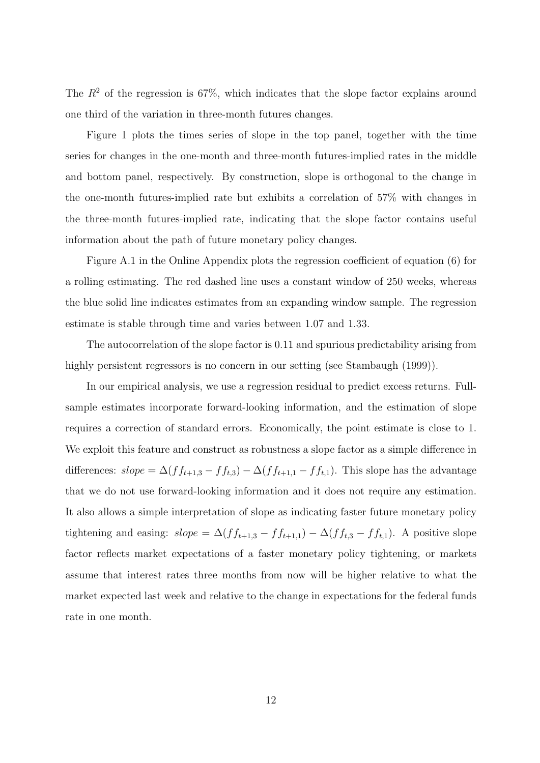The  $R^2$  of the regression is 67%, which indicates that the slope factor explains around one third of the variation in three-month futures changes.

Figure [1](#page-30-0) plots the times series of slope in the top panel, together with the time series for changes in the one-month and three-month futures-implied rates in the middle and bottom panel, respectively. By construction, slope is orthogonal to the change in the one-month futures-implied rate but exhibits a correlation of 57% with changes in the three-month futures-implied rate, indicating that the slope factor contains useful information about the path of future monetary policy changes.

Figure [A.1](#page-30-0) in the Online Appendix plots the regression coefficient of equation [\(6\)](#page-10-0) for a rolling estimating. The red dashed line uses a constant window of 250 weeks, whereas the blue solid line indicates estimates from an expanding window sample. The regression estimate is stable through time and varies between 1.07 and 1.33.

The autocorrelation of the slope factor is 0.11 and spurious predictability arising from highly persistent regressors is no concern in our setting (see [Stambaugh](#page-29-10) [\(1999\)](#page-29-10)).

In our empirical analysis, we use a regression residual to predict excess returns. Fullsample estimates incorporate forward-looking information, and the estimation of slope requires a correction of standard errors. Economically, the point estimate is close to 1. We exploit this feature and construct as robustness a slope factor as a simple difference in differences:  $slope = \Delta(f_{t+1,3} - ff_{t,3}) - \Delta(f_{t+1,1} - ff_{t,1})$ . This slope has the advantage that we do not use forward-looking information and it does not require any estimation. It also allows a simple interpretation of slope as indicating faster future monetary policy tightening and easing:  $slope = \Delta(f f_{t+1,3} - f f_{t+1,1}) - \Delta(f f_{t,3} - f f_{t,1})$ . A positive slope factor reflects market expectations of a faster monetary policy tightening, or markets assume that interest rates three months from now will be higher relative to what the market expected last week and relative to the change in expectations for the federal funds rate in one month.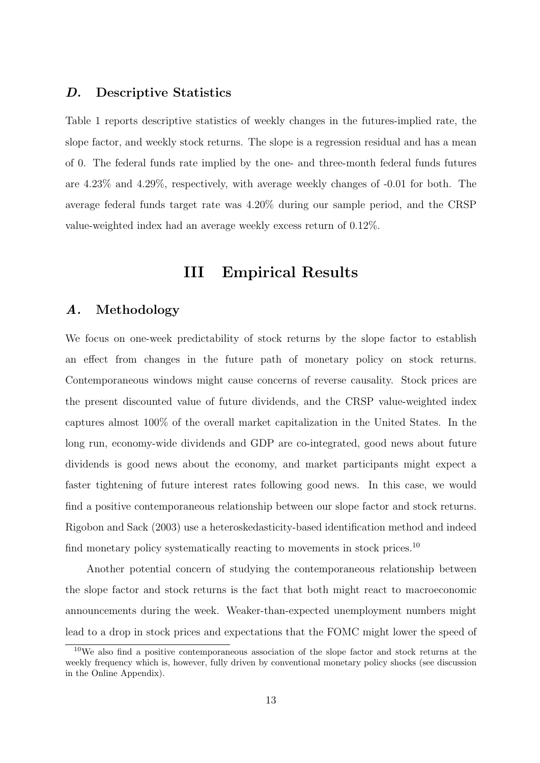### D. Descriptive Statistics

Table [1](#page-33-0) reports descriptive statistics of weekly changes in the futures-implied rate, the slope factor, and weekly stock returns. The slope is a regression residual and has a mean of 0. The federal funds rate implied by the one- and three-month federal funds futures are 4.23% and 4.29%, respectively, with average weekly changes of -0.01 for both. The average federal funds target rate was 4.20% during our sample period, and the CRSP value-weighted index had an average weekly excess return of 0.12%.

# III Empirical Results

# A. Methodology

We focus on one-week predictability of stock returns by the slope factor to establish an effect from changes in the future path of monetary policy on stock returns. Contemporaneous windows might cause concerns of reverse causality. Stock prices are the present discounted value of future dividends, and the CRSP value-weighted index captures almost 100% of the overall market capitalization in the United States. In the long run, economy-wide dividends and GDP are co-integrated, good news about future dividends is good news about the economy, and market participants might expect a faster tightening of future interest rates following good news. In this case, we would find a positive contemporaneous relationship between our slope factor and stock returns. [Rigobon and Sack](#page-29-11) [\(2003\)](#page-29-11) use a heteroskedasticity-based identification method and indeed find monetary policy systematically reacting to movements in stock prices.<sup>[10](#page-0-0)</sup>

Another potential concern of studying the contemporaneous relationship between the slope factor and stock returns is the fact that both might react to macroeconomic announcements during the week. Weaker-than-expected unemployment numbers might lead to a drop in stock prices and expectations that the FOMC might lower the speed of

<sup>10</sup>We also find a positive contemporaneous association of the slope factor and stock returns at the weekly frequency which is, however, fully driven by conventional monetary policy shocks (see discussion in the Online Appendix).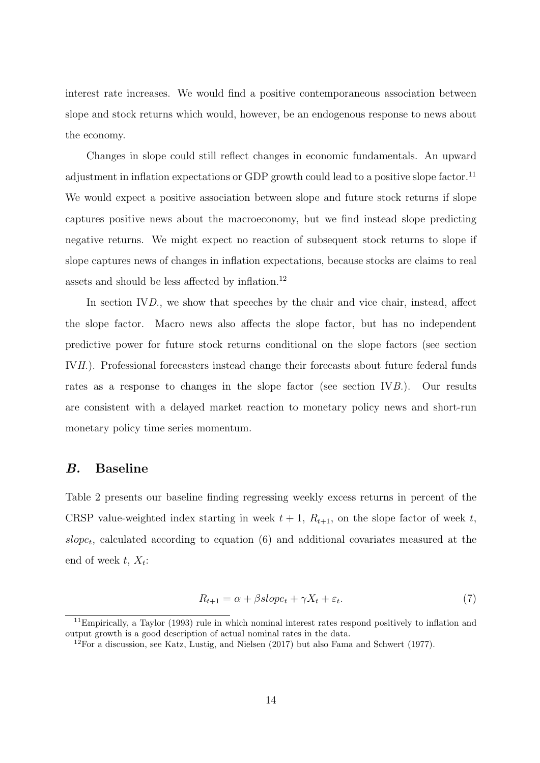interest rate increases. We would find a positive contemporaneous association between slope and stock returns which would, however, be an endogenous response to news about the economy.

Changes in slope could still reflect changes in economic fundamentals. An upward adjustment in inflation expectations or GDP growth could lead to a positive slope factor.<sup>[11](#page-0-0)</sup> We would expect a positive association between slope and future stock returns if slope captures positive news about the macroeconomy, but we find instead slope predicting negative returns. We might expect no reaction of subsequent stock returns to slope if slope captures news of changes in inflation expectations, because stocks are claims to real assets and should be less affected by inflation.[12](#page-0-0)

In section [IV](#page-19-0)[D.](#page-23-0), we show that speeches by the chair and vice chair, instead, affect the slope factor. Macro news also affects the slope factor, but has no independent predictive power for future stock returns conditional on the slope factors (see section [IV](#page-19-0)[H.](#page-44-0)). Professional forecasters instead change their forecasts about future federal funds rates as a response to changes in the slope factor (see section [IV](#page-19-0)[B.](#page-20-0)). Our results are consistent with a delayed market reaction to monetary policy news and short-run monetary policy time series momentum.

#### B. Baseline

Table [2](#page-34-0) presents our baseline finding regressing weekly excess returns in percent of the CRSP value-weighted index starting in week  $t + 1$ ,  $R_{t+1}$ , on the slope factor of week t,  $slope_t$ , calculated according to equation  $(6)$  and additional covariates measured at the end of week  $t, X_t$ :

$$
R_{t+1} = \alpha + \beta slope_t + \gamma X_t + \varepsilon_t. \tag{7}
$$

 $11$ Empirically, a [Taylor](#page-29-12) [\(1993\)](#page-29-12) rule in which nominal interest rates respond positively to inflation and output growth is a good description of actual nominal rates in the data.

 $12$ For a discussion, see [Katz, Lustig, and Nielsen](#page-28-15) [\(2017\)](#page-28-15) but also [Fama and Schwert](#page-27-12) [\(1977\)](#page-27-12).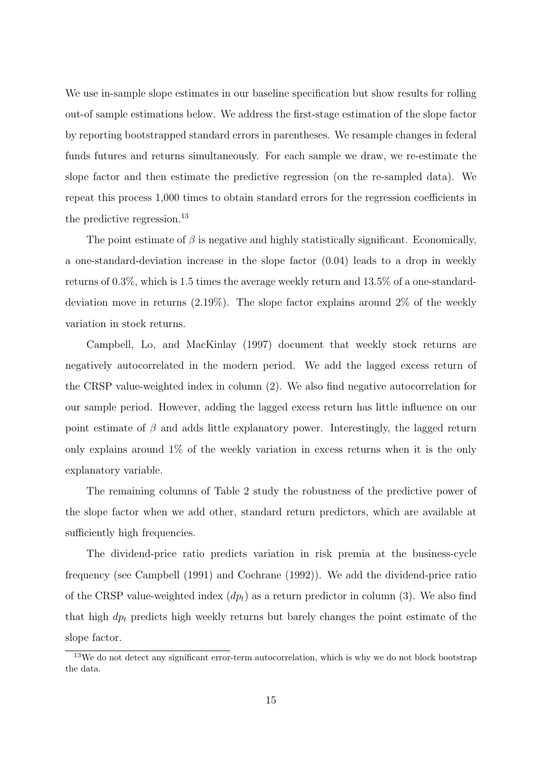We use in-sample slope estimates in our baseline specification but show results for rolling out-of sample estimations below. We address the first-stage estimation of the slope factor by reporting bootstrapped standard errors in parentheses. We resample changes in federal funds futures and returns simultaneously. For each sample we draw, we re-estimate the slope factor and then estimate the predictive regression (on the re-sampled data). We repeat this process 1,000 times to obtain standard errors for the regression coefficients in the predictive regression.<sup>[13](#page-0-0)</sup>

The point estimate of  $\beta$  is negative and highly statistically significant. Economically, a one-standard-deviation increase in the slope factor (0.04) leads to a drop in weekly returns of 0.3%, which is 1.5 times the average weekly return and 13.5% of a one-standarddeviation move in returns (2.19%). The slope factor explains around 2% of the weekly variation in stock returns.

[Campbell, Lo, and MacKinlay](#page-27-13) [\(1997\)](#page-27-13) document that weekly stock returns are negatively autocorrelated in the modern period. We add the lagged excess return of the CRSP value-weighted index in column (2). We also find negative autocorrelation for our sample period. However, adding the lagged excess return has little influence on our point estimate of  $\beta$  and adds little explanatory power. Interestingly, the lagged return only explains around 1% of the weekly variation in excess returns when it is the only explanatory variable.

The remaining columns of Table [2](#page-34-0) study the robustness of the predictive power of the slope factor when we add other, standard return predictors, which are available at sufficiently high frequencies.

The dividend-price ratio predicts variation in risk premia at the business-cycle frequency (see [Campbell](#page-27-5) [\(1991\)](#page-27-5) and [Cochrane](#page-27-6) [\(1992\)](#page-27-6)). We add the dividend-price ratio of the CRSP value-weighted index  $(dp_t)$  as a return predictor in column (3). We also find that high  $dp_t$  predicts high weekly returns but barely changes the point estimate of the slope factor.

<sup>&</sup>lt;sup>13</sup>We do not detect any significant error-term autocorrelation, which is why we do not block bootstrap the data.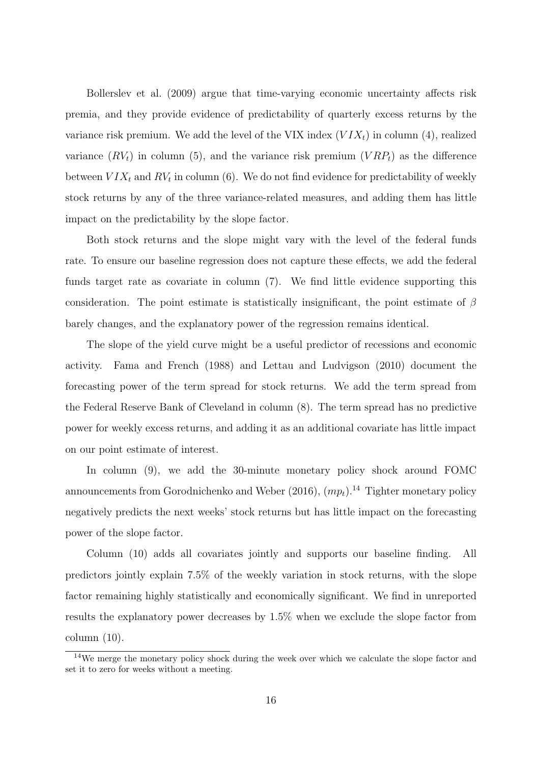[Bollerslev et al.](#page-27-14) [\(2009\)](#page-27-14) argue that time-varying economic uncertainty affects risk premia, and they provide evidence of predictability of quarterly excess returns by the variance risk premium. We add the level of the VIX index  $(VIX<sub>t</sub>)$  in column (4), realized variance  $(RV_t)$  in column (5), and the variance risk premium  $(VRP_t)$  as the difference between  $VIX_t$  and  $RV_t$  in column (6). We do not find evidence for predictability of weekly stock returns by any of the three variance-related measures, and adding them has little impact on the predictability by the slope factor.

Both stock returns and the slope might vary with the level of the federal funds rate. To ensure our baseline regression does not capture these effects, we add the federal funds target rate as covariate in column (7). We find little evidence supporting this consideration. The point estimate is statistically insignificant, the point estimate of  $\beta$ barely changes, and the explanatory power of the regression remains identical.

The slope of the yield curve might be a useful predictor of recessions and economic activity. [Fama and French](#page-27-9) [\(1988\)](#page-27-9) and [Lettau and Ludvigson](#page-29-13) [\(2010\)](#page-29-13) document the forecasting power of the term spread for stock returns. We add the term spread from the Federal Reserve Bank of Cleveland in column (8). The term spread has no predictive power for weekly excess returns, and adding it as an additional covariate has little impact on our point estimate of interest.

In column  $(9)$ , we add the 30-minute monetary policy shock around FOMC announcements from [Gorodnichenko and Weber](#page-28-2) [\(2016\)](#page-28-2),  $(mp_t)$ .<sup>[14](#page-0-0)</sup> Tighter monetary policy negatively predicts the next weeks' stock returns but has little impact on the forecasting power of the slope factor.

Column (10) adds all covariates jointly and supports our baseline finding. All predictors jointly explain 7.5% of the weekly variation in stock returns, with the slope factor remaining highly statistically and economically significant. We find in unreported results the explanatory power decreases by 1.5% when we exclude the slope factor from  $column (10).$ 

<sup>&</sup>lt;sup>14</sup>We merge the monetary policy shock during the week over which we calculate the slope factor and set it to zero for weeks without a meeting.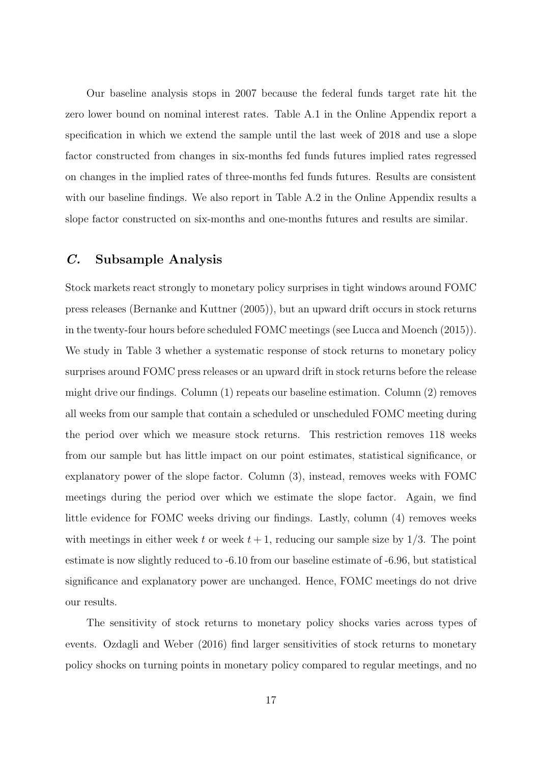Our baseline analysis stops in 2007 because the federal funds target rate hit the zero lower bound on nominal interest rates. Table [A.1](#page-33-0) in the Online Appendix report a specification in which we extend the sample until the last week of 2018 and use a slope factor constructed from changes in six-months fed funds futures implied rates regressed on changes in the implied rates of three-months fed funds futures. Results are consistent with our baseline findings. We also report in Table [A.2](#page-34-0) in the Online Appendix results a slope factor constructed on six-months and one-months futures and results are similar.

# C. Subsample Analysis

Stock markets react strongly to monetary policy surprises in tight windows around FOMC press releases [\(Bernanke and Kuttner](#page-27-0) [\(2005\)](#page-27-0)), but an upward drift occurs in stock returns in the twenty-four hours before scheduled FOMC meetings (see [Lucca and Moench](#page-29-0) [\(2015\)](#page-29-0)). We study in Table [3](#page-35-0) whether a systematic response of stock returns to monetary policy surprises around FOMC press releases or an upward drift in stock returns before the release might drive our findings. Column (1) repeats our baseline estimation. Column (2) removes all weeks from our sample that contain a scheduled or unscheduled FOMC meeting during the period over which we measure stock returns. This restriction removes 118 weeks from our sample but has little impact on our point estimates, statistical significance, or explanatory power of the slope factor. Column (3), instead, removes weeks with FOMC meetings during the period over which we estimate the slope factor. Again, we find little evidence for FOMC weeks driving our findings. Lastly, column (4) removes weeks with meetings in either week t or week  $t + 1$ , reducing our sample size by  $1/3$ . The point estimate is now slightly reduced to -6.10 from our baseline estimate of -6.96, but statistical significance and explanatory power are unchanged. Hence, FOMC meetings do not drive our results.

The sensitivity of stock returns to monetary policy shocks varies across types of events. [Ozdagli and Weber](#page-29-3) [\(2016\)](#page-29-3) find larger sensitivities of stock returns to monetary policy shocks on turning points in monetary policy compared to regular meetings, and no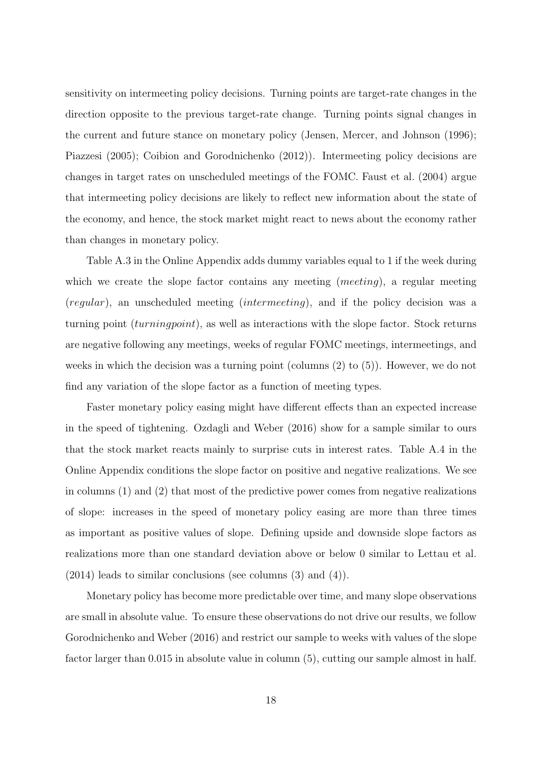sensitivity on intermeeting policy decisions. Turning points are target-rate changes in the direction opposite to the previous target-rate change. Turning points signal changes in the current and future stance on monetary policy [\(Jensen, Mercer, and Johnson](#page-28-16) [\(1996\)](#page-28-16); [Piazzesi](#page-29-14) [\(2005\)](#page-29-14); [Coibion and Gorodnichenko](#page-27-15) [\(2012\)](#page-27-15)). Intermeeting policy decisions are changes in target rates on unscheduled meetings of the FOMC. [Faust et al.](#page-27-16) [\(2004\)](#page-27-16) argue that intermeeting policy decisions are likely to reflect new information about the state of the economy, and hence, the stock market might react to news about the economy rather than changes in monetary policy.

Table [A.3](#page-35-0) in the Online Appendix adds dummy variables equal to 1 if the week during which we create the slope factor contains any meeting *(meeting)*, a regular meeting (regular), an unscheduled meeting (intermeeting), and if the policy decision was a turning point (turningpoint), as well as interactions with the slope factor. Stock returns are negative following any meetings, weeks of regular FOMC meetings, intermeetings, and weeks in which the decision was a turning point (columns (2) to (5)). However, we do not find any variation of the slope factor as a function of meeting types.

Faster monetary policy easing might have different effects than an expected increase in the speed of tightening. [Ozdagli and Weber](#page-29-3) [\(2016\)](#page-29-3) show for a sample similar to ours that the stock market reacts mainly to surprise cuts in interest rates. Table [A.4](#page-36-0) in the Online Appendix conditions the slope factor on positive and negative realizations. We see in columns (1) and (2) that most of the predictive power comes from negative realizations of slope: increases in the speed of monetary policy easing are more than three times as important as positive values of slope. Defining upside and downside slope factors as realizations more than one standard deviation above or below 0 similar to [Lettau et al.](#page-29-15) [\(2014\)](#page-29-15) leads to similar conclusions (see columns (3) and (4)).

Monetary policy has become more predictable over time, and many slope observations are small in absolute value. To ensure these observations do not drive our results, we follow [Gorodnichenko and Weber](#page-28-2) [\(2016\)](#page-28-2) and restrict our sample to weeks with values of the slope factor larger than 0.015 in absolute value in column (5), cutting our sample almost in half.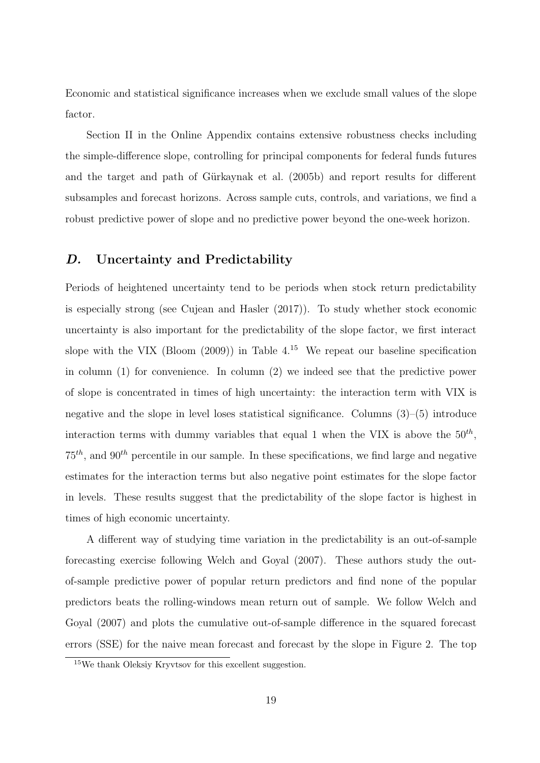Economic and statistical significance increases when we exclude small values of the slope factor.

Section [II](#page-7-0) in the Online Appendix contains extensive robustness checks including the simple-difference slope, controlling for principal components for federal funds futures and the target and path of Gürkaynak et al. [\(2005b\)](#page-28-0) and report results for different subsamples and forecast horizons. Across sample cuts, controls, and variations, we find a robust predictive power of slope and no predictive power beyond the one-week horizon.

# D. Uncertainty and Predictability

Periods of heightened uncertainty tend to be periods when stock return predictability is especially strong (see [Cujean and Hasler](#page-27-17) [\(2017\)](#page-27-17)). To study whether stock economic uncertainty is also important for the predictability of the slope factor, we first interact slope with the VIX [\(Bloom](#page-27-18)  $(2009)$ ) in Table [4.](#page-36-0)<sup>[15](#page-0-0)</sup> We repeat our baseline specification in column (1) for convenience. In column (2) we indeed see that the predictive power of slope is concentrated in times of high uncertainty: the interaction term with VIX is negative and the slope in level loses statistical significance. Columns  $(3)$ – $(5)$  introduce interaction terms with dummy variables that equal 1 when the VIX is above the  $50^{th}$ ,  $75<sup>th</sup>$ , and  $90<sup>th</sup>$  percentile in our sample. In these specifications, we find large and negative estimates for the interaction terms but also negative point estimates for the slope factor in levels. These results suggest that the predictability of the slope factor is highest in times of high economic uncertainty.

A different way of studying time variation in the predictability is an out-of-sample forecasting exercise following [Welch and Goyal](#page-29-2) [\(2007\)](#page-29-2). These authors study the outof-sample predictive power of popular return predictors and find none of the popular predictors beats the rolling-windows mean return out of sample. We follow [Welch and](#page-29-2) [Goyal](#page-29-2) [\(2007\)](#page-29-2) and plots the cumulative out-of-sample difference in the squared forecast errors (SSE) for the naive mean forecast and forecast by the slope in Figure [2.](#page-31-0) The top

<sup>15</sup>We thank Oleksiy Kryvtsov for this excellent suggestion.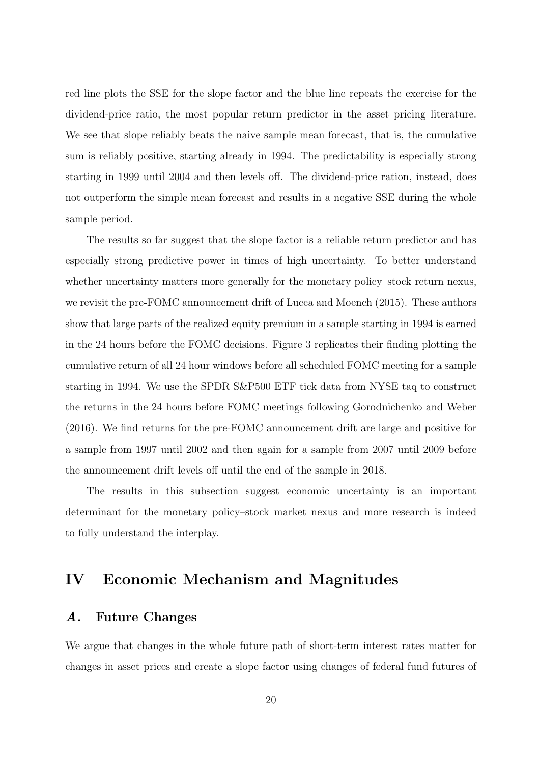red line plots the SSE for the slope factor and the blue line repeats the exercise for the dividend-price ratio, the most popular return predictor in the asset pricing literature. We see that slope reliably beats the naive sample mean forecast, that is, the cumulative sum is reliably positive, starting already in 1994. The predictability is especially strong starting in 1999 until 2004 and then levels off. The dividend-price ration, instead, does not outperform the simple mean forecast and results in a negative SSE during the whole sample period.

The results so far suggest that the slope factor is a reliable return predictor and has especially strong predictive power in times of high uncertainty. To better understand whether uncertainty matters more generally for the monetary policy–stock return nexus, we revisit the pre-FOMC announcement drift of [Lucca and Moench](#page-29-0) [\(2015\)](#page-29-0). These authors show that large parts of the realized equity premium in a sample starting in 1994 is earned in the 24 hours before the FOMC decisions. Figure [3](#page-32-0) replicates their finding plotting the cumulative return of all 24 hour windows before all scheduled FOMC meeting for a sample starting in 1994. We use the SPDR S&P500 ETF tick data from NYSE taq to construct the returns in the 24 hours before FOMC meetings following [Gorodnichenko and Weber](#page-28-2) [\(2016\)](#page-28-2). We find returns for the pre-FOMC announcement drift are large and positive for a sample from 1997 until 2002 and then again for a sample from 2007 until 2009 before the announcement drift levels off until the end of the sample in 2018.

The results in this subsection suggest economic uncertainty is an important determinant for the monetary policy–stock market nexus and more research is indeed to fully understand the interplay.

# <span id="page-19-0"></span>IV Economic Mechanism and Magnitudes

#### A. Future Changes

We argue that changes in the whole future path of short-term interest rates matter for changes in asset prices and create a slope factor using changes of federal fund futures of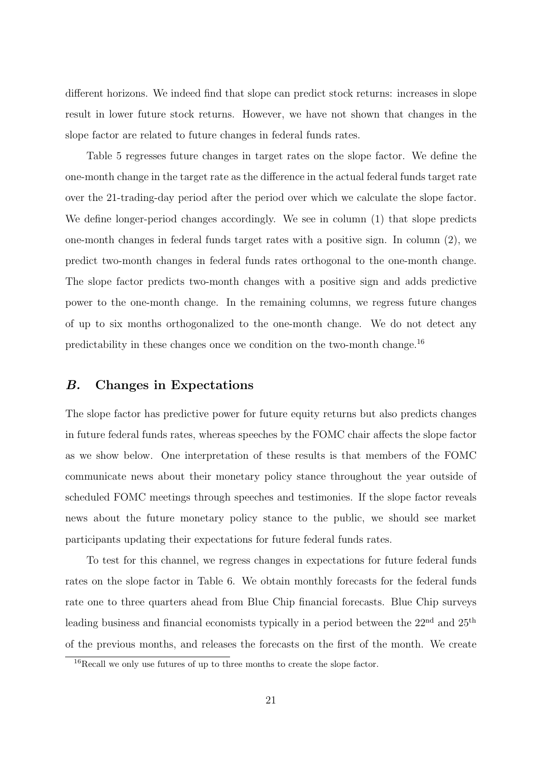different horizons. We indeed find that slope can predict stock returns: increases in slope result in lower future stock returns. However, we have not shown that changes in the slope factor are related to future changes in federal funds rates.

Table [5](#page-37-0) regresses future changes in target rates on the slope factor. We define the one-month change in the target rate as the difference in the actual federal funds target rate over the 21-trading-day period after the period over which we calculate the slope factor. We define longer-period changes accordingly. We see in column (1) that slope predicts one-month changes in federal funds target rates with a positive sign. In column (2), we predict two-month changes in federal funds rates orthogonal to the one-month change. The slope factor predicts two-month changes with a positive sign and adds predictive power to the one-month change. In the remaining columns, we regress future changes of up to six months orthogonalized to the one-month change. We do not detect any predictability in these changes once we condition on the two-month change.[16](#page-0-0)

# <span id="page-20-0"></span>B. Changes in Expectations

The slope factor has predictive power for future equity returns but also predicts changes in future federal funds rates, whereas speeches by the FOMC chair affects the slope factor as we show below. One interpretation of these results is that members of the FOMC communicate news about their monetary policy stance throughout the year outside of scheduled FOMC meetings through speeches and testimonies. If the slope factor reveals news about the future monetary policy stance to the public, we should see market participants updating their expectations for future federal funds rates.

To test for this channel, we regress changes in expectations for future federal funds rates on the slope factor in Table [6.](#page-38-0) We obtain monthly forecasts for the federal funds rate one to three quarters ahead from Blue Chip financial forecasts. Blue Chip surveys leading business and financial economists typically in a period between the  $22<sup>nd</sup>$  and  $25<sup>th</sup>$ of the previous months, and releases the forecasts on the first of the month. We create

<sup>&</sup>lt;sup>16</sup>Recall we only use futures of up to three months to create the slope factor.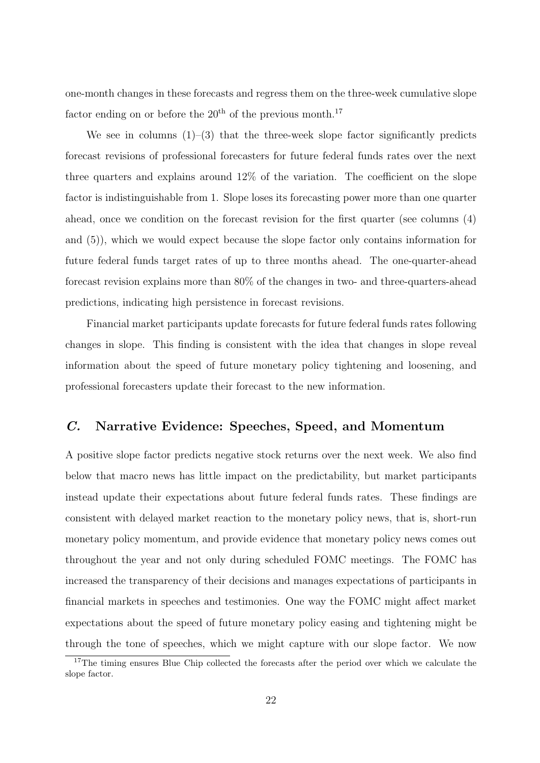one-month changes in these forecasts and regress them on the three-week cumulative slope factor ending on or before the  $20<sup>th</sup>$  of the previous month.<sup>[17](#page-0-0)</sup>

We see in columns  $(1)$ – $(3)$  that the three-week slope factor significantly predicts forecast revisions of professional forecasters for future federal funds rates over the next three quarters and explains around 12% of the variation. The coefficient on the slope factor is indistinguishable from 1. Slope loses its forecasting power more than one quarter ahead, once we condition on the forecast revision for the first quarter (see columns (4) and (5)), which we would expect because the slope factor only contains information for future federal funds target rates of up to three months ahead. The one-quarter-ahead forecast revision explains more than 80% of the changes in two- and three-quarters-ahead predictions, indicating high persistence in forecast revisions.

Financial market participants update forecasts for future federal funds rates following changes in slope. This finding is consistent with the idea that changes in slope reveal information about the speed of future monetary policy tightening and loosening, and professional forecasters update their forecast to the new information.

# C. Narrative Evidence: Speeches, Speed, and Momentum

A positive slope factor predicts negative stock returns over the next week. We also find below that macro news has little impact on the predictability, but market participants instead update their expectations about future federal funds rates. These findings are consistent with delayed market reaction to the monetary policy news, that is, short-run monetary policy momentum, and provide evidence that monetary policy news comes out throughout the year and not only during scheduled FOMC meetings. The FOMC has increased the transparency of their decisions and manages expectations of participants in financial markets in speeches and testimonies. One way the FOMC might affect market expectations about the speed of future monetary policy easing and tightening might be through the tone of speeches, which we might capture with our slope factor. We now

<sup>&</sup>lt;sup>17</sup>The timing ensures Blue Chip collected the forecasts after the period over which we calculate the slope factor.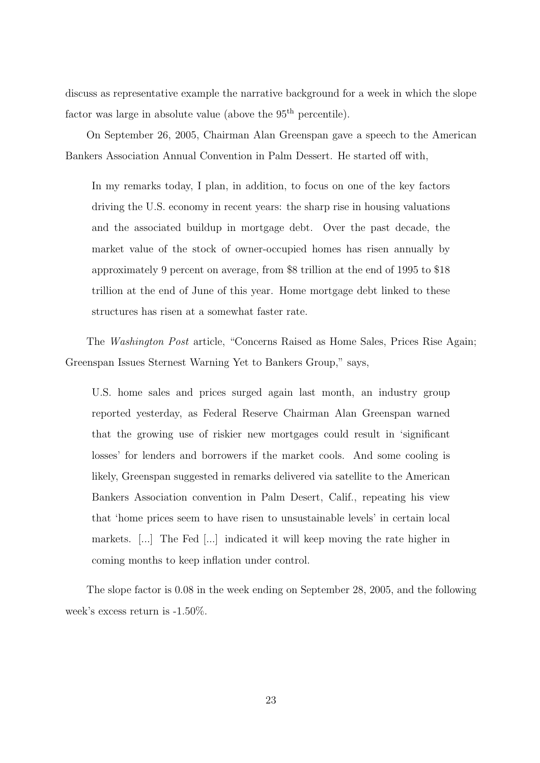discuss as representative example the narrative background for a week in which the slope factor was large in absolute value (above the  $95<sup>th</sup>$  percentile).

On September 26, 2005, Chairman Alan Greenspan gave a speech to the American Bankers Association Annual Convention in Palm Dessert. He started off with,

In my remarks today, I plan, in addition, to focus on one of the key factors driving the U.S. economy in recent years: the sharp rise in housing valuations and the associated buildup in mortgage debt. Over the past decade, the market value of the stock of owner-occupied homes has risen annually by approximately 9 percent on average, from \$8 trillion at the end of 1995 to \$18 trillion at the end of June of this year. Home mortgage debt linked to these structures has risen at a somewhat faster rate.

The Washington Post article, "Concerns Raised as Home Sales, Prices Rise Again; Greenspan Issues Sternest Warning Yet to Bankers Group," says,

U.S. home sales and prices surged again last month, an industry group reported yesterday, as Federal Reserve Chairman Alan Greenspan warned that the growing use of riskier new mortgages could result in 'significant losses' for lenders and borrowers if the market cools. And some cooling is likely, Greenspan suggested in remarks delivered via satellite to the American Bankers Association convention in Palm Desert, Calif., repeating his view that 'home prices seem to have risen to unsustainable levels' in certain local markets. [...] The Fed [...] indicated it will keep moving the rate higher in coming months to keep inflation under control.

The slope factor is 0.08 in the week ending on September 28, 2005, and the following week's excess return is -1.50%.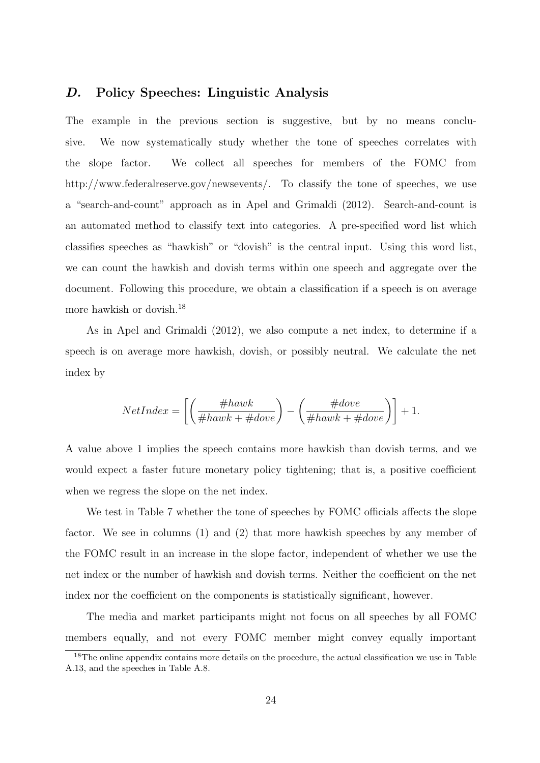# <span id="page-23-0"></span>D. Policy Speeches: Linguistic Analysis

The example in the previous section is suggestive, but by no means conclusive. We now systematically study whether the tone of speeches correlates with the slope factor. We collect all speeches for members of the FOMC from http://www.federalreserve.gov/newsevents/. To classify the tone of speeches, we use a "search-and-count" approach as in [Apel and Grimaldi](#page-27-19) [\(2012\)](#page-27-19). Search-and-count is an automated method to classify text into categories. A pre-specified word list which classifies speeches as "hawkish" or "dovish" is the central input. Using this word list, we can count the hawkish and dovish terms within one speech and aggregate over the document. Following this procedure, we obtain a classification if a speech is on average more hawkish or dovish.[18](#page-0-0)

As in [Apel and Grimaldi](#page-27-19) [\(2012\)](#page-27-19), we also compute a net index, to determine if a speech is on average more hawkish, dovish, or possibly neutral. We calculate the net index by

$$
NetIndex = \left[ \left( \frac{\#hawk}{\#hawk + \#dove} \right) - \left( \frac{\#dove}{\#hawk + \#dove} \right) \right] + 1.
$$

A value above 1 implies the speech contains more hawkish than dovish terms, and we would expect a faster future monetary policy tightening; that is, a positive coefficient when we regress the slope on the net index.

We test in Table [7](#page-39-0) whether the tone of speeches by FOMC officials affects the slope factor. We see in columns (1) and (2) that more hawkish speeches by any member of the FOMC result in an increase in the slope factor, independent of whether we use the net index or the number of hawkish and dovish terms. Neither the coefficient on the net index nor the coefficient on the components is statistically significant, however.

The media and market participants might not focus on all speeches by all FOMC members equally, and not every FOMC member might convey equally important

<sup>&</sup>lt;sup>18</sup>The online appendix contains more details on the procedure, the actual classification we use in Table [A.13,](#page-61-0) and the speeches in Table [A.8.](#page-56-0)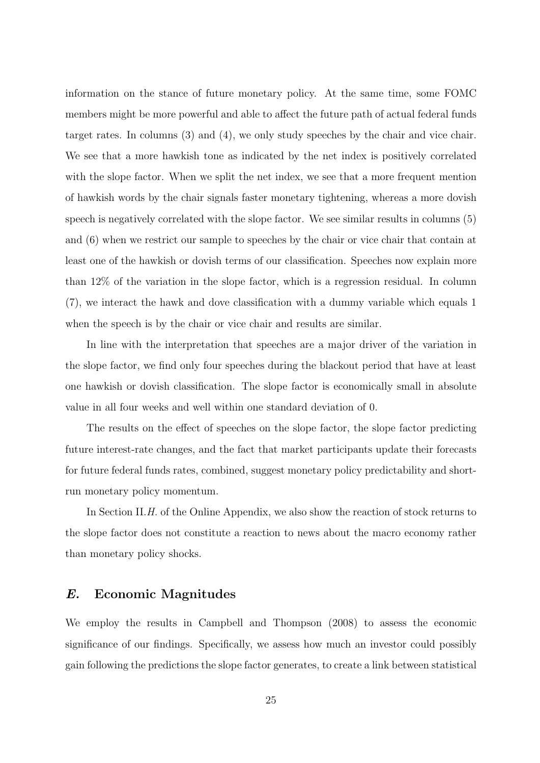information on the stance of future monetary policy. At the same time, some FOMC members might be more powerful and able to affect the future path of actual federal funds target rates. In columns (3) and (4), we only study speeches by the chair and vice chair. We see that a more hawkish tone as indicated by the net index is positively correlated with the slope factor. When we split the net index, we see that a more frequent mention of hawkish words by the chair signals faster monetary tightening, whereas a more dovish speech is negatively correlated with the slope factor. We see similar results in columns (5) and (6) when we restrict our sample to speeches by the chair or vice chair that contain at least one of the hawkish or dovish terms of our classification. Speeches now explain more than 12% of the variation in the slope factor, which is a regression residual. In column (7), we interact the hawk and dove classification with a dummy variable which equals 1 when the speech is by the chair or vice chair and results are similar.

In line with the interpretation that speeches are a major driver of the variation in the slope factor, we find only four speeches during the blackout period that have at least one hawkish or dovish classification. The slope factor is economically small in absolute value in all four weeks and well within one standard deviation of 0.

The results on the effect of speeches on the slope factor, the slope factor predicting future interest-rate changes, and the fact that market participants update their forecasts for future federal funds rates, combined, suggest monetary policy predictability and shortrun monetary policy momentum.

In Section [II.](#page-7-0)[H.](#page-44-0) of the Online Appendix, we also show the reaction of stock returns to the slope factor does not constitute a reaction to news about the macro economy rather than monetary policy shocks.

# E. Economic Magnitudes

We employ the results in [Campbell and Thompson](#page-27-1) [\(2008\)](#page-27-1) to assess the economic significance of our findings. Specifically, we assess how much an investor could possibly gain following the predictions the slope factor generates, to create a link between statistical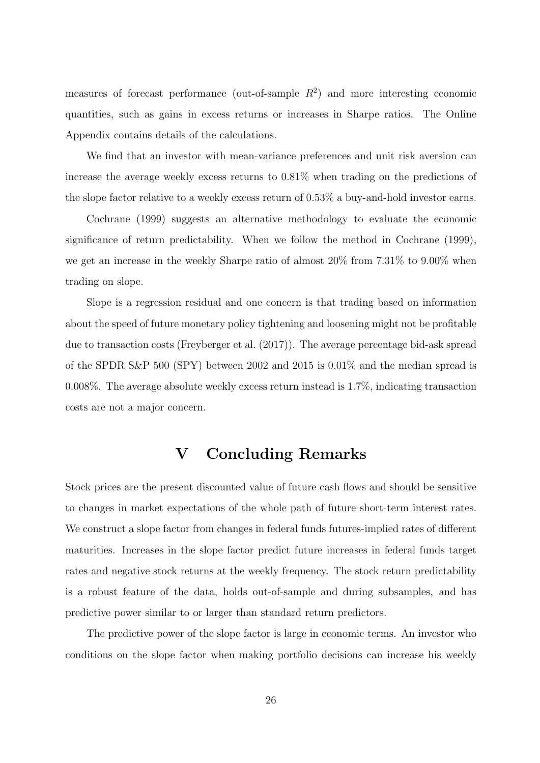measures of forecast performance (out-of-sample  $R^2$ ) and more interesting economic quantities, such as gains in excess returns or increases in Sharpe ratios. The Online Appendix contains details of the calculations.

We find that an investor with mean-variance preferences and unit risk aversion can increase the average weekly excess returns to 0.81% when trading on the predictions of the slope factor relative to a weekly excess return of 0.53% a buy-and-hold investor earns.

[Cochrane](#page-27-2) [\(1999\)](#page-27-2) suggests an alternative methodology to evaluate the economic significance of return predictability. When we follow the method in [Cochrane](#page-27-2) [\(1999\)](#page-27-2), we get an increase in the weekly Sharpe ratio of almost 20% from 7.31% to 9.00% when trading on slope.

Slope is a regression residual and one concern is that trading based on information about the speed of future monetary policy tightening and loosening might not be profitable due to transaction costs [\(Freyberger et al.](#page-28-17) [\(2017\)](#page-28-17)). The average percentage bid-ask spread of the SPDR S&P 500 (SPY) between 2002 and 2015 is 0.01% and the median spread is 0.008%. The average absolute weekly excess return instead is 1.7%, indicating transaction costs are not a major concern.

# V Concluding Remarks

Stock prices are the present discounted value of future cash flows and should be sensitive to changes in market expectations of the whole path of future short-term interest rates. We construct a slope factor from changes in federal funds futures-implied rates of different maturities. Increases in the slope factor predict future increases in federal funds target rates and negative stock returns at the weekly frequency. The stock return predictability is a robust feature of the data, holds out-of-sample and during subsamples, and has predictive power similar to or larger than standard return predictors.

The predictive power of the slope factor is large in economic terms. An investor who conditions on the slope factor when making portfolio decisions can increase his weekly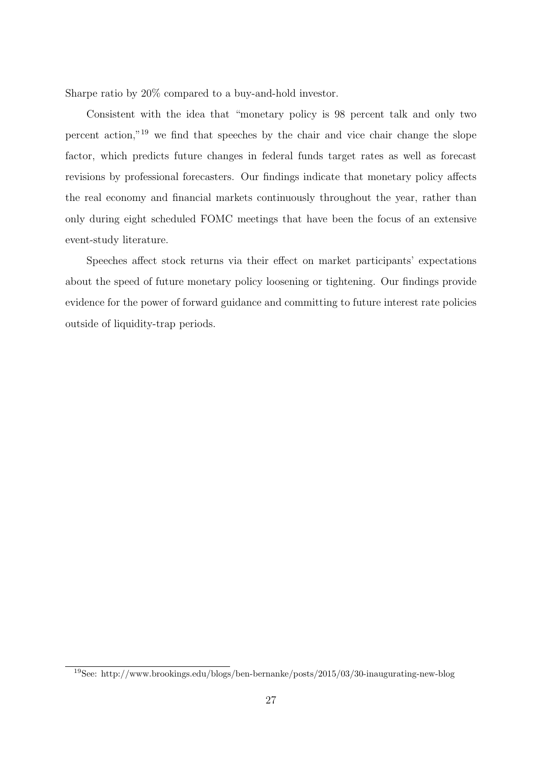Sharpe ratio by 20% compared to a buy-and-hold investor.

Consistent with the idea that "monetary policy is 98 percent talk and only two percent action,"[19](#page-0-0) we find that speeches by the chair and vice chair change the slope factor, which predicts future changes in federal funds target rates as well as forecast revisions by professional forecasters. Our findings indicate that monetary policy affects the real economy and financial markets continuously throughout the year, rather than only during eight scheduled FOMC meetings that have been the focus of an extensive event-study literature.

Speeches affect stock returns via their effect on market participants' expectations about the speed of future monetary policy loosening or tightening. Our findings provide evidence for the power of forward guidance and committing to future interest rate policies outside of liquidity-trap periods.

<sup>19</sup>See: http://www.brookings.edu/blogs/ben-bernanke/posts/2015/03/30-inaugurating-new-blog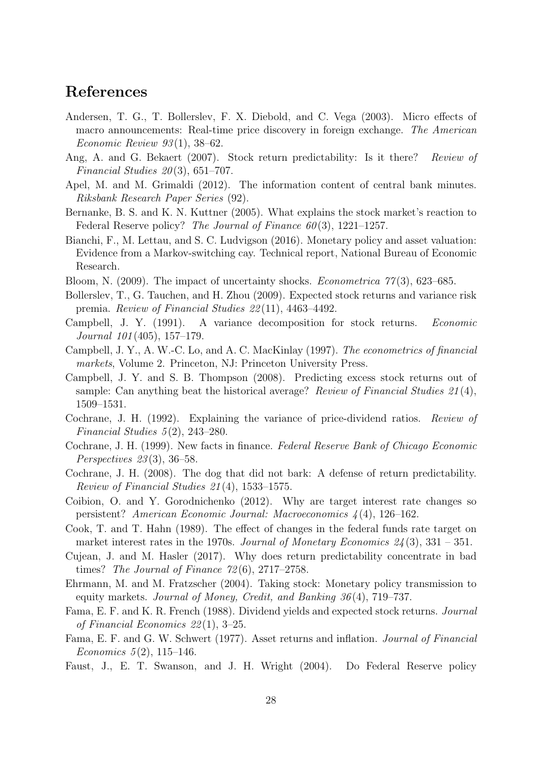# References

- <span id="page-27-11"></span>Andersen, T. G., T. Bollerslev, F. X. Diebold, and C. Vega (2003). Micro effects of macro announcements: Real-time price discovery in foreign exchange. The American Economic Review  $93(1)$ , 38–62.
- <span id="page-27-8"></span>Ang, A. and G. Bekaert (2007). Stock return predictability: Is it there? Review of Financial Studies  $20(3)$ , 651–707.
- <span id="page-27-19"></span>Apel, M. and M. Grimaldi (2012). The information content of central bank minutes. Riksbank Research Paper Series (92).
- <span id="page-27-0"></span>Bernanke, B. S. and K. N. Kuttner (2005). What explains the stock market's reaction to Federal Reserve policy? The Journal of Finance  $60(3)$ , 1221–1257.
- <span id="page-27-10"></span>Bianchi, F., M. Lettau, and S. C. Ludvigson (2016). Monetary policy and asset valuation: Evidence from a Markov-switching cay. Technical report, National Bureau of Economic Research.
- <span id="page-27-18"></span>Bloom, N. (2009). The impact of uncertainty shocks. *Econometrica*  $77(3)$ , 623–685.
- <span id="page-27-14"></span>Bollerslev, T., G. Tauchen, and H. Zhou (2009). Expected stock returns and variance risk premia. Review of Financial Studies 22 (11), 4463–4492.
- <span id="page-27-5"></span>Campbell, J. Y. (1991). A variance decomposition for stock returns. Economic Journal 101 (405), 157–179.
- <span id="page-27-13"></span>Campbell, J. Y., A. W.-C. Lo, and A. C. MacKinlay (1997). The econometrics of financial markets, Volume 2. Princeton, NJ: Princeton University Press.
- <span id="page-27-1"></span>Campbell, J. Y. and S. B. Thompson (2008). Predicting excess stock returns out of sample: Can anything beat the historical average? Review of Financial Studies  $21(4)$ , 1509–1531.
- <span id="page-27-6"></span>Cochrane, J. H. (1992). Explaining the variance of price-dividend ratios. Review of Financial Studies  $5(2)$ , 243–280.
- <span id="page-27-2"></span>Cochrane, J. H. (1999). New facts in finance. Federal Reserve Bank of Chicago Economic Perspectives 23 (3), 36–58.
- <span id="page-27-7"></span>Cochrane, J. H. (2008). The dog that did not bark: A defense of return predictability. Review of Financial Studies 21 (4), 1533–1575.
- <span id="page-27-15"></span>Coibion, O. and Y. Gorodnichenko (2012). Why are target interest rate changes so persistent? American Economic Journal: Macroeconomics 4 (4), 126–162.
- <span id="page-27-3"></span>Cook, T. and T. Hahn (1989). The effect of changes in the federal funds rate target on market interest rates in the 1970s. Journal of Monetary Economics  $24(3)$ ,  $331 - 351$ .
- <span id="page-27-17"></span>Cujean, J. and M. Hasler (2017). Why does return predictability concentrate in bad times? The Journal of Finance  $72(6)$ , 2717–2758.
- <span id="page-27-4"></span>Ehrmann, M. and M. Fratzscher (2004). Taking stock: Monetary policy transmission to equity markets. Journal of Money, Credit, and Banking 36 (4), 719–737.
- <span id="page-27-9"></span>Fama, E. F. and K. R. French (1988). Dividend yields and expected stock returns. Journal of Financial Economics 22 (1), 3–25.
- <span id="page-27-12"></span>Fama, E. F. and G. W. Schwert (1977). Asset returns and inflation. Journal of Financial Economics  $5(2)$ , 115–146.
- <span id="page-27-16"></span>Faust, J., E. T. Swanson, and J. H. Wright (2004). Do Federal Reserve policy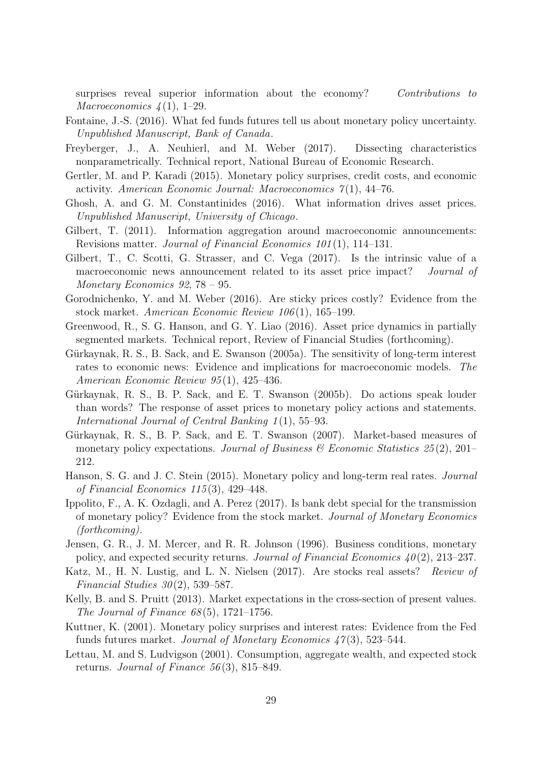surprises reveal superior information about the economy? Contributions to Macroeconomics  $\frac{1}{4}(1)$ , 1–29.

- <span id="page-28-5"></span>Fontaine, J.-S. (2016). What fed funds futures tell us about monetary policy uncertainty. Unpublished Manuscript, Bank of Canada.
- <span id="page-28-17"></span>Freyberger, J., A. Neuhierl, and M. Weber (2017). Dissecting characteristics nonparametrically. Technical report, National Bureau of Economic Research.
- <span id="page-28-1"></span>Gertler, M. and P. Karadi (2015). Monetary policy surprises, credit costs, and economic activity. American Economic Journal: Macroeconomics  $\tilde{\gamma}(1)$ , 44–76.
- <span id="page-28-12"></span>Ghosh, A. and G. M. Constantinides (2016). What information drives asset prices. Unpublished Manuscript, University of Chicago.
- <span id="page-28-10"></span>Gilbert, T. (2011). Information aggregation around macroeconomic announcements: Revisions matter. Journal of Financial Economics 101 (1), 114–131.
- <span id="page-28-11"></span>Gilbert, T., C. Scotti, G. Strasser, and C. Vega (2017). Is the intrinsic value of a macroeconomic news announcement related to its asset price impact? *Journal of* Monetary Economics 92, 78 – 95.
- <span id="page-28-2"></span>Gorodnichenko, Y. and M. Weber (2016). Are sticky prices costly? Evidence from the stock market. American Economic Review 106 (1), 165–199.
- <span id="page-28-3"></span>Greenwood, R., S. G. Hanson, and G. Y. Liao (2016). Asset price dynamics in partially segmented markets. Technical report, Review of Financial Studies (forthcoming).
- <span id="page-28-9"></span>Gürkaynak, R. S., B. Sack, and E. Swanson (2005a). The sensitivity of long-term interest rates to economic news: Evidence and implications for macroeconomic models. The American Economic Review 95 (1), 425–436.
- <span id="page-28-0"></span>Gürkaynak, R. S., B. P. Sack, and E. T. Swanson (2005b). Do actions speak louder than words? The response of asset prices to monetary policy actions and statements. International Journal of Central Banking 1(1), 55–93.
- <span id="page-28-14"></span>Gürkaynak, R. S., B. P. Sack, and E. T. Swanson (2007). Market-based measures of monetary policy expectations. Journal of Business  $\mathcal C$  Economic Statistics 25(2), 201– 212.
- <span id="page-28-4"></span>Hanson, S. G. and J. C. Stein (2015). Monetary policy and long-term real rates. Journal of Financial Economics 115 (3), 429–448.
- <span id="page-28-6"></span>Ippolito, F., A. K. Ozdagli, and A. Perez (2017). Is bank debt special for the transmission of monetary policy? Evidence from the stock market. Journal of Monetary Economics (forthcoming).
- <span id="page-28-16"></span>Jensen, G. R., J. M. Mercer, and R. R. Johnson (1996). Business conditions, monetary policy, and expected security returns. Journal of Financial Economics  $40(2)$ , 213–237.
- <span id="page-28-15"></span>Katz, M., H. N. Lustig, and L. N. Nielsen (2017). Are stocks real assets? Review of Financial Studies  $30(2)$ , 539–587.
- <span id="page-28-8"></span>Kelly, B. and S. Pruitt (2013). Market expectations in the cross-section of present values. The Journal of Finance  $68(5)$ , 1721–1756.
- <span id="page-28-13"></span>Kuttner, K. (2001). Monetary policy surprises and interest rates: Evidence from the Fed funds futures market. Journal of Monetary Economics  $47(3)$ , 523–544.
- <span id="page-28-7"></span>Lettau, M. and S. Ludvigson (2001). Consumption, aggregate wealth, and expected stock returns. Journal of Finance  $56(3)$ , 815–849.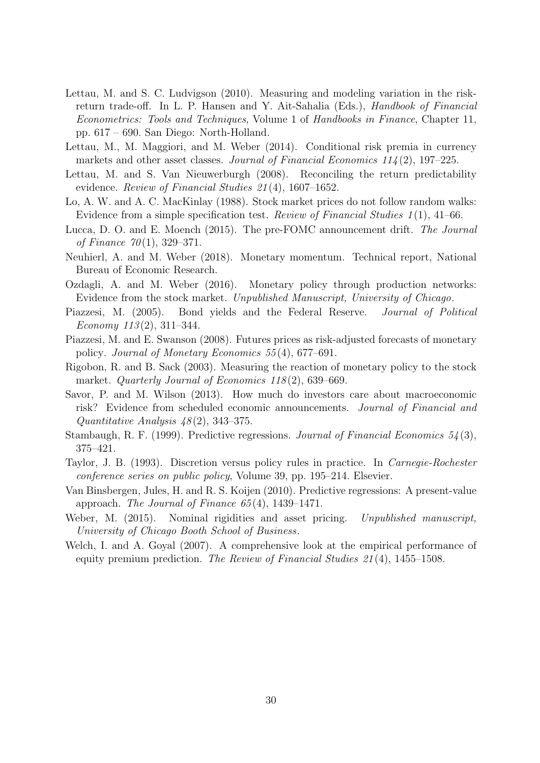- <span id="page-29-13"></span>Lettau, M. and S. C. Ludvigson (2010). Measuring and modeling variation in the riskreturn trade-off. In L. P. Hansen and Y. Ait-Sahalia (Eds.), Handbook of Financial Econometrics: Tools and Techniques, Volume 1 of Handbooks in Finance, Chapter 11, pp. 617 – 690. San Diego: North-Holland.
- <span id="page-29-15"></span>Lettau, M., M. Maggiori, and M. Weber (2014). Conditional risk premia in currency markets and other asset classes. Journal of Financial Economics  $114(2)$ , 197–225.
- <span id="page-29-7"></span>Lettau, M. and S. Van Nieuwerburgh (2008). Reconciling the return predictability evidence. Review of Financial Studies 21 (4), 1607–1652.
- <span id="page-29-1"></span>Lo, A. W. and A. C. MacKinlay (1988). Stock market prices do not follow random walks: Evidence from a simple specification test. Review of Financial Studies 1 (1), 41–66.
- <span id="page-29-0"></span>Lucca, D. O. and E. Moench (2015). The pre-FOMC announcement drift. The Journal of Finance  $70(1)$ , 329–371.
- <span id="page-29-4"></span>Neuhierl, A. and M. Weber (2018). Monetary momentum. Technical report, National Bureau of Economic Research.
- <span id="page-29-3"></span>Ozdagli, A. and M. Weber (2016). Monetary policy through production networks: Evidence from the stock market. Unpublished Manuscript, University of Chicago.
- <span id="page-29-14"></span>Piazzesi, M. (2005). Bond yields and the Federal Reserve. Journal of Political Economy  $113(2)$ , 311–344.
- <span id="page-29-9"></span>Piazzesi, M. and E. Swanson (2008). Futures prices as risk-adjusted forecasts of monetary policy. Journal of Monetary Economics 55 (4), 677–691.
- <span id="page-29-11"></span>Rigobon, R. and B. Sack (2003). Measuring the reaction of monetary policy to the stock market. Quarterly Journal of Economics  $118(2)$ , 639–669.
- <span id="page-29-5"></span>Savor, P. and M. Wilson (2013). How much do investors care about macroeconomic risk? Evidence from scheduled economic announcements. Journal of Financial and Quantitative Analysis  $48(2)$ , 343–375.
- <span id="page-29-10"></span>Stambaugh, R. F. (1999). Predictive regressions. Journal of Financial Economics 54 (3), 375–421.
- <span id="page-29-12"></span>Taylor, J. B. (1993). Discretion versus policy rules in practice. In Carnegie-Rochester conference series on public policy, Volume 39, pp. 195–214. Elsevier.
- <span id="page-29-8"></span>Van Binsbergen, Jules, H. and R. S. Koijen (2010). Predictive regressions: A present-value approach. The Journal of Finance  $65(4)$ , 1439–1471.
- <span id="page-29-6"></span>Weber, M. (2015). Nominal rigidities and asset pricing. Unpublished manuscript, University of Chicago Booth School of Business.
- <span id="page-29-2"></span>Welch, I. and A. Goyal (2007). A comprehensive look at the empirical performance of equity premium prediction. The Review of Financial Studies 21 (4), 1455–1508.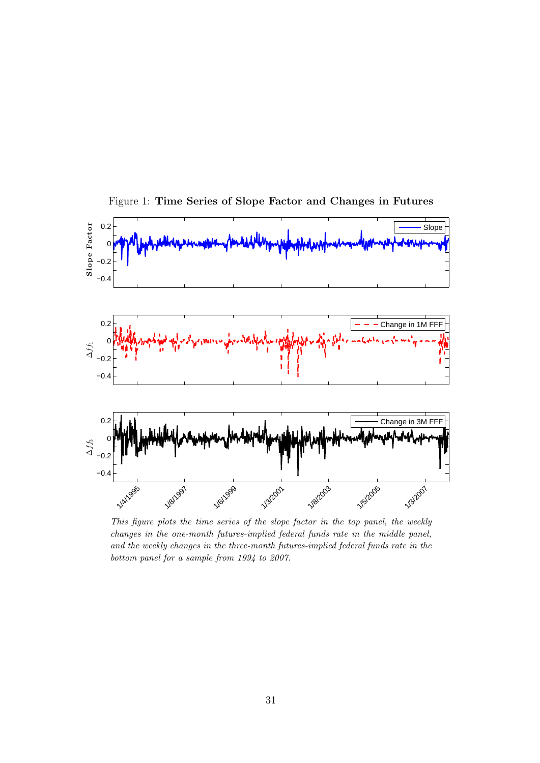

<span id="page-30-0"></span>Figure 1: Time Series of Slope Factor and Changes in Futures

This figure plots the time series of the slope factor in the top panel, the weekly changes in the one-month futures-implied federal funds rate in the middle panel, and the weekly changes in the three-month futures-implied federal funds rate in the bottom panel for a sample from 1994 to 2007.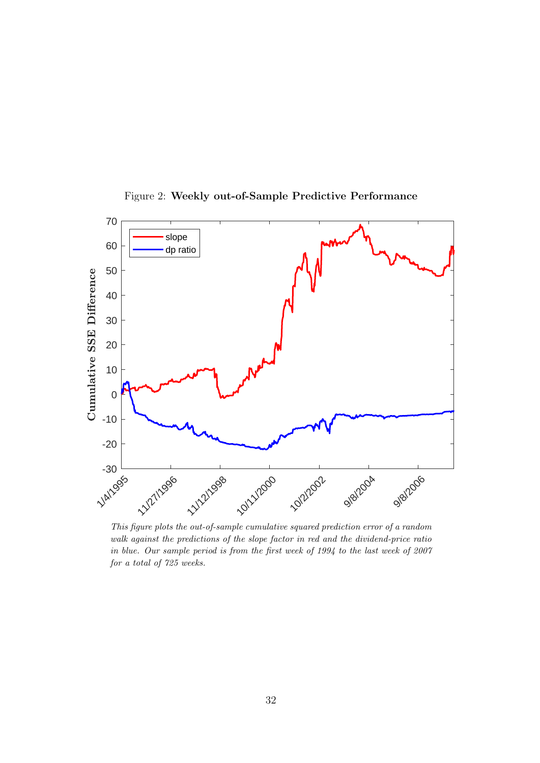

<span id="page-31-0"></span>Figure 2: Weekly out-of-Sample Predictive Performance

This figure plots the out-of-sample cumulative squared prediction error of a random walk against the predictions of the slope factor in red and the dividend-price ratio in blue. Our sample period is from the first week of 1994 to the last week of 2007 for a total of 725 weeks.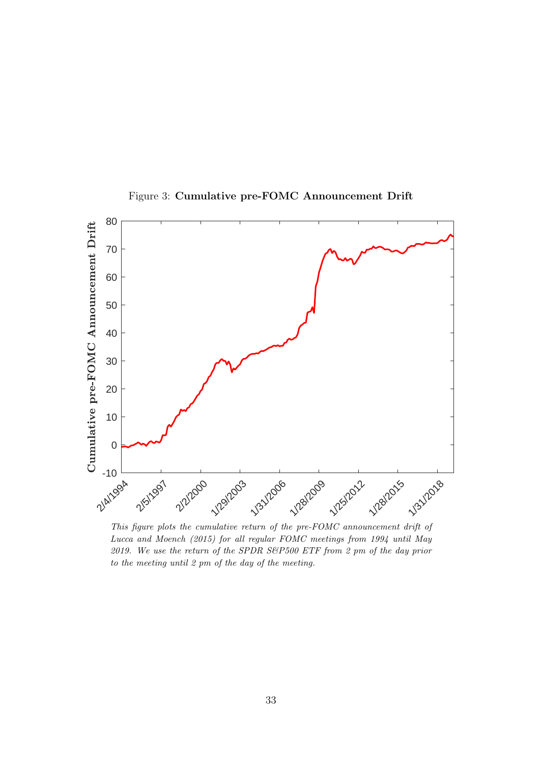

<span id="page-32-0"></span>Figure 3: Cumulative pre-FOMC Announcement Drift

This figure plots the cumulative return of the pre-FOMC announcement drift of [Lucca and Moench](#page-29-0) [\(2015\)](#page-29-0) for all regular FOMC meetings from 1994 until May 2019. We use the return of the SPDR S&P500 ETF from 2 pm of the day prior to the meeting until 2 pm of the day of the meeting.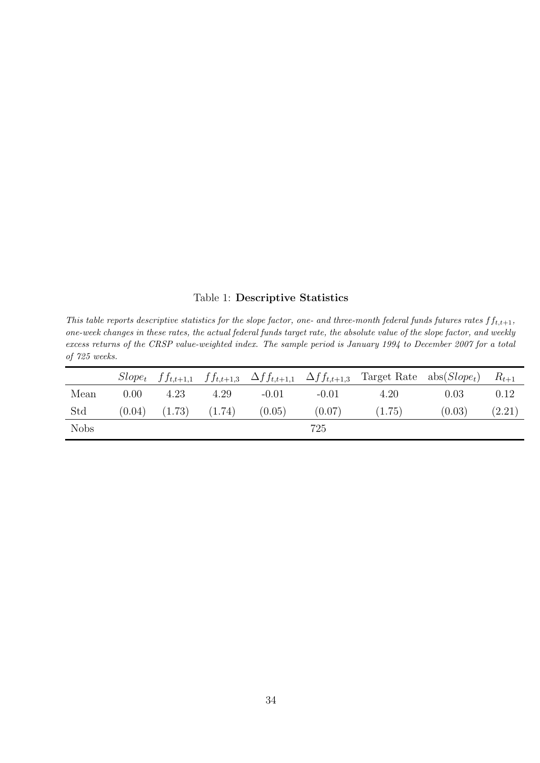# <span id="page-33-0"></span>Table 1: Descriptive Statistics

This table reports descriptive statistics for the slope factor, one- and three-month federal funds futures rates  $ff_{t,t+1}$ , one-week changes in these rates, the actual federal funds target rate, the absolute value of the slope factor, and weekly excess returns of the CRSP value-weighted index. The sample period is January 1994 to December 2007 for a total of 725 weeks.

|             |        |        |        |         | $Slope_t$ $ff_{t,t+1,1}$ $ff_{t,t+1,3}$ $\Delta ff_{t,t+1,1}$ $\Delta ff_{t,t+1,3}$ | Target Rate $\text{abs}(Slope_t)$ |        | $R_{t+1}$ |
|-------------|--------|--------|--------|---------|-------------------------------------------------------------------------------------|-----------------------------------|--------|-----------|
| Mean        | 0.00   | 4.23   | 4.29   | $-0.01$ | $-0.01$                                                                             | 4.20                              | 0.03   | 0.12      |
| Std         | (0.04) | (1.73) | (1.74) | (0.05)  | (0.07)                                                                              | (1.75)                            | (0.03) | (2.21)    |
| <b>Nobs</b> |        |        |        |         | 725                                                                                 |                                   |        |           |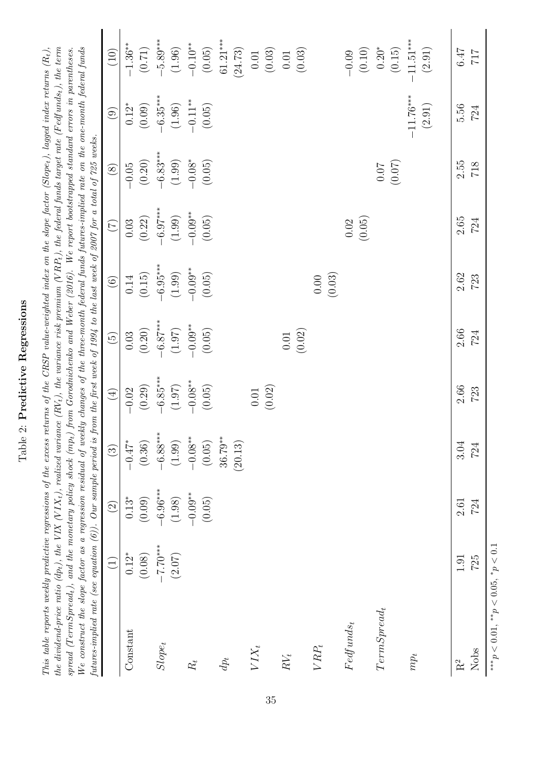| י<br>הכתיבת<br>r<br>S<br>ţ<br>c<br>5     |
|------------------------------------------|
| $\ddot{\phantom{0}}$<br>ξ<br>į<br>j<br>I |
| i<br>C                                   |
| ļ                                        |

the dividend-price ratio (dp<sub>t</sub>), the VIX (VIX<sub>t</sub>), realized variance (RV<sub>t</sub>), the variance risk premium (VRP<sub>t</sub>), the federal funds target rate (Fedfunds<sub>t</sub>), the term This table reports weekly predictive regressions of the excess returns of the CRSP value-weighted index on the slope factor (Slope<sub>t</sub>), lagged index returns  $(R_t)$ ,  $spread (TermSpred_t), and the monetary policy shock (mp_t) from Gordon scheme, and Weber (2016). We report bootstrapped standard errors in parentheses.$ We construct the slope factor as a regression residual of weekly changes of the three-month federal funds futures-implied rate on the one-month federal funds This table reports weekly predictive regressions of the excess returns of the CRSP value-weighted index on the slope factor (Slope<sub>t</sub>), lagged index returns  $(R_t)$ , the dividend-price ratio (dpt), the VIX (V IXt), realized variance (RVt), the variance risk premium (V RPt), the federal funds target rate (F edfundst), the term We construct the slope factor as a regression residual of weekly changes of the three-month federal funds futures-implied rate on the one-month federal funds  $spread (TermSpred_t), and the monetary policy shock (mp_t) from Gorodnichehko and Weber (2016). We report bootstrapped standard errors in parentheses, we can show that the number of nodes in the data. The number of nodes are 100000, and the number of nodes are 100000, and the number of nodes are 100000, and the number of nodes are 100000, and the number of nodes are 100000, and the number of nodes are 100000, and the number of nodes are 1000000, and the number of nodes are 1000000, and the number of nodes are 1000000, and the number of nodes are 10000000, and the number of nodes are 10000000, and the number of nodes are$  $spread (TermSpred_t), and the monetary policy shock (mp_t) from Gorodnichehko and Weber (2016). We report bootstrapped standard errors in parentheses, we can show that the number of nodes in the data. The number of nodes are 100000, and the number of nodes are 100000, and the number of nodes are 100000, and the number of nodes are 100000, and the number of nodes are 100000, and the number of nodes are 100000, and the number of nodes are 1000000, and the number of nodes are 1000000, and the number of nodes are 1000000, and the number of nodes are 10000000, and the number of nodes are 10000000, and the number of nodes are$  $spread (TermSpred_t), and the monetary policy shock (mp_t) from Gorodnichehko and Weber (2016). We report bootstrapped standard errors in parentheses, we can show that the number of nodes in the data. The number of nodes are 100000, and the number of nodes are 100000, and the number of nodes are 100000, and the number of nodes are 100000, and the number of nodes are 100000, and the number of nodes are 100000, and the number of nodes are 1000000, and the number of nodes are 1000000, and the number of nodes are 1000000, and the number of nodes are 10000000, and the number of nodes are 10000000, and the number of nodes are$ futures-implied rate (see equation (6)). Our sample period is from the first week of 1994 to the last week of 2007 for a total of 725 weeks. futures-implied rate (see equation [\(6\)](#page-10-0)). Our sample period is from the first week of 1994 to the last week of 2007 for a total of 725 weeks.

<span id="page-34-0"></span>

|                                              | $\widehat{\Xi}$ | $\widehat{c}$ | $\odot$              | $\tag{4}$            | $\widetilde{G}$                 | $\odot$                                         | $\begin{pmatrix} 7 \end{pmatrix}$                                                    | $\begin{pmatrix} 8 \end{pmatrix}$              | $\begin{array}{c} \textcircled{\scriptsize{1}} \end{array}$ | $(10)$                                                             |
|----------------------------------------------|-----------------|---------------|----------------------|----------------------|---------------------------------|-------------------------------------------------|--------------------------------------------------------------------------------------|------------------------------------------------|-------------------------------------------------------------|--------------------------------------------------------------------|
| Constant                                     | $0.12*$         | $0.13*$       | $-0.47^*$            | $-0.02$              |                                 | $0.14\,$                                        |                                                                                      | $-0.05$                                        | $0.12^{\ast}$                                               | $-1.36***$                                                         |
|                                              | (0.08)          | (0.09)        | (0.36)               | (0.29)               | (0.03)                          | (0.15)                                          |                                                                                      | $(0.20)$                                       | $(0.09)$                                                    | $(0.71)$                                                           |
| $Slope_t$                                    | $-7.70$ ***0    | $-6.96***$    |                      |                      |                                 |                                                 |                                                                                      |                                                |                                                             |                                                                    |
|                                              | (2.07)          | (1.98)        | $-6.88***$<br>(1.99) | $-6.85***$<br>(1.97) | $-6.87***$<br>(1.97)<br>-0.09** | $-6.95***$<br>$(1.99)$<br>$-0.09**$<br>$(0.05)$ | $\begin{array}{c} 0.03 \\ (0.22) \\ -6.97^{***} \\ (1.99) \\ -0.05^{**} \end{array}$ | $-6.83***$<br>$(1.99)$<br>$-0.08*$<br>$(0.05)$ | $-6.35***$<br>$(1.96)$<br>$-0.11**$<br>$(0.05)$             |                                                                    |
| $R_{t}$                                      |                 | $-0.09**$     | $-0.08***$           |                      |                                 |                                                 |                                                                                      |                                                |                                                             |                                                                    |
|                                              |                 | (0.05)        | (0.05)               | $-0.08$ **<br>(0.05) | (0.05)                          |                                                 |                                                                                      |                                                |                                                             | $-5.89***$<br>(1.96)<br>(1.96)<br>$-0.10**$<br>(0.05)              |
| $dp_t$                                       |                 |               | $36.79***$           |                      |                                 |                                                 |                                                                                      |                                                |                                                             | $61.21***$                                                         |
|                                              |                 |               | (20.13)              |                      |                                 |                                                 |                                                                                      |                                                |                                                             | (24.73)                                                            |
| $VIX_t$                                      |                 |               |                      |                      |                                 |                                                 |                                                                                      |                                                |                                                             | $0.01\,$                                                           |
|                                              |                 |               |                      | (0.01)               |                                 |                                                 |                                                                                      |                                                |                                                             |                                                                    |
| $\cal RV_t$                                  |                 |               |                      |                      |                                 |                                                 |                                                                                      |                                                |                                                             | $\begin{array}{c} (0.03) \\ 0.01 \\ (0.03) \end{array}$            |
|                                              |                 |               |                      |                      | (0.01)                          |                                                 |                                                                                      |                                                |                                                             |                                                                    |
| $V R P_t$                                    |                 |               |                      |                      |                                 | (0.03)<br>$0.00\,$                              |                                                                                      |                                                |                                                             |                                                                    |
|                                              |                 |               |                      |                      |                                 |                                                 |                                                                                      |                                                |                                                             |                                                                    |
| $Fedfunds_t$                                 |                 |               |                      |                      |                                 |                                                 | (0.05)<br>$0.02\,$                                                                   |                                                |                                                             | $\begin{array}{c} -0.09 \\ (0.10) \\ 0.20^* \\ (0.15) \end{array}$ |
|                                              |                 |               |                      |                      |                                 |                                                 |                                                                                      |                                                |                                                             |                                                                    |
| $TermSpred_t$                                |                 |               |                      |                      |                                 |                                                 |                                                                                      | (70.07)                                        |                                                             |                                                                    |
|                                              |                 |               |                      |                      |                                 |                                                 |                                                                                      |                                                |                                                             |                                                                    |
| $mp_t$                                       |                 |               |                      |                      |                                 |                                                 |                                                                                      |                                                | $-11.76***$                                                 | $-11.51***$                                                        |
|                                              |                 |               |                      |                      |                                 |                                                 |                                                                                      |                                                | (2.91)                                                      | (2.91)                                                             |
| $R^2$                                        | 1.91            | $2.61\,$      | 3.04                 | 2.66                 | 2.66                            | 2.62                                            | $2.65\,$                                                                             | 2.55                                           | 5.56                                                        | 6.47                                                               |
| Nobs                                         | 725             | 724           | 724                  | 723                  | 724                             | $723$                                           | 724                                                                                  | $718$                                          | 724                                                         | $717\,$                                                            |
| *** $p < 0.01$ , ** $p < 0.05$ , * $p < 0.1$ |                 |               |                      |                      |                                 |                                                 |                                                                                      |                                                |                                                             |                                                                    |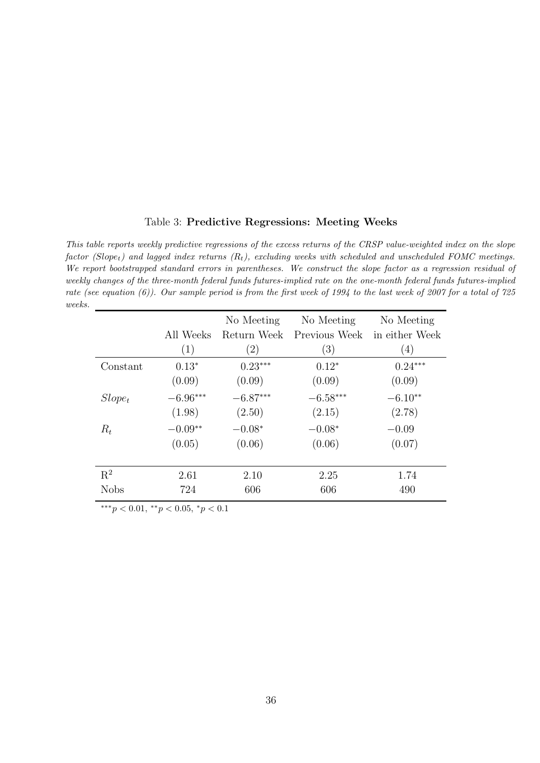#### <span id="page-35-0"></span>Table 3: Predictive Regressions: Meeting Weeks

This table reports weekly predictive regressions of the excess returns of the CRSP value-weighted index on the slope factor (Slope<sub>t</sub>) and lagged index returns  $(R_t)$ , excluding weeks with scheduled and unscheduled FOMC meetings. We report bootstrapped standard errors in parentheses. We construct the slope factor as a regression residual of weekly changes of the three-month federal funds futures-implied rate on the one-month federal funds futures-implied rate (see equation [\(6\)](#page-10-0)). Our sample period is from the first week of 1994 to the last week of 2007 for a total of 725 weeks.

|             |            | No Meeting        | No Meeting    | No Meeting     |
|-------------|------------|-------------------|---------------|----------------|
|             | All Weeks  | Return Week       | Previous Week | in either Week |
|             | (1)        | $\left( 2\right)$ | (3)           | (4)            |
| Constant    | $0.13*$    | $0.23***$         | $0.12*$       | $0.24***$      |
|             | (0.09)     | (0.09)            | (0.09)        | (0.09)         |
| $Slope_t$   | $-6.96***$ | $-6.87***$        | $-6.58***$    | $-6.10**$      |
|             | (1.98)     | (2.50)            | (2.15)        | (2.78)         |
| $R_t$       | $-0.09**$  | $-0.08*$          | $-0.08*$      | $-0.09$        |
|             | (0.05)     | (0.06)            | (0.06)        | (0.07)         |
|             |            |                   |               |                |
| $R^2$       | 2.61       | 2.10              | 2.25          | 1.74           |
| <b>Nobs</b> | 724        | 606               | 606           | 490            |

∗∗∗p < 0.01, ∗∗p < 0.05, <sup>∗</sup>p < 0.1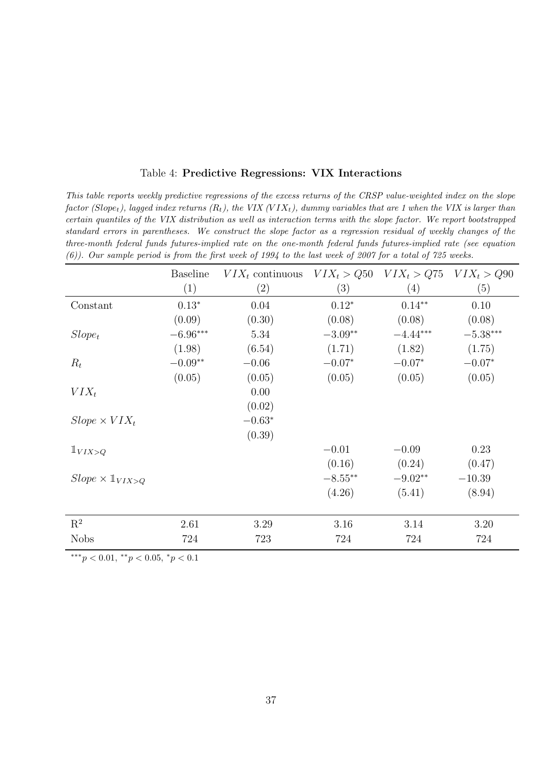| Table 4: Predictive Regressions: VIX Interactions |  |
|---------------------------------------------------|--|
|---------------------------------------------------|--|

This table reports weekly predictive regressions of the excess returns of the CRSP value-weighted index on the slope factor (Slope<sub>t</sub>), lagged index returns (R<sub>t</sub>), the VIX (VIX<sub>t</sub>), dummy variables that are 1 when the VIX is larger than certain quantiles of the VIX distribution as well as interaction terms with the slope factor. We report bootstrapped standard errors in parentheses. We construct the slope factor as a regression residual of weekly changes of the three-month federal funds futures-implied rate on the one-month federal funds futures-implied rate (see equation [\(6\)](#page-10-0)). Our sample period is from the first week of 1994 to the last week of 2007 for a total of 725 weeks.

|                                   | <b>Baseline</b> | $VIX_t$ continuous $VIX_t > Q50$ |           | $VIX_t > Q75$ $VIX_t > Q90$ |            |
|-----------------------------------|-----------------|----------------------------------|-----------|-----------------------------|------------|
|                                   | (1)             | $\left( 2\right)$                | (3)       | (4)                         | (5)        |
| Constant                          | $0.13*$         | 0.04                             | $0.12*$   | $0.14***$                   | 0.10       |
|                                   | (0.09)          | (0.30)                           | (0.08)    | (0.08)                      | (0.08)     |
| $Slope_t$                         | $-6.96***$      | 5.34                             | $-3.09**$ | $-4.44***$                  | $-5.38***$ |
|                                   | (1.98)          | (6.54)                           | (1.71)    | (1.82)                      | (1.75)     |
| $R_t$                             | $-0.09**$       | $-0.06$                          | $-0.07*$  | $-0.07*$                    | $-0.07*$   |
|                                   | (0.05)          | (0.05)                           | (0.05)    | (0.05)                      | (0.05)     |
| $VIX_t$                           |                 | 0.00                             |           |                             |            |
|                                   |                 | (0.02)                           |           |                             |            |
| $Slope \times VIX_t$              |                 | $-0.63*$                         |           |                             |            |
|                                   |                 | (0.39)                           |           |                             |            |
| $1_{VIX>Q}$                       |                 |                                  | $-0.01$   | $-0.09$                     | 0.23       |
|                                   |                 |                                  | (0.16)    | (0.24)                      | (0.47)     |
| $Slope \times \mathbb{1}_{VIX>Q}$ |                 |                                  | $-8.55**$ | $-9.02**$                   | $-10.39$   |
|                                   |                 |                                  | (4.26)    | (5.41)                      | (8.94)     |
|                                   |                 |                                  |           |                             |            |
| $\mathbf{R}^2$                    | 2.61            | 3.29                             | 3.16      | 3.14                        | 3.20       |
| <b>Nobs</b>                       | 724             | 723                              | 724       | 724                         | 724        |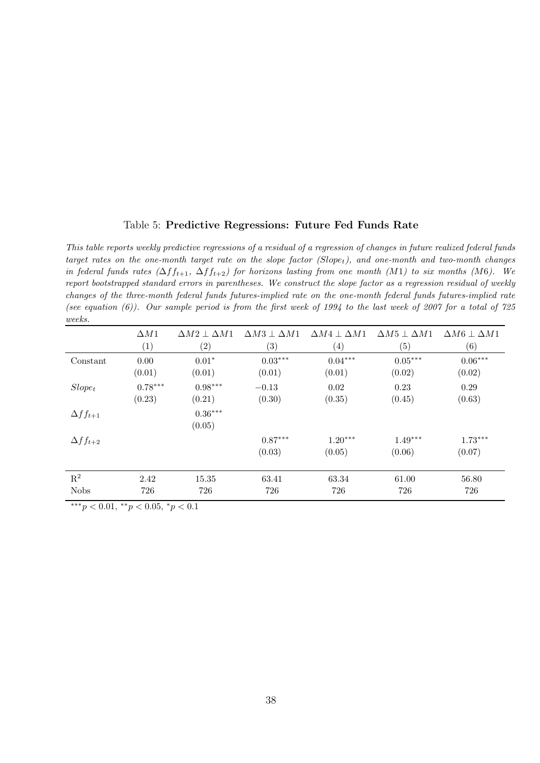#### Table 5: Predictive Regressions: Future Fed Funds Rate

This table reports weekly predictive regressions of a residual of a regression of changes in future realized federal funds target rates on the one-month target rate on the slope factor  $(Slope_t)$ , and one-month and two-month changes in federal funds rates  $(\Delta ff_{t+1}, \Delta ff_{t+2})$  for horizons lasting from one month  $(M1)$  to six months  $(M6)$ . We report bootstrapped standard errors in parentheses. We construct the slope factor as a regression residual of weekly changes of the three-month federal funds futures-implied rate on the one-month federal funds futures-implied rate (see equation  $(6)$ ). Our sample period is from the first week of 1994 to the last week of 2007 for a total of 725 weeks.

|                    | $\Delta M1$ | $\Delta M2 \perp \Delta M1$ | $\Delta M3 \perp \Delta M1$ | $\Delta M4 \perp \Delta M1$ | $\Delta M5 \perp \Delta M1$ | $\Delta M6 \perp \Delta M1$ |
|--------------------|-------------|-----------------------------|-----------------------------|-----------------------------|-----------------------------|-----------------------------|
|                    | (1)         | (2)                         | (3)                         | $\left( 4\right)$           | (5)                         | (6)                         |
| Constant           | 0.00        | $0.01*$                     | $0.03***$                   | $0.04***$                   | $0.05***$                   | $0.06***$                   |
|                    | (0.01)      | (0.01)                      | (0.01)                      | (0.01)                      | (0.02)                      | (0.02)                      |
| $Slope_t$          | $0.78***$   | $0.98***$                   | $-0.13$                     | 0.02                        | 0.23                        | 0.29                        |
|                    | (0.23)      | (0.21)                      | (0.30)                      | (0.35)                      | (0.45)                      | (0.63)                      |
| $\Delta f f_{t+1}$ |             | $0.36***$                   |                             |                             |                             |                             |
|                    |             | (0.05)                      |                             |                             |                             |                             |
| $\Delta ff_{t+2}$  |             |                             | $0.87***$                   | $1.20***$                   | $1.49***$                   | $1.73***$                   |
|                    |             |                             | (0.03)                      | (0.05)                      | (0.06)                      | (0.07)                      |
| $\mathbf{R}^2$     | 2.42        | 15.35                       | 63.41                       | 63.34                       | 61.00                       | 56.80                       |
| <b>Nobs</b>        | 726         | 726                         | 726                         | 726                         | 726                         | 726                         |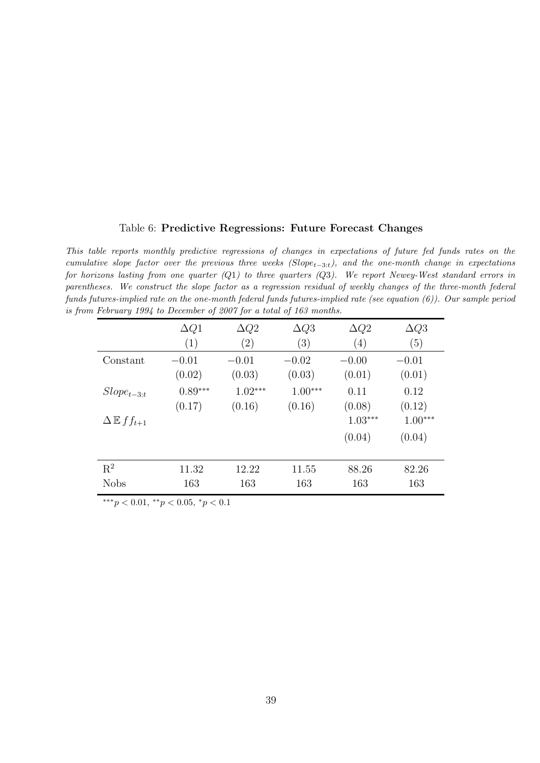#### <span id="page-38-0"></span>Table 6: Predictive Regressions: Future Forecast Changes

This table reports monthly predictive regressions of changes in expectations of future fed funds rates on the cumulative slope factor over the previous three weeks  $(Slope_{t-3:t})$ , and the one-month change in expectations for horizons lasting from one quarter  $(Q1)$  to three quarters  $(Q3)$ . We report Newey-West standard errors in parentheses. We construct the slope factor as a regression residual of weekly changes of the three-month federal funds futures-implied rate on the one-month federal funds futures-implied rate (see equation [\(6\)](#page-10-0)). Our sample period is from February 1994 to December of 2007 for a total of 163 months.

|                               | $\Delta Q1$ | $\Delta Q2$       | $\Delta Q3$ | $\Delta Q2$ | $\Delta Q3$ |
|-------------------------------|-------------|-------------------|-------------|-------------|-------------|
|                               | (1)         | $\left( 2\right)$ | (3)         | (4)         | (5)         |
| Constant                      | $-0.01$     | $-0.01$           | $-0.02$     | $-0.00$     | $-0.01$     |
|                               | (0.02)      | (0.03)            | (0.03)      | (0.01)      | (0.01)      |
| $Slope_{t-3:t}$               | $0.89***$   | $1.02***$         | $1.00***$   | 0.11        | 0.12        |
|                               | (0.17)      | (0.16)            | (0.16)      | (0.08)      | (0.12)      |
| $\Delta \mathbb{E} f f_{t+1}$ |             |                   |             | $1.03***$   | $1.00***$   |
|                               |             |                   |             | (0.04)      | (0.04)      |
| $\mathbf{R}^2$                | 11.32       | 12.22             | 11.55       | 88.26       | 82.26       |
| <b>Nobs</b>                   | 163         | 163               | 163         | 163         | 163         |
|                               |             |                   |             |             |             |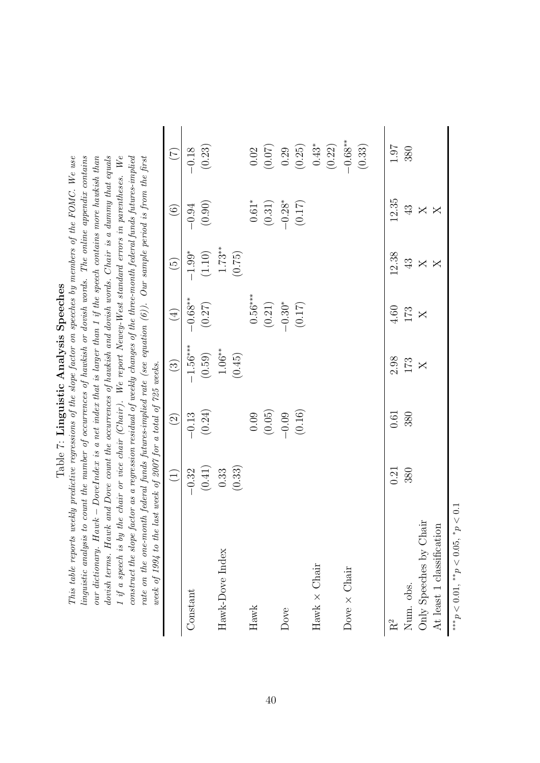| noono.c<br>ı<br>ζ          |  |
|----------------------------|--|
| くりしょ<br>ĺ<br>$\frac{1}{2}$ |  |
| C<br>1<br>֖֚֓              |  |
| $\overline{a}$             |  |

imguistic analysis to count the number of occurrences of hawkish or dovish words. The online appendix contains our dictionary. Hawk – DoveIndex is a net index that is larger than 1 if the speech contains more hawkish than 1 if a speech is by the chair or vice chair (Chair). We report Newey-West standard errors in parentheses. We This table reports weekly predictive regressions of the slope factor on speeches by members of the FOMC. We use dovish terms. Hawk and Dove count the occurrences of hawkish and dovish words. Chair is a dummy that equals construct the slope factor as a regression residual of weekly changes of the three-month federal funds futures-implied rate on the one-month federal funds futures-implied rate (see equation  $(6)$ ). Our sample period is from the first This table reports weekly predictive regressions of the slope factor on speeches by members of the FOMC. We use linguistic analysis to count the number of occurrences of hawkish or dovish words. The online appendix contains our dictionary. Hawk − DoveIndex is a net index that is larger than 1 if the speech contains more hawkish than dovish terms. Hawk and Dove count the occurrences of hawkish and dovish words. Chair is a dummy that equals 1 if a speech is by the chair or vice chair (Chair). We report Newey-West standard errors in parentheses. We construct the slope factor as a regression residual of weekly changes of the three-month federal funds futures-implied rate on the one-month federal funds futures-implied rate (see equation [\(6\)](#page-10-0)). Our sample period is from the first mook af 100! ta the last mook af 9007 far a tatal af 795 mooks week of 1994 to the last week of 2007 for a total of 725 weeks.

<span id="page-39-0"></span>

| week of 1334 to the tast week of 2001 for a total of 125 weeks. |                                                        |                                                                  |                                                      |                                               |                         |                                                                      |                                                                                     |
|-----------------------------------------------------------------|--------------------------------------------------------|------------------------------------------------------------------|------------------------------------------------------|-----------------------------------------------|-------------------------|----------------------------------------------------------------------|-------------------------------------------------------------------------------------|
|                                                                 | $\begin{pmatrix} 1 \end{pmatrix}$                      | $\widehat{\mathfrak{D}}$                                         | $\odot$                                              | $(4)$                                         | $\widetilde{G}$         | $\odot$                                                              | $\widetilde{C}$                                                                     |
| Constant                                                        |                                                        | $-0.13$                                                          | $-1.56***$                                           | $-0.68**$                                     | $-1.99*$                | $-0.94$                                                              | $-0.18$                                                                             |
|                                                                 | $\begin{array}{c} -0.32 \\ (0.41) \\ 0.33 \end{array}$ | (0.24)                                                           | (0.59)                                               | $(0.27)$                                      | $(1.10)$                | (0.90)                                                               | (0.23)                                                                              |
| Hawk-Dove Index                                                 |                                                        |                                                                  |                                                      |                                               | $1.73**$<br>(0.75)      |                                                                      |                                                                                     |
|                                                                 | (0.33)                                                 |                                                                  | $1.06**$<br>(0.45)                                   |                                               |                         |                                                                      |                                                                                     |
| Hawk                                                            |                                                        |                                                                  |                                                      |                                               |                         |                                                                      |                                                                                     |
|                                                                 |                                                        | $\begin{array}{c} 0.09 \\ (0.05) \\ -0.09 \\ (0.16) \end{array}$ |                                                      | $0.56***$<br>$(0.21)$<br>$-0.30*$<br>$(0.17)$ |                         | $\begin{array}{c} 0.61^* \\ (0.31) \\ -0.28^* \\ (0.17) \end{array}$ | $\begin{array}{c} 0.02 \\ (0.07) \\ 0.29 \\ (0.25) \\ 0.43^* \\ (0.22) \end{array}$ |
| Dove                                                            |                                                        |                                                                  |                                                      |                                               |                         |                                                                      |                                                                                     |
|                                                                 |                                                        |                                                                  |                                                      |                                               |                         |                                                                      |                                                                                     |
| $Hawk \times Chair$                                             |                                                        |                                                                  |                                                      |                                               |                         |                                                                      |                                                                                     |
|                                                                 |                                                        |                                                                  |                                                      |                                               |                         |                                                                      |                                                                                     |
| Dove $\times$ Chair                                             |                                                        |                                                                  |                                                      |                                               |                         |                                                                      | $-0.68**$                                                                           |
|                                                                 |                                                        |                                                                  |                                                      |                                               |                         |                                                                      | (0.33)                                                                              |
| R <sup>2</sup>                                                  | 0.21                                                   | 0.61                                                             |                                                      | $4.60\,$                                      | 12.38                   | 12.35                                                                | $1.07\,$                                                                            |
| Num. obs.                                                       | 380                                                    | 380                                                              | $\begin{array}{c} 2.98 \\ 173 \\ \hline \end{array}$ | $173\,$                                       |                         |                                                                      | 380                                                                                 |
| Only Speeches by Chair                                          |                                                        |                                                                  |                                                      | $\overline{\mathsf{X}}$                       | $43$ $\times$           | $\frac{3}{4} \times \times$                                          |                                                                                     |
| At least 1 classification                                       |                                                        |                                                                  |                                                      |                                               | $\overline{\mathsf{X}}$ |                                                                      |                                                                                     |
| $^*p<0.1$<br>*** $p < 0.01$ , ** $p < 0.05$ ,                   |                                                        |                                                                  |                                                      |                                               |                         |                                                                      |                                                                                     |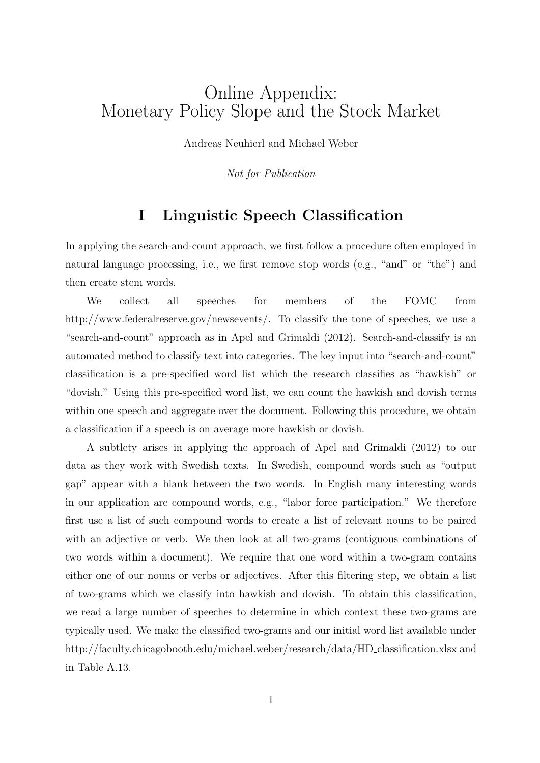# Online Appendix: Monetary Policy Slope and the Stock Market

Andreas Neuhierl and Michael Weber

Not for Publication

## I Linguistic Speech Classification

In applying the search-and-count approach, we first follow a procedure often employed in natural language processing, i.e., we first remove stop words (e.g., "and" or "the") and then create stem words.

We collect all speeches for members of the FOMC from http://www.federalreserve.gov/newsevents/. To classify the tone of speeches, we use a "search-and-count" approach as in [Apel and Grimaldi](#page-27-0) [\(2012\)](#page-27-0). Search-and-classify is an automated method to classify text into categories. The key input into "search-and-count" classification is a pre-specified word list which the research classifies as "hawkish" or "dovish." Using this pre-specified word list, we can count the hawkish and dovish terms within one speech and aggregate over the document. Following this procedure, we obtain a classification if a speech is on average more hawkish or dovish.

A subtlety arises in applying the approach of [Apel and Grimaldi](#page-27-0) [\(2012\)](#page-27-0) to our data as they work with Swedish texts. In Swedish, compound words such as "output gap" appear with a blank between the two words. In English many interesting words in our application are compound words, e.g., "labor force participation." We therefore first use a list of such compound words to create a list of relevant nouns to be paired with an adjective or verb. We then look at all two-grams (contiguous combinations of two words within a document). We require that one word within a two-gram contains either one of our nouns or verbs or adjectives. After this filtering step, we obtain a list of two-grams which we classify into hawkish and dovish. To obtain this classification, we read a large number of speeches to determine in which context these two-grams are typically used. We make the classified two-grams and our initial word list available under http://faculty.chicagobooth.edu/michael.weber/research/data/HD classification.xlsx and in Table [A.13.](#page-61-0)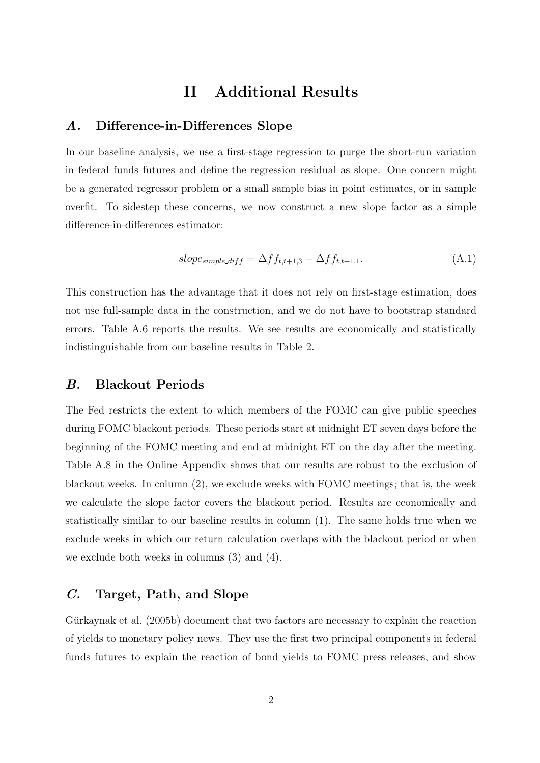## II Additional Results

#### A. Difference-in-Differences Slope

In our baseline analysis, we use a first-stage regression to purge the short-run variation in federal funds futures and define the regression residual as slope. One concern might be a generated regressor problem or a small sample bias in point estimates, or in sample overfit. To sidestep these concerns, we now construct a new slope factor as a simple difference-in-differences estimator:

$$
slope_{simple\_diff} = \Delta ff_{t,t+1,3} - \Delta ff_{t,t+1,1}.\tag{A.1}
$$

This construction has the advantage that it does not rely on first-stage estimation, does not use full-sample data in the construction, and we do not have to bootstrap standard errors. Table [A.6](#page-38-0) reports the results. We see results are economically and statistically indistinguishable from our baseline results in Table [2.](#page-34-0)

#### B. Blackout Periods

The Fed restricts the extent to which members of the FOMC can give public speeches during FOMC blackout periods. These periods start at midnight ET seven days before the beginning of the FOMC meeting and end at midnight ET on the day after the meeting. Table [A.8](#page-56-0) in the Online Appendix shows that our results are robust to the exclusion of blackout weeks. In column (2), we exclude weeks with FOMC meetings; that is, the week we calculate the slope factor covers the blackout period. Results are economically and statistically similar to our baseline results in column (1). The same holds true when we exclude weeks in which our return calculation overlaps with the blackout period or when we exclude both weeks in columns (3) and (4).

#### C. Target, Path, and Slope

Gürkaynak et al. [\(2005b\)](#page-28-0) document that two factors are necessary to explain the reaction of yields to monetary policy news. They use the first two principal components in federal funds futures to explain the reaction of bond yields to FOMC press releases, and show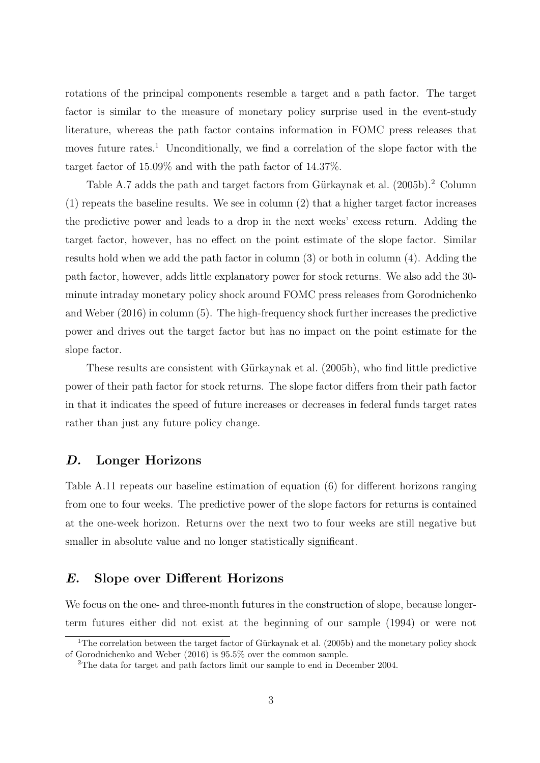rotations of the principal components resemble a target and a path factor. The target factor is similar to the measure of monetary policy surprise used in the event-study literature, whereas the path factor contains information in FOMC press releases that moves future rates.<sup>[1](#page-0-0)</sup> Unconditionally, we find a correlation of the slope factor with the target factor of 15.09% and with the path factor of 14.37%.

Table [A.7](#page-39-0) adds the path and target factors from Gürkaynak et al. [\(2005b\)](#page-28-0).<sup>[2](#page-0-0)</sup> Column (1) repeats the baseline results. We see in column (2) that a higher target factor increases the predictive power and leads to a drop in the next weeks' excess return. Adding the target factor, however, has no effect on the point estimate of the slope factor. Similar results hold when we add the path factor in column (3) or both in column (4). Adding the path factor, however, adds little explanatory power for stock returns. We also add the 30 minute intraday monetary policy shock around FOMC press releases from [Gorodnichenko](#page-28-1) [and Weber](#page-28-1) [\(2016\)](#page-28-1) in column (5). The high-frequency shock further increases the predictive power and drives out the target factor but has no impact on the point estimate for the slope factor.

These results are consistent with Gürkaynak et al. [\(2005b\)](#page-28-0), who find little predictive power of their path factor for stock returns. The slope factor differs from their path factor in that it indicates the speed of future increases or decreases in federal funds target rates rather than just any future policy change.

#### D. Longer Horizons

Table [A.11](#page-59-0) repeats our baseline estimation of equation [\(6\)](#page-10-0) for different horizons ranging from one to four weeks. The predictive power of the slope factors for returns is contained at the one-week horizon. Returns over the next two to four weeks are still negative but smaller in absolute value and no longer statistically significant.

#### E. Slope over Different Horizons

We focus on the one- and three-month futures in the construction of slope, because longerterm futures either did not exist at the beginning of our sample (1994) or were not

<sup>&</sup>lt;sup>1</sup>The correlation between the target factor of Gürkaynak et al. [\(2005b\)](#page-28-0) and the monetary policy shock of [Gorodnichenko and Weber](#page-28-1) [\(2016\)](#page-28-1) is 95.5% over the common sample.

<sup>2</sup>The data for target and path factors limit our sample to end in December 2004.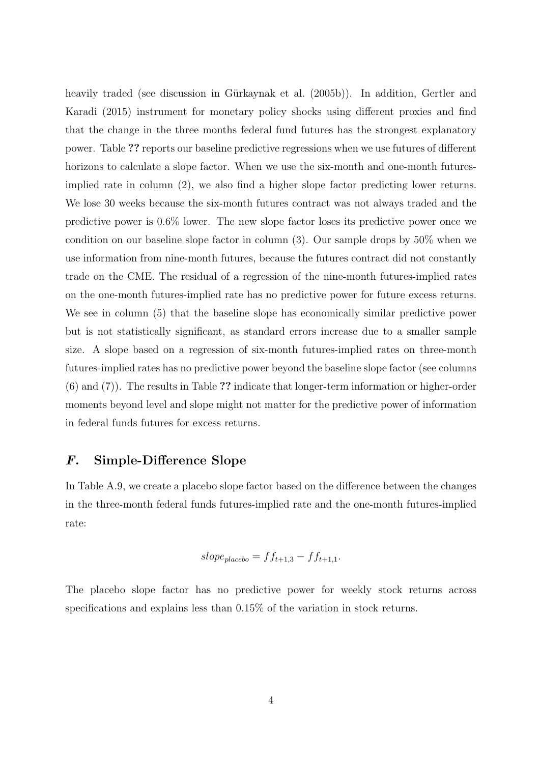heavily traded (see discussion in Gürkaynak et al. [\(2005b\)](#page-28-0)). In addition, [Gertler and](#page-28-2) [Karadi](#page-28-2) [\(2015\)](#page-28-2) instrument for monetary policy shocks using different proxies and find that the change in the three months federal fund futures has the strongest explanatory power. Table ?? reports our baseline predictive regressions when we use futures of different horizons to calculate a slope factor. When we use the six-month and one-month futuresimplied rate in column (2), we also find a higher slope factor predicting lower returns. We lose 30 weeks because the six-month futures contract was not always traded and the predictive power is 0.6% lower. The new slope factor loses its predictive power once we condition on our baseline slope factor in column (3). Our sample drops by 50% when we use information from nine-month futures, because the futures contract did not constantly trade on the CME. The residual of a regression of the nine-month futures-implied rates on the one-month futures-implied rate has no predictive power for future excess returns. We see in column (5) that the baseline slope has economically similar predictive power but is not statistically significant, as standard errors increase due to a smaller sample size. A slope based on a regression of six-month futures-implied rates on three-month futures-implied rates has no predictive power beyond the baseline slope factor (see columns (6) and (7)). The results in Table ?? indicate that longer-term information or higher-order moments beyond level and slope might not matter for the predictive power of information in federal funds futures for excess returns.

#### F. Simple-Difference Slope

In Table [A.9,](#page-57-0) we create a placebo slope factor based on the difference between the changes in the three-month federal funds futures-implied rate and the one-month futures-implied rate:

$$
slope_{placebo} = ff_{t+1,3} - ff_{t+1,1}.
$$

The placebo slope factor has no predictive power for weekly stock returns across specifications and explains less than 0.15% of the variation in stock returns.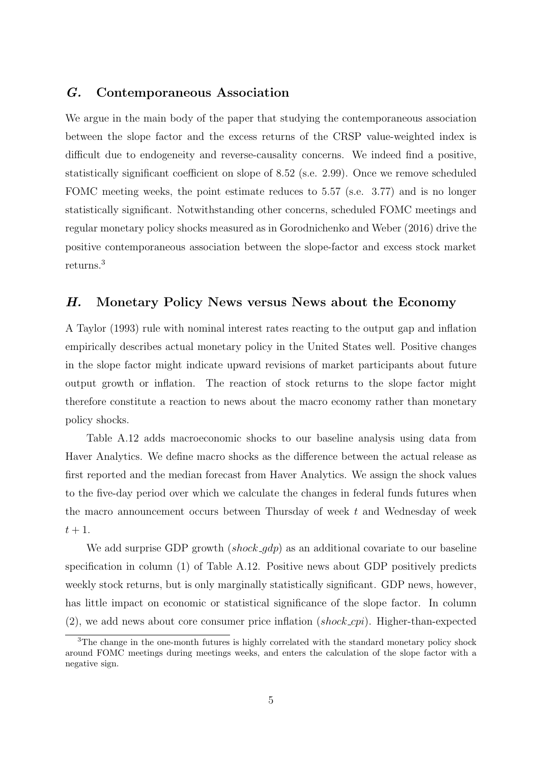#### G. Contemporaneous Association

We argue in the main body of the paper that studying the contemporaneous association between the slope factor and the excess returns of the CRSP value-weighted index is difficult due to endogeneity and reverse-causality concerns. We indeed find a positive, statistically significant coefficient on slope of 8.52 (s.e. 2.99). Once we remove scheduled FOMC meeting weeks, the point estimate reduces to 5.57 (s.e. 3.77) and is no longer statistically significant. Notwithstanding other concerns, scheduled FOMC meetings and regular monetary policy shocks measured as in [Gorodnichenko and Weber](#page-28-1) [\(2016\)](#page-28-1) drive the positive contemporaneous association between the slope-factor and excess stock market returns.[3](#page-0-0)

#### H. Monetary Policy News versus News about the Economy

A [Taylor](#page-29-0) [\(1993\)](#page-29-0) rule with nominal interest rates reacting to the output gap and inflation empirically describes actual monetary policy in the United States well. Positive changes in the slope factor might indicate upward revisions of market participants about future output growth or inflation. The reaction of stock returns to the slope factor might therefore constitute a reaction to news about the macro economy rather than monetary policy shocks.

Table [A.12](#page-60-0) adds macroeconomic shocks to our baseline analysis using data from Haver Analytics. We define macro shocks as the difference between the actual release as first reported and the median forecast from Haver Analytics. We assign the shock values to the five-day period over which we calculate the changes in federal funds futures when the macro announcement occurs between Thursday of week  $t$  and Wednesday of week  $t+1$ .

We add surprise GDP growth  $(shock_qdp)$  as an additional covariate to our baseline specification in column (1) of Table [A.12.](#page-60-0) Positive news about GDP positively predicts weekly stock returns, but is only marginally statistically significant. GDP news, however, has little impact on economic or statistical significance of the slope factor. In column  $(2)$ , we add news about core consumer price inflation  $(shook, \text{cpi})$ . Higher-than-expected

<sup>&</sup>lt;sup>3</sup>The change in the one-month futures is highly correlated with the standard monetary policy shock around FOMC meetings during meetings weeks, and enters the calculation of the slope factor with a negative sign.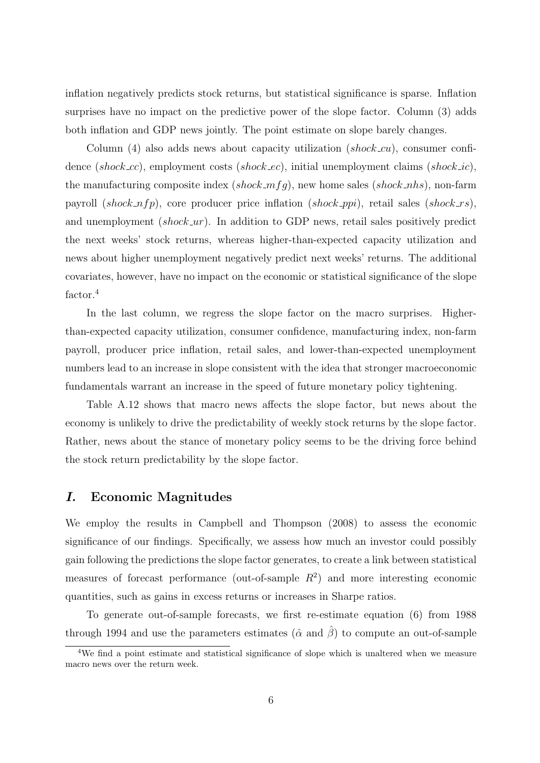inflation negatively predicts stock returns, but statistical significance is sparse. Inflation surprises have no impact on the predictive power of the slope factor. Column (3) adds both inflation and GDP news jointly. The point estimate on slope barely changes.

Column (4) also adds news about capacity utilization *(shock\_cu)*, consumer confidence (shock cc), employment costs (shock ec), initial unemployment claims (shock ic), the manufacturing composite index  $(shook_m f q)$ , new home sales  $(shook_n h s)$ , non-farm payroll (shock  $nfp$ ), core producer price inflation (shock ppi), retail sales (shock rs), and unemployment  $(shook\_ur)$ . In addition to GDP news, retail sales positively predict the next weeks' stock returns, whereas higher-than-expected capacity utilization and news about higher unemployment negatively predict next weeks' returns. The additional covariates, however, have no impact on the economic or statistical significance of the slope factor.<sup>[4](#page-0-0)</sup>

In the last column, we regress the slope factor on the macro surprises. Higherthan-expected capacity utilization, consumer confidence, manufacturing index, non-farm payroll, producer price inflation, retail sales, and lower-than-expected unemployment numbers lead to an increase in slope consistent with the idea that stronger macroeconomic fundamentals warrant an increase in the speed of future monetary policy tightening.

Table [A.12](#page-60-0) shows that macro news affects the slope factor, but news about the economy is unlikely to drive the predictability of weekly stock returns by the slope factor. Rather, news about the stance of monetary policy seems to be the driving force behind the stock return predictability by the slope factor.

#### I. Economic Magnitudes

We employ the results in [Campbell and Thompson](#page-27-1) [\(2008\)](#page-27-1) to assess the economic significance of our findings. Specifically, we assess how much an investor could possibly gain following the predictions the slope factor generates, to create a link between statistical measures of forecast performance (out-of-sample  $R^2$ ) and more interesting economic quantities, such as gains in excess returns or increases in Sharpe ratios.

To generate out-of-sample forecasts, we first re-estimate equation [\(6\)](#page-10-0) from 1988 through 1994 and use the parameters estimates ( $\hat{\alpha}$  and  $\hat{\beta}$ ) to compute an out-of-sample

<sup>&</sup>lt;sup>4</sup>We find a point estimate and statistical significance of slope which is unaltered when we measure macro news over the return week.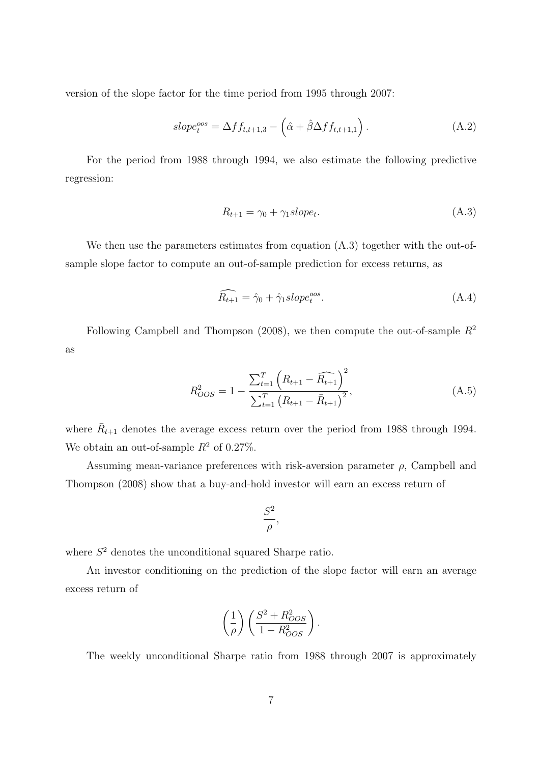version of the slope factor for the time period from 1995 through 2007:

$$
slope_t^{oos} = \Delta ff_{t,t+1,3} - \left(\hat{\alpha} + \hat{\beta}\Delta ff_{t,t+1,1}\right). \tag{A.2}
$$

For the period from 1988 through 1994, we also estimate the following predictive regression:

$$
R_{t+1} = \gamma_0 + \gamma_1 slope_t. \tag{A.3}
$$

We then use the parameters estimates from equation  $(A.3)$  together with the out-ofsample slope factor to compute an out-of-sample prediction for excess returns, as

$$
\widehat{R_{t+1}} = \widehat{\gamma}_0 + \widehat{\gamma}_1 slope_t^{oos}.\tag{A.4}
$$

Following [Campbell and Thompson](#page-27-1) [\(2008\)](#page-27-1), we then compute the out-of-sample  $R^2$ as

$$
R_{OOS}^2 = 1 - \frac{\sum_{t=1}^{T} \left( R_{t+1} - \widehat{R_{t+1}} \right)^2}{\sum_{t=1}^{T} \left( R_{t+1} - \bar{R}_{t+1} \right)^2},
$$
\n(A.5)

where  $\bar{R}_{t+1}$  denotes the average excess return over the period from 1988 through 1994. We obtain an out-of-sample  $R^2$  of 0.27%.

Assuming mean-variance preferences with risk-aversion parameter  $\rho$ , [Campbell and](#page-27-1) [Thompson](#page-27-1) [\(2008\)](#page-27-1) show that a buy-and-hold investor will earn an excess return of

$$
\frac{S^2}{\rho},
$$

where  $S<sup>2</sup>$  denotes the unconditional squared Sharpe ratio.

An investor conditioning on the prediction of the slope factor will earn an average excess return of

$$
\left(\frac{1}{\rho}\right) \left(\frac{S^2 + R_{OOS}^2}{1 - R_{OOS}^2}\right).
$$

The weekly unconditional Sharpe ratio from 1988 through 2007 is approximately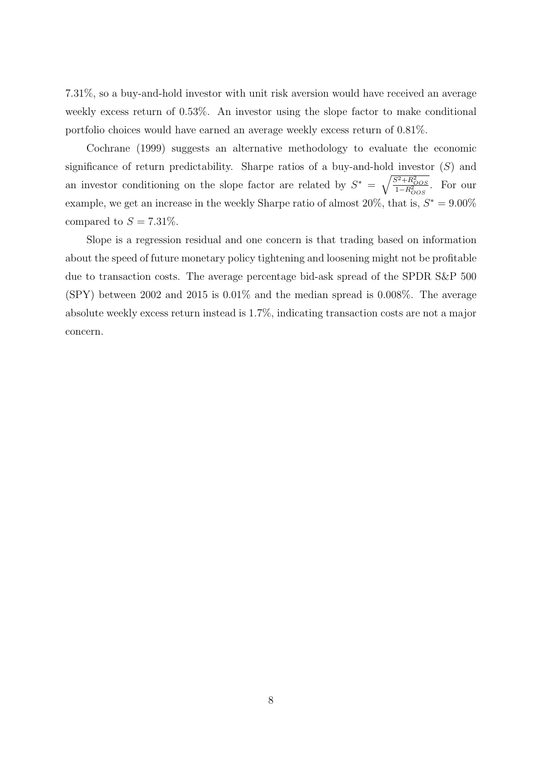7.31%, so a buy-and-hold investor with unit risk aversion would have received an average weekly excess return of 0.53%. An investor using the slope factor to make conditional portfolio choices would have earned an average weekly excess return of 0.81%.

[Cochrane](#page-27-2) [\(1999\)](#page-27-2) suggests an alternative methodology to evaluate the economic significance of return predictability. Sharpe ratios of a buy-and-hold investor  $(S)$  and an investor conditioning on the slope factor are related by  $S^* = \sqrt{\frac{S^2 + R_{OOS}^2}{1 - R_{OOS}^2}}$ . For our example, we get an increase in the weekly Sharpe ratio of almost  $20\%$ , that is,  $S^* = 9.00\%$ compared to  $S = 7.31\%$ .

Slope is a regression residual and one concern is that trading based on information about the speed of future monetary policy tightening and loosening might not be profitable due to transaction costs. The average percentage bid-ask spread of the SPDR S&P 500 (SPY) between 2002 and 2015 is 0.01% and the median spread is 0.008%. The average absolute weekly excess return instead is 1.7%, indicating transaction costs are not a major concern.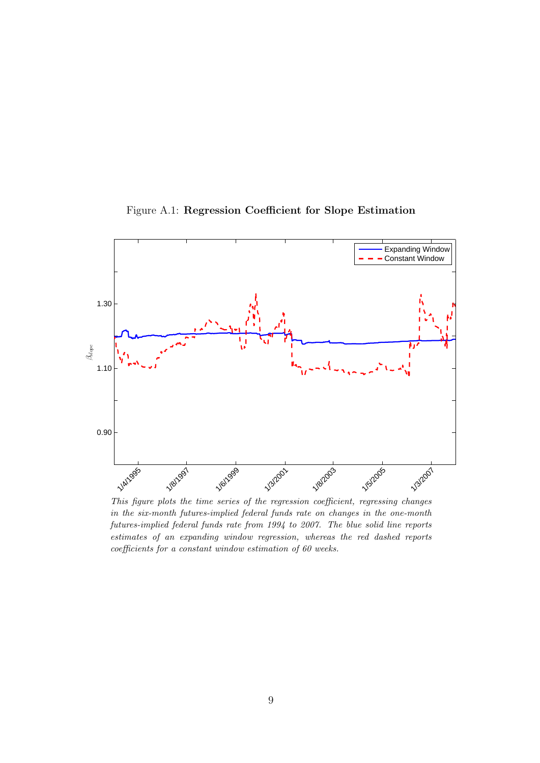

Figure A.1: Regression Coefficient for Slope Estimation

This figure plots the time series of the regression coefficient, regressing changes in the six-month futures-implied federal funds rate on changes in the one-month futures-implied federal funds rate from 1994 to 2007. The blue solid line reports estimates of an expanding window regression, whereas the red dashed reports coefficients for a constant window estimation of 60 weeks.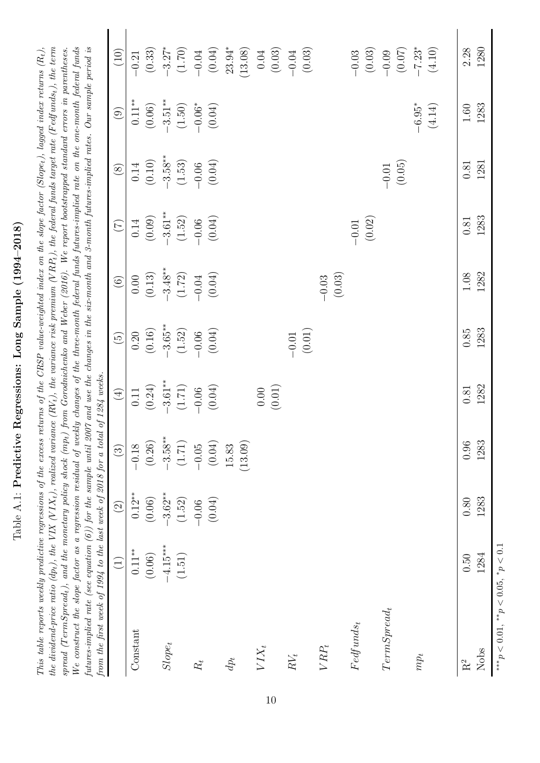| )<br> <br>$\frac{1}{\epsilon}$<br>J<br>ľ                                                                                                                  |
|-----------------------------------------------------------------------------------------------------------------------------------------------------------|
| 202022-022<br>ſ<br>ׇ֚֓֡<br>I<br>J<br>ζ                                                                                                                    |
| 0<br>¦<br>)<br>1<br>ŀ                                                                                                                                     |
| ;<br>;<br>֡֡֡֡֡<br>֖֖֖֪ׅׅׅ֪ׅ֖֧֪֪ׅ֖֚֚֚֚֚֚֚֚֚֚֚֚֚֚֚֚֚֚֚֚֡֝֝֝֝֬֝֬֝֬֝֝֓<br>֖֖֖֖֖֧֧֖֧֧֧֧֧֧֧֧֧ׅ֖֧֧֚֚֚֚֚֚֚֚֚֚֚֚֚֚֚֚֚֚֚֚֚֚֚֡֝֓֝֬֝֓֝֓֝֬֓֝֬֝֬֝֬֜֝֬֝֬<br>)<br>ſ<br>١ |
| .<br>1<br>Ï<br>ĺ<br>l                                                                                                                                     |
| $\vdots$<br>l<br>.<br> <br> <br>ì<br>l<br>Ę                                                                                                               |

the dividend-price ratio (dp<sub>t</sub>), the VIX (VIX<sub>t</sub>), realized variance (RV<sub>t</sub>), the variance risk premium (VRP<sub>t</sub>), the federal funds target rate (Fedfunds<sub>t</sub>), the term We construct the slope factor as a regression residual of weekly changes of the three-month federal funds futures-implied rate on the one-month federal funds futures-implied rate (see equation (6)) for the sample until 2007 and use the changes in the six-month and 3-month futures-implied rates. Our sample period is This table reports weekly predictive regressions of the excess returns of the CRSP value-weighted index on the slope factor (Slope<sub>t</sub>), lagged index returns  $(R_t)$ , spread (TermSpread,), and the monetary policy shock (mp<sub>t</sub>) from Gorodnichenko and Weber (2016). We report bootstrapped standard errors in parentheses. This table reports weekly predictive regressions of the excess returns of the CRSP value-weighted index on the slope factor (Slope<sub>t</sub>), lagged index returns  $(R_t)$ , the dividend-price ratio (dp<sub>t</sub>), the VIX (VIX<sub>t</sub>), realized variance (RV<sub>t</sub>), the variance risk premium (V RP<sub>t</sub>), the federal funds target rate (Fedfunds<sub>t</sub>), the term<br> $\dot{m}$ We construct the slope factor as a regression residual of weekly changes of the three-month federal funds futures-implied rate on the one-month federal funds futures-implied rate (see equation [\(6\)](#page-10-0)) for the sample until 2007 and use the changes in the six-month and 3-month futures-implied rates. Our sample period is  $spread (TermSpread), and the monetary policy shock (mp<sub>t</sub>) from Gorodnichenko and Weber (2016). We report bootstrapped standard errors in parentheses,  $m_{\rm w} = 0.0005$$  $spread (TermSpread), and the monetary policy shock (mp<sub>t</sub>) from Gorodnichenko and Weber (2016). We report bootstrapped standard errors in parentheses,  $m_{\rm w} = 0.0005$$  $spread (TermSpread), and the monetary policy shock (mp<sub>t</sub>) from Gorodnichenko and Weber (2016). We report bootstrapped standard errors in parentheses,  $m_{\rm w} = 0.0005$$  $spread (TermSpread), and the monetary policy shock (mp<sub>t</sub>) from Gorodnichenko and Weber (2016). We report bootstrapped standard errors in parentheses,  $m_{\rm w} = 0.0005$$  $spread (TermSpread), and the monetary policy shock (mp<sub>t</sub>) from Gorodnichenko and Weber (2016). We report bootstrapped standard errors in parentheses,  $m_{\rm w} = 0.0005$$ from the first meet of 100/ to the last meet of 9018 for a total of 1981 meets from the first week of 1994 to the last week of 2018 for a total of 1284 weeks.

| monon a lot oraz fo waam aene and een fo waam aent annul |                              |                   |                     | UJ 1604 WEERS.                                                                           |                                                                  |                                                                                |                                                                                |                                                                  |                                                    |                                                                                                                  |
|----------------------------------------------------------|------------------------------|-------------------|---------------------|------------------------------------------------------------------------------------------|------------------------------------------------------------------|--------------------------------------------------------------------------------|--------------------------------------------------------------------------------|------------------------------------------------------------------|----------------------------------------------------|------------------------------------------------------------------------------------------------------------------|
|                                                          | $\left( \frac{1}{2} \right)$ | $\widehat{\odot}$ | $\widehat{S}$       | $\bigoplus$                                                                              | $\widehat{\mathbb{G}}$                                           | $\odot$                                                                        | E                                                                              | $\circledS$                                                      | $\odot$                                            | $\left(10\right)$                                                                                                |
| Constant                                                 | $0.11**$                     | $0.12^{**}$       | $-0.18$             |                                                                                          |                                                                  |                                                                                |                                                                                |                                                                  |                                                    |                                                                                                                  |
|                                                          | (0.06)                       | (0.06)            | $\left(0.26\right)$ |                                                                                          |                                                                  |                                                                                |                                                                                |                                                                  |                                                    |                                                                                                                  |
| $Slope_t$                                                | $-4.15***$                   | $-3.62**$         | $-3.58**$           |                                                                                          |                                                                  |                                                                                |                                                                                |                                                                  |                                                    |                                                                                                                  |
|                                                          | (1.51)                       | (1.52)            | (1.71)              | $\begin{array}{c} 0.11 \\ (0.24) \\ -3.61^{**} \\ (1.71) \\ -0.06 \\ (0.04) \end{array}$ | 0.20<br>$(0.16)$<br>$-3.65**$<br>$(1.52)$<br>$-0.06$<br>$(0.04)$ | $\begin{array}{c} 0.00 \\ (0.13) \\ -3.48^{**} \\ (1.72) \\ -0.04 \end{array}$ | $\begin{array}{c} 0.14 \\ (0.09) \\ -3.61^{**} \\ (1.52) \\ -0.06 \end{array}$ | 0.14<br>$(0.10)$<br>$-3.58**$<br>$(1.53)$<br>$-0.06$<br>$(0.04)$ | 0.11**<br>(0.06)<br>$-3.51$ **<br>(1.50)<br>(0.06* |                                                                                                                  |
| $\boldsymbol{R_t}$                                       |                              | $-0.06$           | $-0.05$             |                                                                                          |                                                                  |                                                                                |                                                                                |                                                                  |                                                    |                                                                                                                  |
|                                                          |                              | (0.04)            | (0.04)              |                                                                                          |                                                                  |                                                                                |                                                                                |                                                                  |                                                    | $\begin{array}{c} -0.21 \\ (0.33) \\ -3.27^* \\ (1.70) \\ -0.04 \\ (0.04) \\ (3.394^* \\ (13.08) \\ \end{array}$ |
| $dp_t$                                                   |                              |                   | 15.83               |                                                                                          |                                                                  |                                                                                |                                                                                |                                                                  |                                                    |                                                                                                                  |
|                                                          |                              |                   | (13.09)             |                                                                                          |                                                                  |                                                                                |                                                                                |                                                                  |                                                    |                                                                                                                  |
| $VIX_t$                                                  |                              |                   |                     |                                                                                          |                                                                  |                                                                                |                                                                                |                                                                  |                                                    |                                                                                                                  |
|                                                          |                              |                   |                     | (0.00)                                                                                   |                                                                  |                                                                                |                                                                                |                                                                  |                                                    |                                                                                                                  |
| $RV_t$                                                   |                              |                   |                     |                                                                                          |                                                                  |                                                                                |                                                                                |                                                                  |                                                    | $\begin{array}{c} 0.04 \\ (0.03) \\ -0.04 \\ (0.03) \end{array}$                                                 |
|                                                          |                              |                   |                     |                                                                                          | $-0.01$<br>(0.01)                                                |                                                                                |                                                                                |                                                                  |                                                    |                                                                                                                  |
| $VRP_t$                                                  |                              |                   |                     |                                                                                          |                                                                  | $-0.03$<br>(0.03)                                                              |                                                                                |                                                                  |                                                    |                                                                                                                  |
| $Fedfunds_t$                                             |                              |                   |                     |                                                                                          |                                                                  |                                                                                |                                                                                |                                                                  |                                                    |                                                                                                                  |
|                                                          |                              |                   |                     |                                                                                          |                                                                  |                                                                                | $-0.01$<br>(0.02)                                                              |                                                                  |                                                    | $-0.03$<br>$(0.03)$<br>$-0.09$<br>$(0.07)$<br>$-7.23$ <sup>*</sup><br>$(4.10)$                                   |
| $TermSpred_t$                                            |                              |                   |                     |                                                                                          |                                                                  |                                                                                |                                                                                |                                                                  |                                                    |                                                                                                                  |
|                                                          |                              |                   |                     |                                                                                          |                                                                  |                                                                                |                                                                                | $-0.01$<br>(0.05)                                                |                                                    |                                                                                                                  |
| $mp_t$                                                   |                              |                   |                     |                                                                                          |                                                                  |                                                                                |                                                                                |                                                                  | $-6.95*$                                           |                                                                                                                  |
|                                                          |                              |                   |                     |                                                                                          |                                                                  |                                                                                |                                                                                |                                                                  | (4.14)                                             |                                                                                                                  |
|                                                          |                              |                   |                     |                                                                                          |                                                                  |                                                                                |                                                                                |                                                                  |                                                    |                                                                                                                  |
| $\rm R^2$                                                | 0.50                         | 0.80              | $0.96\,$            | 0.81                                                                                     | 0.85                                                             | 1.08                                                                           | $0.81\,$                                                                       | 0.81                                                             | $1.60\,$                                           | 2.28                                                                                                             |
| Nobs                                                     | 1284                         | 1283              | 1283                | 1282                                                                                     | 1283                                                             | 1282                                                                           | 1283                                                                           | 1281                                                             | 1283                                               | 1280                                                                                                             |
| *** $p < 0.01$ , ** $p < 0.05$ , * $p < 0.1$             |                              |                   |                     |                                                                                          |                                                                  |                                                                                |                                                                                |                                                                  |                                                    |                                                                                                                  |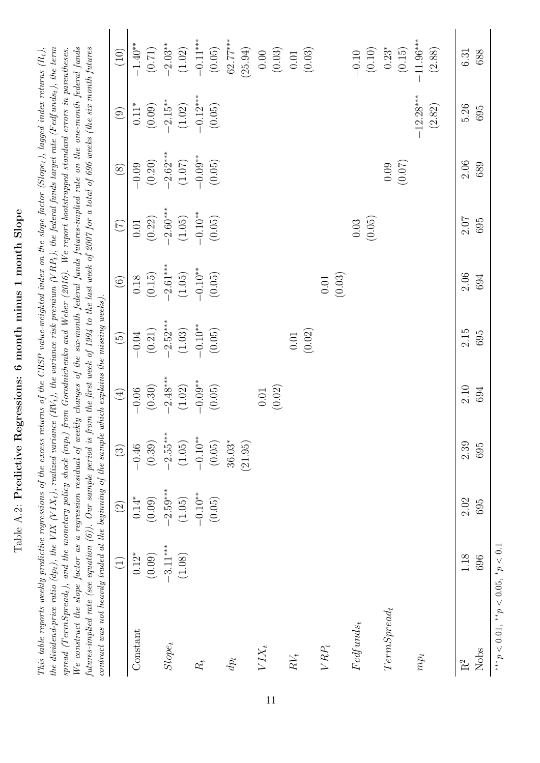| ı<br>1)                                     |
|---------------------------------------------|
| $\sim$ D dtm $\sim$ D dtm<br>.<br>1<br>֡֡֡֡ |
|                                             |
|                                             |
| $6 \text{ ms} + 6 \text{ ms}$               |
| ¢                                           |
| The Homocane h<br>i<br>١                    |
| I                                           |
| i<br>$\frac{1}{2}$                          |
|                                             |
|                                             |
| $\frac{1}{2}$<br>l<br>١                     |

the dividend-price ratio (dp<sub>t</sub>), the VIX (VIX<sub>t</sub>), realized variance (RV<sub>t</sub>), the variance risk premium (VRP<sub>t</sub>), the federal funds target rate (Fedfunds<sub>t</sub>), the term  $S_{\text{pred}}$  (TermSpread<sub>t</sub>), and the monetary policy shock (mp<sub>t</sub>) from Gorodnichenko and Weber (2016). We report bootstrapped standard errors in parentheses. We construct the slope factor as a regression residual of weekly changes of the six-month federal funds futures-implied rate on the one-month federal funds futures-implied rate (see equation (6)). Our sample period is from the first week of 1994 to the last week of 2007 for a total of 696 weeks (the six month futures This table reports weekly predictive regressions of the excess returns of the CRSP value-weighted index on the slope factor (Slope<sub>t</sub>), lagged index returns  $(R_t)$ , This table reports weekly predictive regressions of the excess returns of the CRSP value-weighted index on the slope factor (Slope<sub>t</sub>), lagged index returns  $(R_t)$ , the dividend-price ratio (dpt), the VIX (V IXt), realized variance (RVt), the variance risk premium (V RPt), the federal funds target rate (F edfundst), the term We construct the slope factor as a regression residual of weekly changes of the six-month federal funds futures-implied rate on the one-month federal funds futures-implied rate (see equation [\(6\)](#page-10-0)). Our sample period is from the first week of 1994 to the last week of 2007 for a total of 696 weeks (the six month futures  $spread (TermSpred_t), and the monetary policy shock (mp_t) from Gorodnichenko and Weber (2016). We report bootstrapped standard errors in parentheses,  $m \neq 0$$  $spread (TermSpred_t), and the monetary policy shock (mp_t) from Gorodnichenko and Weber (2016). We report bootstrapped standard errors in parentheses,  $m \neq 0$$  $spread (TermSpred_t), and the monetary policy shock (mp_t) from Gorodnichenko and Weber (2016). We report bootstrapped standard errors in parentheses,  $m \neq 0$$  $spread (TermSpred_t), and the monetary policy shock (mp_t) from Gorodnichenko and Weber (2016). We report bootstrapped standard errors in parentheses,  $m \neq 0$$  $spread (TermSpred_t), and the monetary policy shock (mp_t) from Gorodnichenko and Weber (2016). We report bootstrapped standard errors in parentheses,  $m \neq 0$$ contract was not heavily traded at the beginning of the sample which explains the missing weeks). contract was not heavily traded at the beginning of the sample which explains the missing weeks).

|                                              | $\bigoplus$ | $\odot$              | $\circled{3}$       | $\begin{pmatrix} 1 \\ 4 \end{pmatrix}$ | $\left(\overline{5}\right)$                     | $\odot$                                         | $\begin{picture}(220,20) \put(0,0){\line(1,0){10}} \put(15,0){\line(1,0){10}} \put(15,0){\line(1,0){10}} \put(15,0){\line(1,0){10}} \put(15,0){\line(1,0){10}} \put(15,0){\line(1,0){10}} \put(15,0){\line(1,0){10}} \put(15,0){\line(1,0){10}} \put(15,0){\line(1,0){10}} \put(15,0){\line(1,0){10}} \put(15,0){\line(1,0){10}} \put(15,0){\line($ | $\circledS$                                   | $\odot$                                        | (10)                                                               |
|----------------------------------------------|-------------|----------------------|---------------------|----------------------------------------|-------------------------------------------------|-------------------------------------------------|-----------------------------------------------------------------------------------------------------------------------------------------------------------------------------------------------------------------------------------------------------------------------------------------------------------------------------------------------------|-----------------------------------------------|------------------------------------------------|--------------------------------------------------------------------|
| Constant                                     | $0.12^\ast$ | $0.14*$              | $-0.46$             | $-0.06$                                | $-0.04$                                         |                                                 | $0.01\,$                                                                                                                                                                                                                                                                                                                                            |                                               |                                                |                                                                    |
|                                              | (0.09)      | (0.09)               | (0.39)              | (0.30)                                 | (0.21)                                          | (0.15)                                          | (0.22)                                                                                                                                                                                                                                                                                                                                              | $-0.09$<br>$(0.20)$<br>$-2.62***$<br>$(1.07)$ | 0.11*<br>(0.09)<br>-2.15**<br>(1.02)<br>(0.05) | $-1.40**$<br>$(0.71)$<br>$-2.03**$<br>$(1.02)$<br>$-0.11***$       |
| $Slope_t$                                    | $-3.11***$  |                      | $-2.55***$          |                                        |                                                 |                                                 |                                                                                                                                                                                                                                                                                                                                                     |                                               |                                                |                                                                    |
|                                              | (1.08)      | $-2.59***$<br>(1.05) | (1.05)              | $-2.48***$<br>(1.02)                   |                                                 | $-2.61***$<br>$(1.05)$<br>$-0.10**$<br>$(0.05)$ | $-2.60***$<br>(1.05)                                                                                                                                                                                                                                                                                                                                |                                               |                                                |                                                                    |
| $R_{\rm t}$                                  |             | $-0.10**$            | $-0.10**$           |                                        |                                                 |                                                 |                                                                                                                                                                                                                                                                                                                                                     |                                               |                                                |                                                                    |
|                                              |             | (0.05)               | (0.05)              | $-0.09$ **<br>(0.05)                   | $-2.52***$<br>$(1.03)$<br>$-0.10**$<br>$(0.05)$ |                                                 | $-0.10**$<br>(0.05)                                                                                                                                                                                                                                                                                                                                 | $-0.09$ <sup>**</sup><br>(0.05)               |                                                |                                                                    |
| $dp_t$                                       |             |                      | $36.03*$<br>(21.95) |                                        |                                                 |                                                 |                                                                                                                                                                                                                                                                                                                                                     |                                               |                                                | $62.77***$<br>(25.94)                                              |
|                                              |             |                      |                     |                                        |                                                 |                                                 |                                                                                                                                                                                                                                                                                                                                                     |                                               |                                                |                                                                    |
| $VIX_t$                                      |             |                      |                     | (0.01)                                 |                                                 |                                                 |                                                                                                                                                                                                                                                                                                                                                     |                                               |                                                | $\begin{array}{c} 0.00 \\ (0.03) \\ 0.01 \\ (0.03) \end{array}$    |
| $\cal RV_t$                                  |             |                      |                     |                                        |                                                 |                                                 |                                                                                                                                                                                                                                                                                                                                                     |                                               |                                                |                                                                    |
|                                              |             |                      |                     |                                        | (0.01)                                          |                                                 |                                                                                                                                                                                                                                                                                                                                                     |                                               |                                                |                                                                    |
| $VRP_t$                                      |             |                      |                     |                                        |                                                 | (0.01)                                          |                                                                                                                                                                                                                                                                                                                                                     |                                               |                                                |                                                                    |
| $Fedfunds_t$                                 |             |                      |                     |                                        |                                                 |                                                 | $0.03\,$                                                                                                                                                                                                                                                                                                                                            |                                               |                                                |                                                                    |
|                                              |             |                      |                     |                                        |                                                 |                                                 | (0.05)                                                                                                                                                                                                                                                                                                                                              |                                               |                                                | $\begin{array}{c} -0.10 \\ (0.10) \\ 0.23^* \\ (0.15) \end{array}$ |
| $TermSpred_t$                                |             |                      |                     |                                        |                                                 |                                                 |                                                                                                                                                                                                                                                                                                                                                     | 0.09                                          |                                                |                                                                    |
|                                              |             |                      |                     |                                        |                                                 |                                                 |                                                                                                                                                                                                                                                                                                                                                     | (0.07)                                        |                                                |                                                                    |
| $mp_t$                                       |             |                      |                     |                                        |                                                 |                                                 |                                                                                                                                                                                                                                                                                                                                                     |                                               | $-12.28***$                                    | $-11.96***$                                                        |
|                                              |             |                      |                     |                                        |                                                 |                                                 |                                                                                                                                                                                                                                                                                                                                                     |                                               | (2.82)                                         | (2.88)                                                             |
| $\mathbf{R}^2$                               | 1.18        | 2.02                 | 2.39                | 2.10                                   | 2.15                                            | $2.06$                                          | 2.07                                                                                                                                                                                                                                                                                                                                                | 2.06                                          | 5.26                                           | 6.31                                                               |
| Nobs                                         | 696         | 695                  | 695                 | 694                                    | 695                                             | 694                                             | 695                                                                                                                                                                                                                                                                                                                                                 | 689                                           | 695                                            | 688                                                                |
| *** $p < 0.01$ , ** $p < 0.05$ , * $p < 0.1$ |             |                      |                     |                                        |                                                 |                                                 |                                                                                                                                                                                                                                                                                                                                                     |                                               |                                                |                                                                    |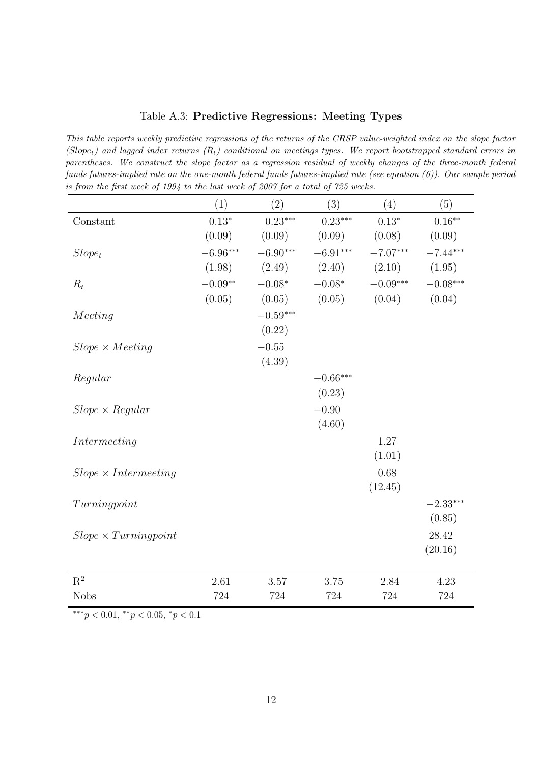#### Table A.3: Predictive Regressions: Meeting Types

This table reports weekly predictive regressions of the returns of the CRSP value-weighted index on the slope factor (Slope<sub>t</sub>) and lagged index returns  $(R_t)$  conditional on meetings types. We report bootstrapped standard errors in parentheses. We construct the slope factor as a regression residual of weekly changes of the three-month federal funds futures-implied rate on the one-month federal funds futures-implied rate (see equation [\(6\)](#page-10-0)). Our sample period is from the first week of 1994 to the last week of 2007 for a total of 725 weeks.

|                                 | (1)        | (2)        | (3)        | (4)        | (5)        |
|---------------------------------|------------|------------|------------|------------|------------|
| Constant                        | $0.13*$    | $0.23***$  | $0.23***$  | $0.13*$    | $0.16***$  |
|                                 | (0.09)     | (0.09)     | (0.09)     | (0.08)     | (0.09)     |
| $Slope_t$                       | $-6.96***$ | $-6.90***$ | $-6.91***$ | $-7.07***$ | $-7.44***$ |
|                                 | (1.98)     | (2.49)     | (2.40)     | (2.10)     | (1.95)     |
| $R_t$                           | $-0.09**$  | $-0.08*$   | $-0.08*$   | $-0.09***$ | $-0.08***$ |
|                                 | (0.05)     | (0.05)     | (0.05)     | (0.04)     | (0.04)     |
| Meeting                         |            | $-0.59***$ |            |            |            |
|                                 |            | (0.22)     |            |            |            |
| $Slope \times Meeting$          |            | $-0.55$    |            |            |            |
|                                 |            | (4.39)     |            |            |            |
| Regular                         |            |            | $-0.66***$ |            |            |
|                                 |            |            | (0.23)     |            |            |
| $Slope \times Regular$          |            |            | $-0.90$    |            |            |
|                                 |            |            | (4.60)     |            |            |
| Intermeeting                    |            |            |            | 1.27       |            |
|                                 |            |            |            | (1.01)     |            |
| $Slope \times Intermediateting$ |            |            |            | 0.68       |            |
|                                 |            |            |            | (12.45)    |            |
| Turing point                    |            |            |            |            | $-2.33***$ |
|                                 |            |            |            |            | (0.85)     |
| $Slope \times Turningpoint$     |            |            |            |            | 28.42      |
|                                 |            |            |            |            | (20.16)    |
| $R^2$                           | 2.61       | 3.57       | 3.75       | 2.84       | 4.23       |
| <b>Nobs</b>                     | 724        | 724        | 724        | 724        | 724        |
|                                 |            |            |            |            |            |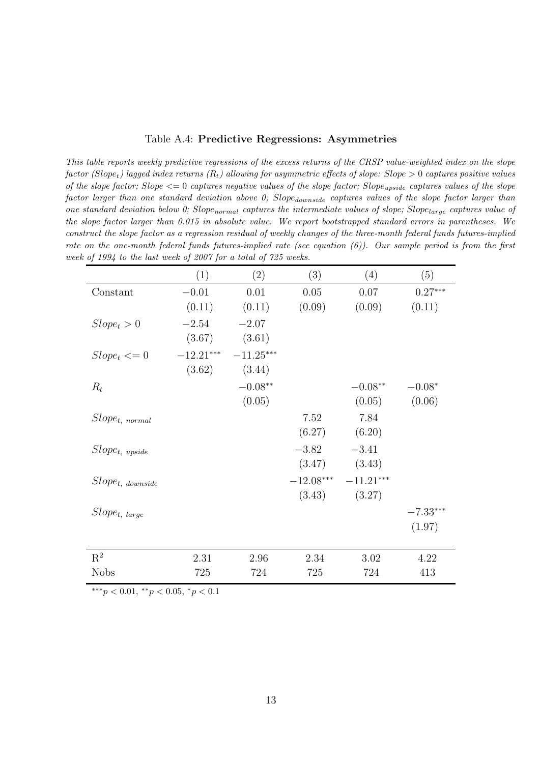|  |  |  | Table A.4: Predictive Regressions: Asymmetries |
|--|--|--|------------------------------------------------|
|--|--|--|------------------------------------------------|

This table reports weekly predictive regressions of the excess returns of the CRSP value-weighted index on the slope factor (Slope<sub>t</sub>) lagged index returns (R<sub>t</sub>) allowing for asymmetric effects of slope: Slope > 0 captures positive values of the slope factor; Slope  $\leq$  0 captures negative values of the slope factor; Slope<sub>upside</sub> captures values of the slope  $factor\ larger\ than\ one\ standard\ deviation\ above\ O;\ Slope_{downside}\ captures\ values\ of\ the\ slope\ factor\ larger\ than$ one standard deviation below 0; Slope<sub>normal</sub> captures the intermediate values of slope; Slope<sub>large</sub> captures value of the slope factor larger than 0.015 in absolute value. We report bootstrapped standard errors in parentheses. We construct the slope factor as a regression residual of weekly changes of the three-month federal funds futures-implied rate on the one-month federal funds futures-implied rate (see equation  $(6)$ ). Our sample period is from the first week of 1994 to the last week of 2007 for a total of 725 weeks.

|                        | (1)         | (2)         | (3)      | (4)                     | (5)        |
|------------------------|-------------|-------------|----------|-------------------------|------------|
| Constant               | $-0.01\,$   | 0.01        | $0.05\,$ | 0.07                    | $0.27***$  |
|                        | (0.11)      | (0.11)      | (0.09)   | (0.09)                  | (0.11)     |
| $Slope_t > 0$          | $-2.54$     | $-2.07$     |          |                         |            |
|                        | (3.67)      | (3.61)      |          |                         |            |
| $Slope_t \leq 0$       | $-12.21***$ | $-11.25***$ |          |                         |            |
|                        | (3.62)      | (3.44)      |          |                         |            |
| $R_t$                  |             | $-0.08**$   |          | $-0.08**$               | $-0.08*$   |
|                        |             | (0.05)      |          | (0.05)                  | (0.06)     |
| $Slope_{t, normal}$    |             |             | 7.52     | 7.84                    |            |
|                        |             |             | (6.27)   | (6.20)                  |            |
| $Slope_{t, \; upside}$ |             |             | $-3.82$  | $-3.41$                 |            |
|                        |             |             | (3.47)   | (3.43)                  |            |
| $Slope_{t,~downside}$  |             |             |          | $-12.08***$ $-11.21***$ |            |
|                        |             |             | (3.43)   | (3.27)                  |            |
| $Slope_{t, large}$     |             |             |          |                         | $-7.33***$ |
|                        |             |             |          |                         | (1.97)     |
|                        |             |             |          |                         |            |
| $\mathrm{R}^2$         | 2.31        | 2.96        | 2.34     | 3.02                    | 4.22       |
| <b>Nobs</b>            | 725         | 724         | 725      | 724                     | 413        |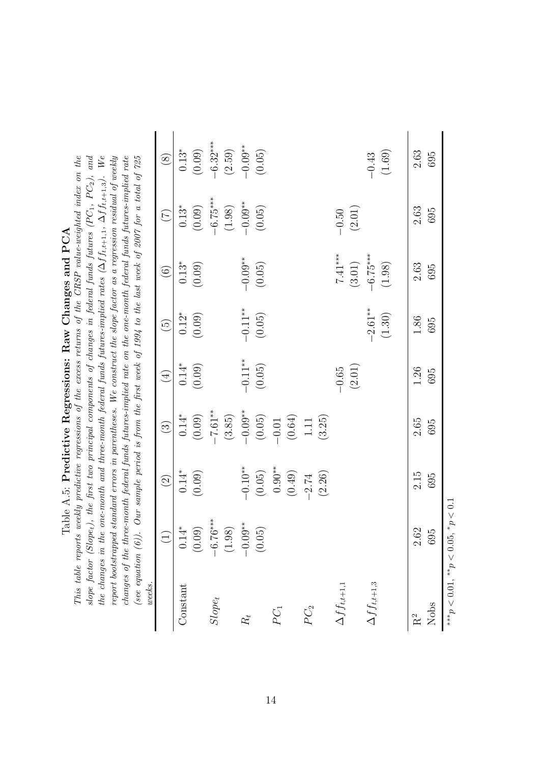| )<br>ו                                                                |
|-----------------------------------------------------------------------|
| くらく<br>ו<br>ו                                                         |
| $5 - 5 - 5 = 5$<br>Ì<br>֚֚֚֚֚֚֚֚֚֚֚֚֚֚֚֚֓֓֓֓֓֓֓֓֡׆֬                   |
| ;<br>;<br>;<br>í<br>ſ<br>l                                            |
| くらくり<br>ı<br>ı<br>֧֧֧֧֧֦֧֧֦֧֧֧֛֚֚֚֚֚֚֚֚֚֚֚֚֚֚֚֚֚֡֝֝֓֕֓֝֓֝֓֝֓֝֓֜֓<br>j |
| ĺ                                                                     |
| l<br>i                                                                |
|                                                                       |
| .<br>.<br>l                                                           |

the changes in the one-month and three-month federal funds futures-implied rates  $(\Delta f_{t,t+1,1}, \Delta f_{t,t+1,3})$ . We This table reports weekly predictive regressions of the excess returns of the  $CRSP$  value-weighted index on the slope factor (Slope<sub>t</sub>), the first two principal components of changes in federal funds futures (PC<sub>1</sub>, PC<sub>2</sub>), and report bootstrapped standard errors in parentheses. We construct the slope factor as a regression residual of weekly changes of the three-month federal funds futures-implied rate on the one-month federal funds futures-implied rate (see equation  $(6)$ ). Our sample period is from the first week of 1994 to the last week of 2007 for a total of 725 This table reports weekly predictive regressions of the excess returns of the CRSP value-weighted index on the  $\Gamma$ slope factor (Slope<sub>t</sub>), the first two principal components of changes in federal funds futures (PC<sub>1</sub>, PC<sub>2</sub>), and the changes in the one-month and three-month federal funds futures-implied rates  $(\Delta f f_{t,t+1,1}, \Delta f f_{t,t+1,3}).$  We report bootstrapped standard errors in parentheses. We construct the slope factor as a regression residual of weekly changes of the three-month federal funds futures-implied rate on the one-month federal funds futures-implied rate (see equation  $(6)$ ). Our sample period is from the first week of 1994 to the last week of 2007 for a total of  $725$ Table A.5: Predictive Regressions: Raw Changes and PCA

| weeks.                                       | Ì                                         |                                             |                                                                                                                  |                      |                     |                                                 |                                                                               |                                                                               |
|----------------------------------------------|-------------------------------------------|---------------------------------------------|------------------------------------------------------------------------------------------------------------------|----------------------|---------------------|-------------------------------------------------|-------------------------------------------------------------------------------|-------------------------------------------------------------------------------|
|                                              |                                           | $\odot$                                     | $\circledS$                                                                                                      | $\left( \pm \right)$ | $\widehat{\Theta}$  | $\odot$                                         | $\left(\sum_{i=1}^{n} a_i\right)$                                             | $\begin{pmatrix} 8 \end{pmatrix}$                                             |
| Constant                                     | $\stackrel{*}{\pm}$<br>$\overline{\circ}$ | $0.14^*$                                    | 0.14*<br>$(0.09)$<br>$(7.61**$<br>$(3.85)$<br>$(0.05)$<br>$(0.05)$<br>$(0.64)$<br>$(0.64)$<br>$(1.1$<br>$(3.25)$ | $0.14*$              | $0.12^{\ast}$       | $0.13^{*}$<br>(0.09)                            |                                                                               |                                                                               |
|                                              | (0.09)                                    | (0.09)                                      |                                                                                                                  | (0.09)               | (0.09)              |                                                 |                                                                               |                                                                               |
| $Slope_t$                                    | $-6.76***$                                |                                             |                                                                                                                  |                      |                     |                                                 |                                                                               |                                                                               |
|                                              | (1.98)                                    |                                             |                                                                                                                  |                      |                     |                                                 | $0.13^*$<br>$(0.09)$<br>$-6.75^{***}$<br>$(1.98)$<br>$-0.09^{**}$<br>$(0.05)$ | $0.13^*$<br>$(0.09)$<br>$-6.32^{***}$<br>$(2.59)$<br>$-0.09^{**}$<br>$(0.05)$ |
| $R_{t}$                                      | $-0.09**$                                 |                                             |                                                                                                                  | $-0.11**$            |                     |                                                 |                                                                               |                                                                               |
|                                              | $(0.05)$                                  | $-0.10**$<br>(0.05)                         |                                                                                                                  | (0.05)               | $-0.11**$<br>(0.05) | $-0.09$ **<br>(0.05)                            |                                                                               |                                                                               |
| $PC_1$                                       |                                           |                                             |                                                                                                                  |                      |                     |                                                 |                                                                               |                                                                               |
|                                              |                                           | $0.90**$<br>$(0.49)$<br>$-2.74$<br>$(2.26)$ |                                                                                                                  |                      |                     |                                                 |                                                                               |                                                                               |
| PC <sub>2</sub>                              |                                           |                                             |                                                                                                                  |                      |                     |                                                 |                                                                               |                                                                               |
|                                              |                                           |                                             |                                                                                                                  |                      |                     |                                                 |                                                                               |                                                                               |
| $\Delta f_{t,t+1,1}$                         |                                           |                                             |                                                                                                                  | $-0.65$              |                     |                                                 | $-0.50$                                                                       |                                                                               |
|                                              |                                           |                                             |                                                                                                                  | $(2.01)$             |                     |                                                 | $(2.01)$                                                                      |                                                                               |
| $\Delta f\hspace{0.025cm}f_{t,t+1,3}$        |                                           |                                             |                                                                                                                  |                      | $-2.61**$           | $7.41***$<br>$(3.01)$<br>$-6.75***$<br>$(1.98)$ |                                                                               | $-0.43$<br>(1.69)                                                             |
|                                              |                                           |                                             |                                                                                                                  |                      | (1.30)              |                                                 |                                                                               |                                                                               |
| $\rm R^2$                                    | 2.62                                      | 2.15                                        | 2.65                                                                                                             | 1.26                 | 1.86                | 2.63                                            | 2.63                                                                          | 2.63                                                                          |
| Nobs                                         | 695                                       | 695                                         | 695                                                                                                              | 695                  | 695                 | 695                                             | 695                                                                           | 695                                                                           |
| *** $p < 0.01$ , ** $p < 0.05$ , * $p < 0.1$ |                                           |                                             |                                                                                                                  |                      |                     |                                                 |                                                                               |                                                                               |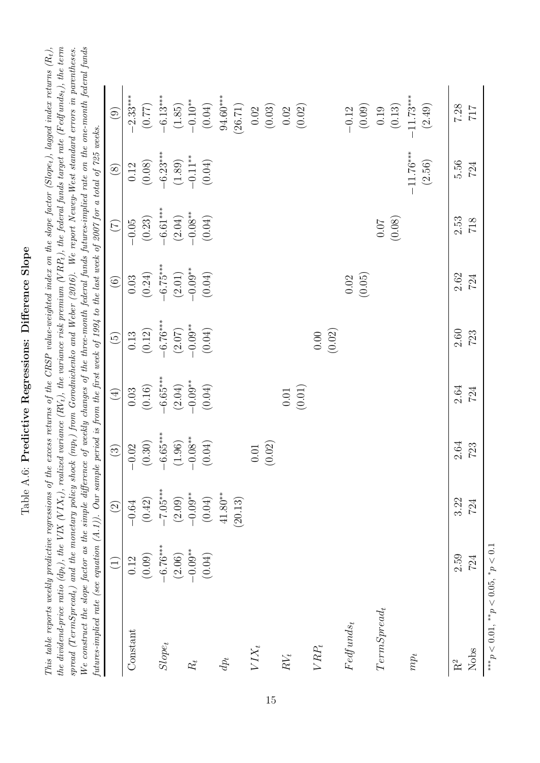Table A.6: Predictive Regressions: Difference Slope Table A.6: Predictive Regressions: Difference Slope

| This table reports weekly predictive regressions of the excess returns of the CRSP value-weighted index on the slope factor (Slope <sub>t</sub> ), lagged index returns $(R_t)$ ,                                               |
|---------------------------------------------------------------------------------------------------------------------------------------------------------------------------------------------------------------------------------|
| the dividend-price ratio (dp <sub>t</sub> ), the VIX (VIX <sub>t</sub> ), realized variance (RV <sub>t</sub> ), the variance risk premium (VRP <sub>t</sub> ), the federal funds target rate (Fedfunds <sub>t</sub> ), the term |
| $\beta$ (TermSpread <sub>t</sub> ) and the monetary policy shock (mp <sub>t</sub> ) from Gorodnichenko and Weber (2016). We report Newey-West standard errors in parentheses.                                                   |
| We construct the slope factor as the simple difference of weekly changes of the three-month federal funds futures-implied rate on the one-month federal funds                                                                   |
| futures-implied rate (see equation $(A.1)$ ). Our sample period is from the first week of 1994 to the last week of 2007 for a total of 725 weeks.                                                                               |

|                                              | $\bigoplus$          | $\boxed{2}$          | $\odot$                                          | $\tag{4}$                                       | $\widetilde{5}$                                                     | $\begin{pmatrix} 6 \end{pmatrix}$                                                              | $\bigcirc$                                                  | $\textcircled{\scriptsize 8}$                                                                  | $\begin{pmatrix} 0 \\ 0 \end{pmatrix}$                                                                                       |
|----------------------------------------------|----------------------|----------------------|--------------------------------------------------|-------------------------------------------------|---------------------------------------------------------------------|------------------------------------------------------------------------------------------------|-------------------------------------------------------------|------------------------------------------------------------------------------------------------|------------------------------------------------------------------------------------------------------------------------------|
| Constant                                     | 0.12                 | $-0.64\,$            | $-0.02$                                          | $0.03\,$                                        | 0.13<br>$(0.12)$<br>$-6.76***$<br>$(2.07)$<br>$-0.09**$<br>$(0.04)$ | $\begin{array}{c} 0.03 \\ (0.24) \\ -6.75^{***} \\ (2.01) \\ -0.09^{**} \\ (0.04) \end{array}$ | $-0.05$                                                     | $\begin{array}{c} 0.12 \\ (0.08) \\ -6.23^{***} \\ (1.89) \\ -0.11^{**} \\ (0.04) \end{array}$ | $-2.33***$<br>$(0.77)$<br>$(6.13***$<br>$(-6.19***$<br>$(-1.85)$<br>$(0.04)$<br>$(0.02)$<br>$(0.02)$<br>$(0.02)$<br>$(0.02)$ |
|                                              | (0.09)               | (0.42)               | (0.30)                                           | $\left(0.16\right)$                             |                                                                     |                                                                                                |                                                             |                                                                                                |                                                                                                                              |
| $Slope_t$                                    | $-6.76***$<br>(2.06) | $-7.05***$<br>(2.09) | $-6.65***$<br>$(1.96)$<br>$-0.08***$<br>$(0.04)$ | $-6.65***$<br>$(2.04)$<br>$-0.09**$<br>$(0.04)$ |                                                                     |                                                                                                | $(0.23)$<br>$-6.61***$<br>$(2.04)$<br>$-0.08**$<br>$(0.04)$ |                                                                                                |                                                                                                                              |
| $\mathcal{R}_t$                              |                      | $-0.09**$            |                                                  |                                                 |                                                                     |                                                                                                |                                                             |                                                                                                |                                                                                                                              |
|                                              | $-0.09**$<br>(0.04)  | (0.04)               |                                                  |                                                 |                                                                     |                                                                                                |                                                             |                                                                                                |                                                                                                                              |
| $dp_t$                                       |                      | $41.80***$           |                                                  |                                                 |                                                                     |                                                                                                |                                                             |                                                                                                |                                                                                                                              |
|                                              |                      | (20.13)              |                                                  |                                                 |                                                                     |                                                                                                |                                                             |                                                                                                |                                                                                                                              |
| $VIX_t$                                      |                      |                      |                                                  |                                                 |                                                                     |                                                                                                |                                                             |                                                                                                |                                                                                                                              |
|                                              |                      |                      | (0.01)                                           |                                                 |                                                                     |                                                                                                |                                                             |                                                                                                |                                                                                                                              |
| $\cal RV_t$                                  |                      |                      |                                                  |                                                 |                                                                     |                                                                                                |                                                             |                                                                                                |                                                                                                                              |
|                                              |                      |                      |                                                  | $\left(0.01\right)$ (0.01)                      |                                                                     |                                                                                                |                                                             |                                                                                                |                                                                                                                              |
| ${\cal V} {\cal R} {\cal P}_t$               |                      |                      |                                                  |                                                 | (0.00)                                                              |                                                                                                |                                                             |                                                                                                |                                                                                                                              |
|                                              |                      |                      |                                                  |                                                 |                                                                     |                                                                                                |                                                             |                                                                                                |                                                                                                                              |
| $Fedfunds_t$                                 |                      |                      |                                                  |                                                 |                                                                     | $0.02\,$                                                                                       |                                                             |                                                                                                |                                                                                                                              |
|                                              |                      |                      |                                                  |                                                 |                                                                     | (0.05)                                                                                         |                                                             |                                                                                                |                                                                                                                              |
| $TermSpred_t$                                |                      |                      |                                                  |                                                 |                                                                     |                                                                                                | (0.07)                                                      |                                                                                                |                                                                                                                              |
|                                              |                      |                      |                                                  |                                                 |                                                                     |                                                                                                |                                                             |                                                                                                | $-0.12$<br>$(0.09)$<br>$0.19$<br>$(0.13)$<br>$(0.13)$                                                                        |
| $mp_t$                                       |                      |                      |                                                  |                                                 |                                                                     |                                                                                                |                                                             | $-11.76***$                                                                                    |                                                                                                                              |
|                                              |                      |                      |                                                  |                                                 |                                                                     |                                                                                                |                                                             | (2.56)                                                                                         | (2.49)                                                                                                                       |
| $\rm R^2$                                    | 2.59                 | 3.22                 | $2.64\,$                                         | 2.64                                            | 2.60                                                                | 2.62                                                                                           | 2.53                                                        | 5.56                                                                                           | 7.28                                                                                                                         |
| Nobs                                         | 724                  | 724                  | 723                                              | 724                                             | 723                                                                 | 724                                                                                            | 718                                                         | 724                                                                                            | $717\,$                                                                                                                      |
| *** $p < 0.01$ , ** $p < 0.05$ , * $p < 0.1$ |                      |                      |                                                  |                                                 |                                                                     |                                                                                                |                                                             |                                                                                                |                                                                                                                              |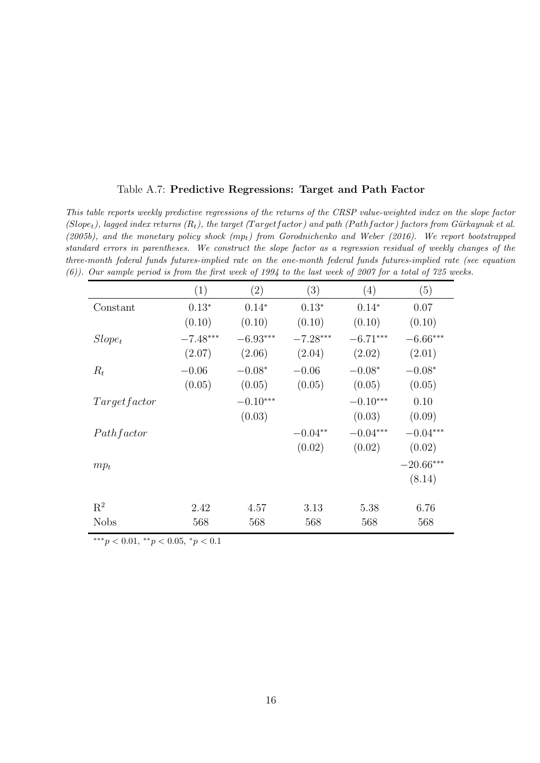|  |  |  | Table A.7: Predictive Regressions: Target and Path Factor |  |  |  |  |
|--|--|--|-----------------------------------------------------------|--|--|--|--|
|--|--|--|-----------------------------------------------------------|--|--|--|--|

This table reports weekly predictive regressions of the returns of the CRSP value-weighted index on the slope factor (Slope<sub>t</sub>), lagged index returns  $(R_t)$ , the target (Targetfactor) and path (Pathfactor) factors from Gürkaynak et al. [\(2005b\)](#page-28-0), and the monetary policy shock  $(mp_t)$  from [Gorodnichenko and Weber](#page-28-1) [\(2016\)](#page-28-1). We report bootstrapped standard errors in parentheses. We construct the slope factor as a regression residual of weekly changes of the three-month federal funds futures-implied rate on the one-month federal funds futures-implied rate (see equation [\(6\)](#page-10-0)). Our sample period is from the first week of 1994 to the last week of 2007 for a total of 725 weeks.

|              | (1)        | $\left( 2\right)$ | $\left( 3\right)$ | $\left( 4\right)$ | (5)         |
|--------------|------------|-------------------|-------------------|-------------------|-------------|
| Constant     | $0.13*$    | $0.14*$           | $0.13*$           | $0.14*$           | 0.07        |
|              | (0.10)     | (0.10)            | (0.10)            | (0.10)            | (0.10)      |
| $Slope_t$    | $-7.48***$ | $-6.93***$        | $-7.28***$        | $-6.71***$        | $-6.66***$  |
|              | (2.07)     | (2.06)            | (2.04)            | (2.02)            | (2.01)      |
| $R_t$        | $-0.06$    | $-0.08*$          | $-0.06$           | $-0.08*$          | $-0.08*$    |
|              | (0.05)     | (0.05)            | (0.05)            | (0.05)            | (0.05)      |
| Targetfactor |            | $-0.10***$        |                   | $-0.10***$        | 0.10        |
|              |            | (0.03)            |                   | (0.03)            | (0.09)      |
| Pathfactor   |            |                   | $-0.04**$         | $-0.04***$        | $-0.04***$  |
|              |            |                   | (0.02)            | (0.02)            | (0.02)      |
| $mp_t$       |            |                   |                   |                   | $-20.66***$ |
|              |            |                   |                   |                   | (8.14)      |
|              |            |                   |                   |                   |             |
| $R^2$        | 2.42       | 4.57              | 3.13              | 5.38              | 6.76        |
| <b>Nobs</b>  | 568        | 568               | 568               | 568               | 568         |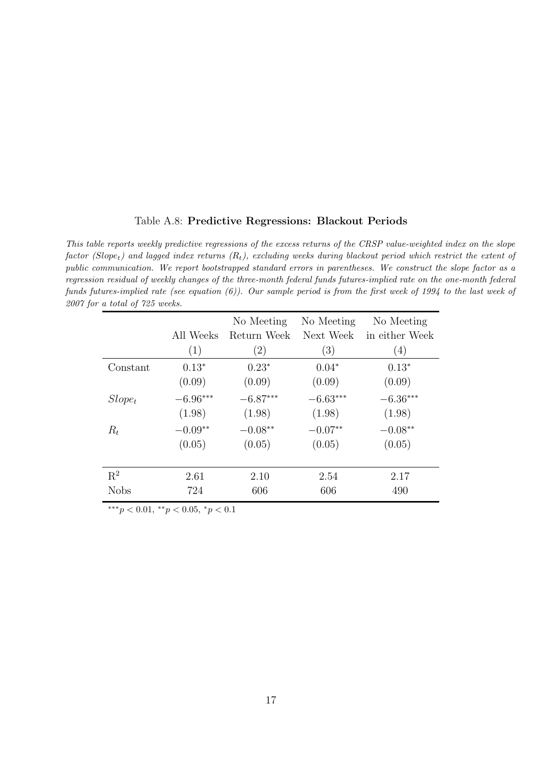#### <span id="page-56-0"></span>Table A.8: Predictive Regressions: Blackout Periods

This table reports weekly predictive regressions of the excess returns of the CRSP value-weighted index on the slope factor (Slope<sub>t</sub>) and lagged index returns  $(R_t)$ , excluding weeks during blackout period which restrict the extent of public communication. We report bootstrapped standard errors in parentheses. We construct the slope factor as a regression residual of weekly changes of the three-month federal funds futures-implied rate on the one-month federal funds futures-implied rate (see equation [\(6\)](#page-10-0)). Our sample period is from the first week of 1994 to the last week of 2007 for a total of 725 weeks.

|             | All Weeks  | No Meeting<br>Return Week | No Meeting<br>Next Week | No Meeting<br>in either Week |
|-------------|------------|---------------------------|-------------------------|------------------------------|
|             | (1)        | $\left( 2\right)$         | (3)                     | (4)                          |
| Constant    | $0.13*$    | $0.23*$                   | $0.04*$                 | $0.13*$                      |
|             | (0.09)     | (0.09)                    | (0.09)                  | (0.09)                       |
| $Slope_t$   | $-6.96***$ | $-6.87***$                | $-6.63***$              | $-6.36***$                   |
|             | (1.98)     | (1.98)                    | (1.98)                  | (1.98)                       |
| $R_t$       | $-0.09**$  | $-0.08**$                 | $-0.07**$               | $-0.08**$                    |
|             | (0.05)     | (0.05)                    | (0.05)                  | (0.05)                       |
|             |            |                           |                         |                              |
| $R^2$       | 2.61       | 2.10                      | 2.54                    | 2.17                         |
| <b>Nobs</b> | 724        | 606                       | 606                     | 490                          |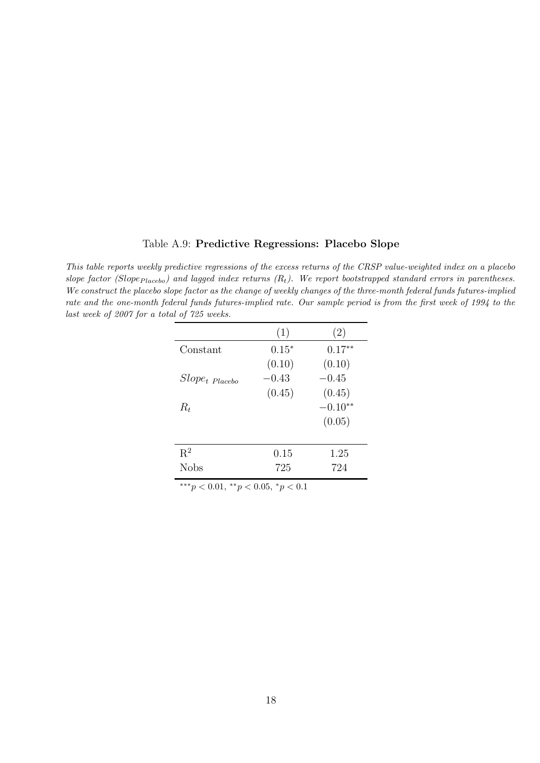#### <span id="page-57-0"></span>Table A.9: Predictive Regressions: Placebo Slope

This table reports weekly predictive regressions of the excess returns of the CRSP value-weighted index on a placebo slope factor (Slope<sub>Placebo</sub>) and lagged index returns  $(R_t)$ . We report bootstrapped standard errors in parentheses. We construct the placebo slope factor as the change of weekly changes of the three-month federal funds futures-implied rate and the one-month federal funds futures-implied rate. Our sample period is from the first week of 1994 to the last week of 2007 for a total of 725 weeks.

|                     | (1)     | (2)       |
|---------------------|---------|-----------|
| Constant            | $0.15*$ | $0.17**$  |
|                     | (0.10)  | (0.10)    |
| $Slope_{t}$ Placebo | $-0.43$ | $-0.45$   |
|                     | (0.45)  | (0.45)    |
| $R_t$               |         | $-0.10**$ |
|                     |         | (0.05)    |
|                     |         |           |
| $\mathbf{R}^2$      | 0.15    | 1.25      |
| <b>Nobs</b>         | 725     | 724       |
|                     |         |           |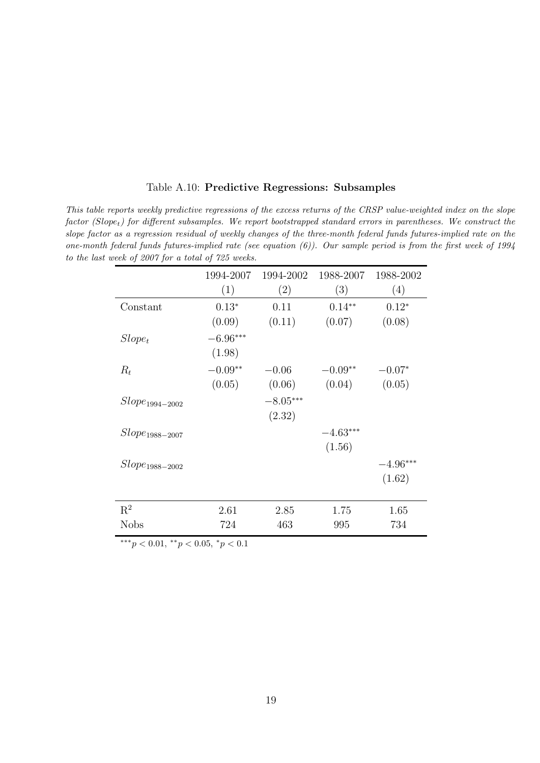|                     | 1994-2007  | 1994-2002  | 1988-2007  | 1988-2002  |
|---------------------|------------|------------|------------|------------|
|                     | (1)        | (2)        | (3)        | (4)        |
| Constant            | $0.13*$    | 0.11       | $0.14**$   | $0.12*$    |
|                     | (0.09)     | (0.11)     | (0.07)     | (0.08)     |
| $Slope_t$           | $-6.96***$ |            |            |            |
|                     | (1.98)     |            |            |            |
| $R_t$               | $-0.09**$  | $-0.06$    | $-0.09**$  | $-0.07*$   |
|                     | (0.05)     | (0.06)     | (0.04)     | (0.05)     |
| $Slope_{1994-2002}$ |            | $-8.05***$ |            |            |
|                     |            | (2.32)     |            |            |
| $Slope_{1988-2007}$ |            |            | $-4.63***$ |            |
|                     |            |            | (1.56)     |            |
| $Slope_{1988-2002}$ |            |            |            | $-4.96***$ |
|                     |            |            |            | (1.62)     |
|                     |            |            |            |            |
| $\mathbf{R}^2$      | 2.61       | 2.85       | 1.75       | 1.65       |
| <b>Nobs</b>         | 724        | 463        | 995        | 734        |

Table A.10: Predictive Regressions: Subsamples

This table reports weekly predictive regressions of the excess returns of the CRSP value-weighted index on the slope  $factor(Slope<sub>t</sub>)$  for different subsamples. We report bootstrapped standard errors in parentheses. We construct the slope factor as a regression residual of weekly changes of the three-month federal funds futures-implied rate on the one-month federal funds futures-implied rate (see equation  $(6)$ ). Our sample period is from the first week of 1994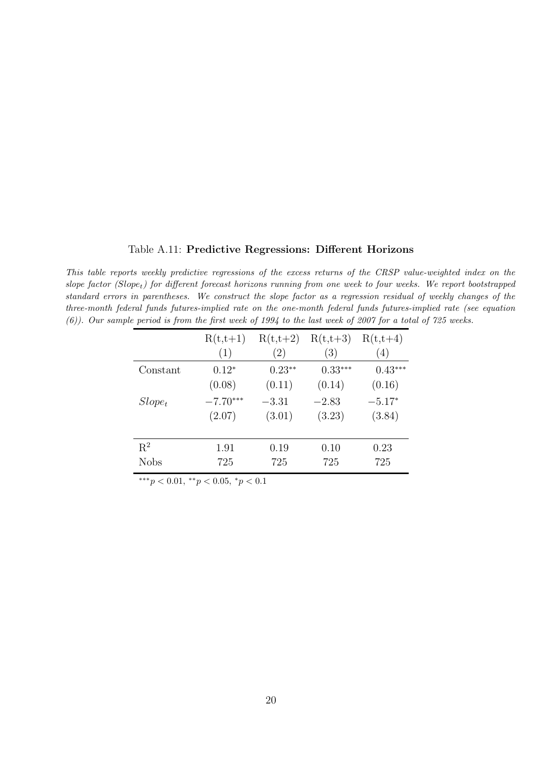#### <span id="page-59-0"></span>Table A.11: Predictive Regressions: Different Horizons

This table reports weekly predictive regressions of the excess returns of the CRSP value-weighted index on the slope factor (Slope<sub>t</sub>) for different forecast horizons running from one week to four weeks. We report bootstrapped standard errors in parentheses. We construct the slope factor as a regression residual of weekly changes of the three-month federal funds futures-implied rate on the one-month federal funds futures-implied rate (see equation [\(6\)](#page-10-0)). Our sample period is from the first week of 1994 to the last week of 2007 for a total of 725 weeks.

|             | $R(t,t+1)$ | $R(t,t+2)$ | $R(t,t+3)$ | $R(t,t+4)$ |
|-------------|------------|------------|------------|------------|
|             | (1)        | (2)        | (3)        | (4)        |
| Constant    | $0.12*$    | $0.23**$   | $0.33***$  | $0.43***$  |
|             | (0.08)     | (0.11)     | (0.14)     | (0.16)     |
| $Slope_t$   | $-7.70***$ | $-3.31$    | $-2.83$    | $-5.17*$   |
|             | (2.07)     | (3.01)     | (3.23)     | (3.84)     |
|             |            |            |            |            |
| $R^2$       | 1.91       | 0.19       | 0.10       | 0.23       |
| <b>Nobs</b> | 725        | 725        | 725        | 725        |
|             |            |            |            |            |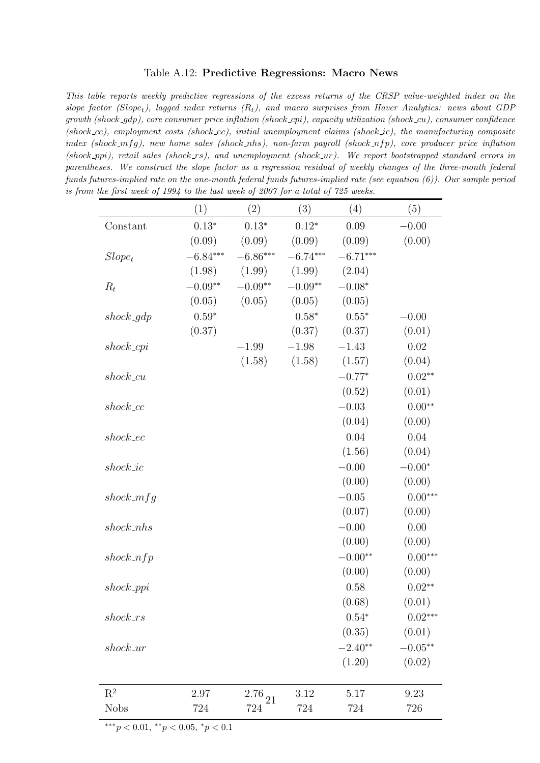#### <span id="page-60-0"></span>Table A.12: Predictive Regressions: Macro News

This table reports weekly predictive regressions of the excess returns of the CRSP value-weighted index on the slope factor (Slope<sub>t</sub>), lagged index returns  $(R_t)$ , and macro surprises from Haver Analytics: news about GDP  $growth$  (shock- $qdp$ ), core consumer price inflation (shock cpi), capacity utilization (shock cu), consumer confidence (shock  $\text{c}c$ ), employment costs (shock  $\text{e}c$ ), initial unemployment claims (shock  $\text{c}ic$ ), the manufacturing composite index (shock\_mfg), new home sales (shock\_nhs), non-farm payroll (shock\_nfp), core producer price inflation (shock ppi), retail sales (shock  $rs$ ), and unemployment (shock  $ur$ ). We report bootstrapped standard errors in parentheses. We construct the slope factor as a regression residual of weekly changes of the three-month federal funds futures-implied rate on the one-month federal funds futures-implied rate (see equation [\(6\)](#page-10-0)). Our sample period is from the first week of 1994 to the last week of 2007 for a total of 725 weeks.

|                | (1)        | (2)           | (3)        | (4)        | (5)                |
|----------------|------------|---------------|------------|------------|--------------------|
| Constant       | $0.13*$    | $0.13*$       | $0.12*$    | 0.09       | $-0.00$            |
|                | (0.09)     | (0.09)        | (0.09)     | (0.09)     | (0.00)             |
| $Slope_t$      | $-6.84***$ | $-6.86***$    | $-6.74***$ | $-6.71***$ |                    |
|                | (1.98)     | (1.99)        | (1.99)     | (2.04)     |                    |
| $R_t$          | $-0.09**$  | $-0.09**$     | $-0.09**$  | $-0.08*$   |                    |
|                | (0.05)     | (0.05)        | (0.05)     | (0.05)     |                    |
| $shock\_gdp$   | $0.59*$    |               | $0.58*$    | $0.55*$    | $-0.00$            |
|                | (0.37)     |               | (0.37)     | (0.37)     | (0.01)             |
| $shock_c$      |            | $-1.99$       | $-1.98$    | $-1.43$    | 0.02               |
|                |            | (1.58)        | (1.58)     | (1.57)     | (0.04)             |
| $shock\_cu$    |            |               |            | $-0.77*$   | $0.02**$           |
|                |            |               |            | (0.52)     | (0.01)             |
| $shock\_cc$    |            |               |            | $-0.03$    | $0.00**$           |
|                |            |               |            | (0.04)     | (0.00)             |
| $shock\_ec$    |            |               |            | 0.04       | 0.04               |
|                |            |               |            | (1.56)     | (0.04)             |
| $shock\_ic$    |            |               |            | $-0.00$    | $-0.00*$           |
|                |            |               |            | (0.00)     | (0.00)             |
| $shock_mfg$    |            |               |            | $-0.05$    | $0.00***$          |
|                |            |               |            | (0.07)     | (0.00)             |
| $shock\_nhs$   |            |               |            | $-0.00$    | 0.00               |
|                |            |               |            | (0.00)     | (0.00)             |
| shock.nfp      |            |               |            | $-0.00**$  | $0.00***$          |
|                |            |               |            | (0.00)     | (0.00)             |
| $shock$ -ppi   |            |               |            | 0.58       | $0.02**$           |
|                |            |               |            | (0.68)     | (0.01)             |
| $shock_r s$    |            |               |            | $0.54*$    | $0.02***$          |
|                |            |               |            | (0.35)     | (0.01)             |
| $shock_1$      |            |               |            | $-2.40**$  | $-0.05^{\ast\ast}$ |
|                |            |               |            | (1.20)     | (0.02)             |
|                |            |               |            |            |                    |
| $\mathbf{R}^2$ | 2.97       | $2.76_{\ 21}$ | 3.12       | 5.17       | 9.23               |
| <b>Nobs</b>    | 724        | 724           | 724        | 724        | 726                |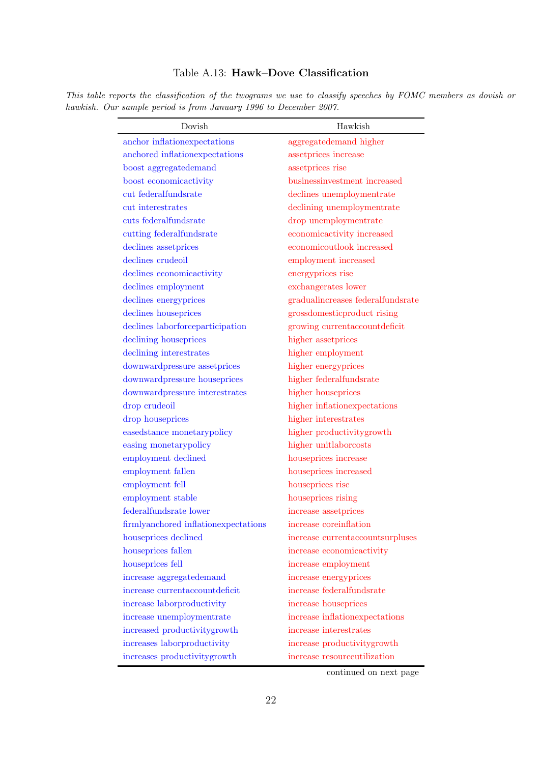#### <span id="page-61-0"></span>Table A.13: Hawk–Dove Classification

This table reports the classification of the twograms we use to classify speeches by FOMC members as dovish or hawkish. Our sample period is from January 1996 to December 2007.

| Dovish                                      | Hawkish                           |
|---------------------------------------------|-----------------------------------|
| anchor inflationexpectations                | aggregatedemand higher            |
| anchored inflationexpectations              | assetprices increase              |
| boost aggregatedemand                       | assetprices rise                  |
| boost economicactivity                      | businessinvestment increased      |
| cut federalfundsrate                        | declines unemploymentrate         |
| cut interestrates                           | declining unemploymentrate        |
| cuts federalfundsrate                       | drop unemploymentrate             |
| cutting federalfundsrate                    | economicactivity increased        |
| declines assetprices                        | economicoutlook increased         |
| declines crudeoil                           | employment increased              |
| declines economicactivity                   | energyprices rise                 |
| declines employment                         | exchangerates lower               |
| declines energyprices                       | gradualincreases federalfundsrate |
| declines houseprices                        | grossdomesticproduct rising       |
| declines laborforceparticipation            | growing currentaccountdeficit     |
| declining houseprices                       | higher assetprices                |
| declining interestrates                     | higher employment                 |
| downwardpressure assetprices                | higher energyprices               |
| downwardpressure houseprices                | higher federalfundsrate           |
| downwardpressure interestrates              | higher houseprices                |
| drop crudeoil                               | higher inflationexpectations      |
| drop houseprices                            | higher interestrates              |
| easedstance monetarypolicy                  | higher productivitygrowth         |
| easing monetarypolicy                       | higher unitlaborcosts             |
| employment declined                         | houseprices increase              |
| employment fallen                           | houseprices increased             |
| employment fell                             | houseprices rise                  |
| employment stable                           | houseprices rising                |
| federalfundsrate lower                      | increase assetprices              |
| firmlyanchored inflationexpectations        | increase coreinflation            |
| houseprices declined                        | increase currentaccountsurpluses  |
| houseprices fallen                          | increase economicactivity         |
| houseprices fell                            | increase employment               |
| increase aggregatedemand                    | increase energyprices             |
| increase currentaccountdeficit              | increase federalfundsrate         |
| increase laborproductivity                  | increase houseprices              |
| $\operatorname*{increase}$ unemploymentrate | increase inflationexpectations    |
| increased productivitygrowth                | increase interestrates            |
| increases laborproductivity                 | increase productivitygrowth       |
| increases productivitygrowth                | increase resourceutilization      |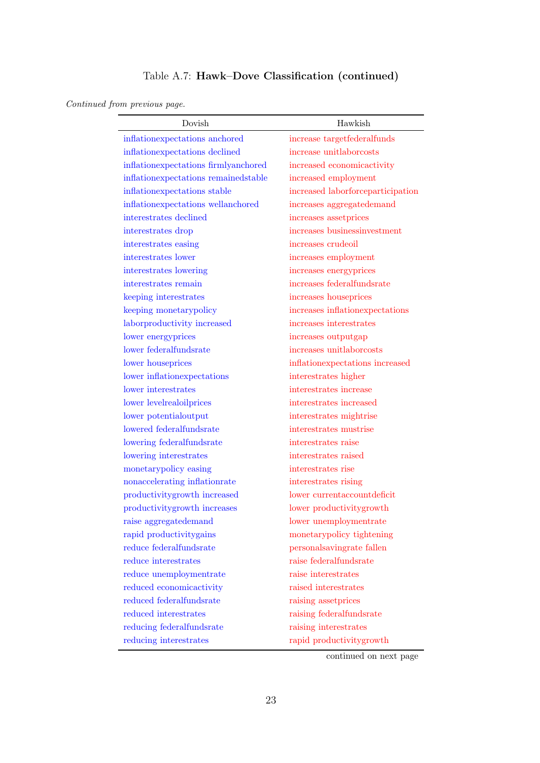## Table A.7: Hawk–Dove Classification (continued)

#### Continued from previous page.

| Dovish                               | Hawkish                           |
|--------------------------------------|-----------------------------------|
| inflationexpectations anchored       | increase targetfederalfunds       |
| inflationexpectations declined       | increase unitlaborcosts           |
| inflationexpectations firmlyanchored | increased economicactivity        |
| inflationexpectations remainedstable | increased employment              |
| inflationexpectations stable         | increased laborforceparticipation |
| inflationexpectations wellanchored   | increases aggregatedemand         |
| interestrates declined               | increases assetprices             |
| interestrates drop                   | increases businessinvestment      |
| interestrates easing                 | increases crudeoil                |
| interestrates lower                  | increases employment              |
| interestrates lowering               | increases energyprices            |
| interestrates remain                 | increases federalfundsrate        |
| keeping interestrates                | increases houseprices             |
| keeping monetarypolicy               | increases inflationexpectations   |
| laborproductivity increased          | increases interestrates           |
| lower energyprices                   | increases outputgap               |
| lower federalfundsrate               | increases unitlaborcosts          |
| lower houseprices                    | inflationexpectations increased   |
| lower inflationexpectations          | interestrates higher              |
| lower interestrates                  | interestrates increase            |
| lower levelrealoilprices             | interestrates increased           |
| lower potentialoutput                | interestrates mightrise           |
| lowered federalfundsrate             | interestrates mustrise            |
| lowering federalfundsrate            | interestrates raise               |
| lowering interestrates               | interestrates raised              |
| monetarypolicy easing                | interestrates rise                |
| nonaccelerating inflationrate        | interestrates rising              |
| productivitygrowth increased         | lower currentaccountdeficit       |
| productivitygrowth increases         | lower productivitygrowth          |
| raise aggregatedemand                | lower unemploymentrate            |
| rapid productivitygains              | monetarypolicy tightening         |
| reduce federalfundsrate              | personalsavingrate fallen         |
| reduce interestrates                 | raise federalfundsrate            |
| reduce unemploymentrate              | raise interestrates               |
| reduced economicactivity             | raised interestrates              |
| reduced federalfundsrate             | raising assetprices               |
| reduced interestrates                | raising federalfundsrate          |
| reducing federalfundsrate            | raising interestrates             |
| reducing interestrates               | rapid productivitygrowth          |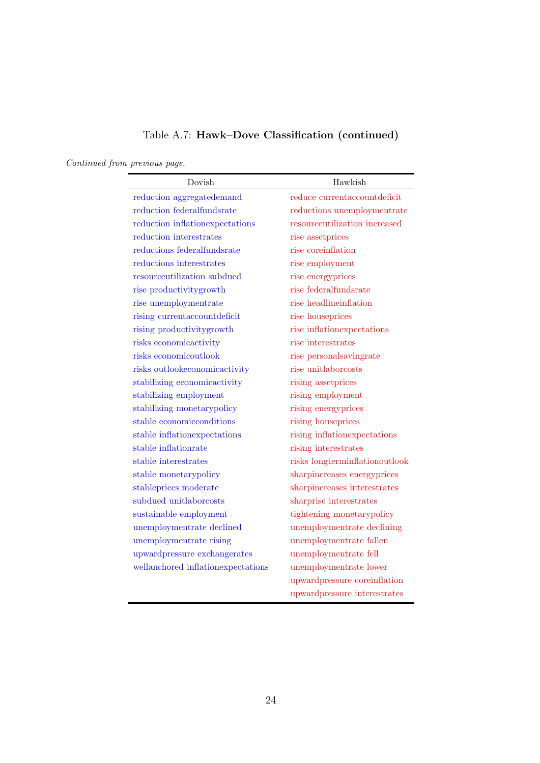## Table A.7: Hawk–Dove Classification (continued)

# Continued from previous page.

| Dovish                             | Hawkish                        |
|------------------------------------|--------------------------------|
| reduction aggregatedemand          | reduce currentaccountdeficit   |
| reduction federalfundsrate         | reductions unemploymentrate    |
| reduction inflationexpectations    | resourceutilization increased  |
| reduction interestrates            | rise assetprices               |
| reductions federalfundsrate        | rise coreinflation             |
| reductions interestrates           | rise employment                |
| resourceutilization subdued        | rise energyprices              |
| rise productivitygrowth            | rise federalfundsrate          |
| rise unemploymentrate              | rise headlineinflation         |
| rising currentaccountdeficit       | rise houseprices               |
| rising productivitygrowth          | rise inflationexpectations     |
| risks economicactivity             | rise interestrates             |
| risks economicoutlook              | rise personalsavingrate        |
| risks outlookeconomicactivity      | rise unitlaborcosts            |
| stabilizing economicactivity       | rising assetprices             |
| stabilizing employment             | rising employment              |
| stabilizing monetarypolicy         | rising energyprices            |
| stable economic conditions         | rising houseprices             |
| stable inflationexpectations       | rising inflationexpectations   |
| stable inflationrate               | rising interestrates           |
| stable interestrates               | risks longterminflationoutlook |
| stable monetarypolicy              | sharpincreases energyprices    |
| stableprices moderate              | sharpincreases interestrates   |
| subdued unitlaborcosts             | sharprise interestrates        |
| sustainable employment             | tightening monetarypolicy      |
| unemploymentrate declined          | unemploymentrate declining     |
| unemploymentrate rising            | unemploymentrate fallen        |
| upwardpressure exchangerates       | unemploymentrate fell          |
| wellanchored inflationexpectations | unemploymentrate lower         |
|                                    | upwardpressure coreinflation   |
|                                    | upwardpressure interestrates   |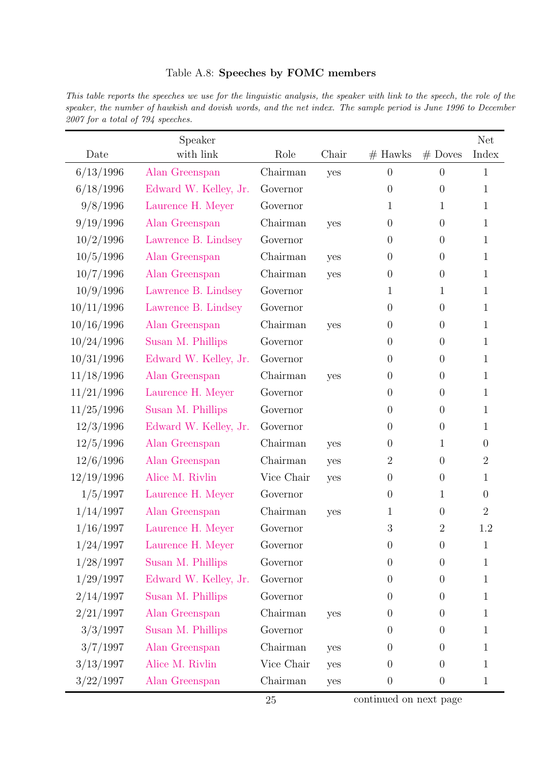#### Table A.8: Speeches by FOMC members

This table reports the speeches we use for the linguistic analysis, the speaker with link to the speech, the role of the speaker, the number of hawkish and dovish words, and the net index. The sample period is June 1996 to December 2007 for a total of 794 speeches.

|            | Speaker               |            |       |                  |                  | <b>Net</b>       |
|------------|-----------------------|------------|-------|------------------|------------------|------------------|
| Date       | with link             | Role       | Chair | $#$ Hawks        | $#$ Doves        | Index            |
| 6/13/1996  | Alan Greenspan        | Chairman   | yes   | $\boldsymbol{0}$ | $\boldsymbol{0}$ | 1                |
| 6/18/1996  | Edward W. Kelley, Jr. | Governor   |       | $\overline{0}$   | $\boldsymbol{0}$ | 1                |
| 9/8/1996   | Laurence H. Meyer     | Governor   |       | 1                | $\mathbf{1}$     | $\mathbf{1}$     |
| 9/19/1996  | Alan Greenspan        | Chairman   | yes   | $\overline{0}$   | $\boldsymbol{0}$ | $\mathbf{1}$     |
| 10/2/1996  | Lawrence B. Lindsey   | Governor   |       | $\theta$         | $\boldsymbol{0}$ | $\mathbf{1}$     |
| 10/5/1996  | Alan Greenspan        | Chairman   | yes   | $\boldsymbol{0}$ | $\boldsymbol{0}$ | $\mathbf{1}$     |
| 10/7/1996  | Alan Greenspan        | Chairman   | yes   | $\theta$         | $\boldsymbol{0}$ | $\mathbf{1}$     |
| 10/9/1996  | Lawrence B. Lindsey   | Governor   |       | $\mathbf{1}$     | $\mathbf{1}$     | $\mathbf{1}$     |
| 10/11/1996 | Lawrence B. Lindsey   | Governor   |       | $\overline{0}$   | $\theta$         | $\mathbf{1}$     |
| 10/16/1996 | Alan Greenspan        | Chairman   | yes   | $\theta$         | $\theta$         | $\mathbf{1}$     |
| 10/24/1996 | Susan M. Phillips     | Governor   |       | $\theta$         | $\boldsymbol{0}$ | $\mathbf{1}$     |
| 10/31/1996 | Edward W. Kelley, Jr. | Governor   |       | $\overline{0}$   | $\boldsymbol{0}$ | $\mathbf{1}$     |
| 11/18/1996 | Alan Greenspan        | Chairman   | yes   | $\theta$         | $\boldsymbol{0}$ | $\mathbf{1}$     |
| 11/21/1996 | Laurence H. Meyer     | Governor   |       | $\overline{0}$   | $\boldsymbol{0}$ | $\mathbf{1}$     |
| 11/25/1996 | Susan M. Phillips     | Governor   |       | $\theta$         | $\boldsymbol{0}$ | $\mathbf{1}$     |
| 12/3/1996  | Edward W. Kelley, Jr. | Governor   |       | $\overline{0}$   | $\boldsymbol{0}$ | $\mathbf{1}$     |
| 12/5/1996  | Alan Greenspan        | Chairman   | yes   | $\overline{0}$   | $\mathbf{1}$     | $\boldsymbol{0}$ |
| 12/6/1996  | Alan Greenspan        | Chairman   | yes   | $\overline{2}$   | $\overline{0}$   | $\overline{2}$   |
| 12/19/1996 | Alice M. Rivlin       | Vice Chair | yes   | $\theta$         | $\boldsymbol{0}$ | $\mathbf{1}$     |
| 1/5/1997   | Laurence H. Meyer     | Governor   |       | $\overline{0}$   | $\mathbf{1}$     | $\overline{0}$   |
| 1/14/1997  | Alan Greenspan        | Chairman   | yes   | 1                | $\boldsymbol{0}$ | $\overline{2}$   |
| 1/16/1997  | Laurence H. Meyer     | Governor   |       | $\boldsymbol{3}$ | $\overline{2}$   | 1.2              |
| 1/24/1997  | Laurence H. Meyer     | Governor   |       | $\boldsymbol{0}$ | $\theta$         | $\mathbf{1}$     |
| 1/28/1997  | Susan M. Phillips     | Governor   |       | $\overline{0}$   | $\overline{0}$   | 1                |
| 1/29/1997  | Edward W. Kelley, Jr. | Governor   |       | $\overline{0}$   | $\overline{0}$   | 1                |
| 2/14/1997  | Susan M. Phillips     | Governor   |       | $\overline{0}$   | $\overline{0}$   | 1                |
| 2/21/1997  | Alan Greenspan        | Chairman   | yes   | $\overline{0}$   | $\overline{0}$   | 1                |
| 3/3/1997   | Susan M. Phillips     | Governor   |       | $\theta$         | $\boldsymbol{0}$ | 1                |
| 3/7/1997   | Alan Greenspan        | Chairman   | yes   | $\theta$         | $\boldsymbol{0}$ | 1                |
| 3/13/1997  | Alice M. Rivlin       | Vice Chair | yes   | $\overline{0}$   | $\boldsymbol{0}$ | 1                |
| 3/22/1997  | Alan Greenspan        | Chairman   | yes   | $\theta$         | $\boldsymbol{0}$ | $\mathbf{1}$     |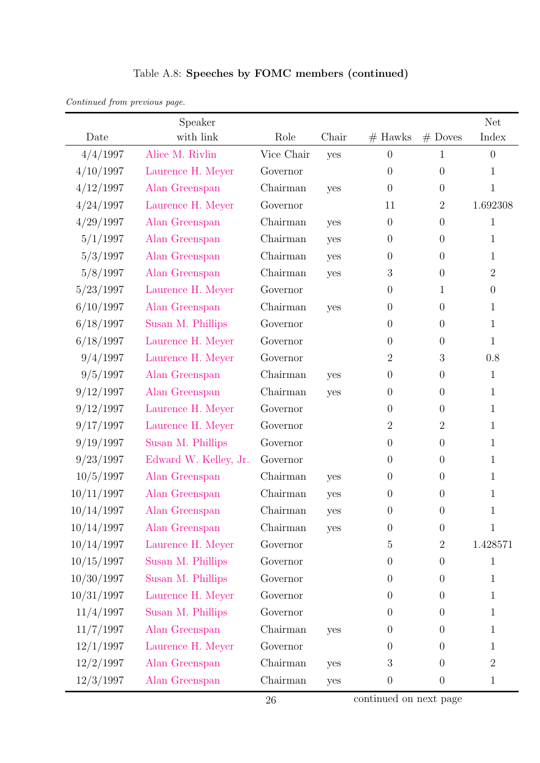|  |  |  | Table A.8: Speeches by FOMC members (continued) |  |
|--|--|--|-------------------------------------------------|--|
|--|--|--|-------------------------------------------------|--|

| Date       | Speaker<br>with link  | Role       | Chair | $#$ Hawks        | $#$ Doves      | <b>Net</b><br>Index |
|------------|-----------------------|------------|-------|------------------|----------------|---------------------|
| 4/4/1997   | Alice M. Rivlin       | Vice Chair | yes   | $\theta$         | $\mathbf{1}$   | $\overline{0}$      |
| 4/10/1997  | Laurence H. Meyer     | Governor   |       | $\theta$         | $\overline{0}$ | $\mathbf{1}$        |
| 4/12/1997  | Alan Greenspan        | Chairman   | yes   | $\overline{0}$   | $\overline{0}$ | $\mathbf{1}$        |
| 4/24/1997  | Laurence H. Meyer     | Governor   |       | 11               | $\overline{2}$ | 1.692308            |
| 4/29/1997  | Alan Greenspan        | Chairman   | yes   | $\boldsymbol{0}$ | $\overline{0}$ | $\mathbf{1}$        |
| 5/1/1997   | Alan Greenspan        | Chairman   | yes   | $\boldsymbol{0}$ | $\overline{0}$ | $\mathbf{1}$        |
| 5/3/1997   | Alan Greenspan        | Chairman   | yes   | $\boldsymbol{0}$ | $\overline{0}$ | 1                   |
| 5/8/1997   | Alan Greenspan        | Chairman   | yes   | $\boldsymbol{3}$ | $\overline{0}$ | $\overline{2}$      |
| 5/23/1997  | Laurence H. Meyer     | Governor   |       | $\boldsymbol{0}$ | $\mathbf{1}$   | $\overline{0}$      |
| 6/10/1997  | Alan Greenspan        | Chairman   | yes   | $\overline{0}$   | $\overline{0}$ | 1                   |
| 6/18/1997  | Susan M. Phillips     | Governor   |       | $\theta$         | $\overline{0}$ | $\mathbf{1}$        |
| 6/18/1997  | Laurence H. Meyer     | Governor   |       | $\theta$         | $\overline{0}$ | $\mathbf{1}$        |
| 9/4/1997   | Laurence H. Meyer     | Governor   |       | $\overline{2}$   | 3              | 0.8                 |
| 9/5/1997   | Alan Greenspan        | Chairman   | yes   | $\boldsymbol{0}$ | $\overline{0}$ | $\mathbf{1}$        |
| 9/12/1997  | Alan Greenspan        | Chairman   | yes   | $\boldsymbol{0}$ | $\overline{0}$ | $\mathbf{1}$        |
| 9/12/1997  | Laurence H. Meyer     | Governor   |       | $\boldsymbol{0}$ | $\overline{0}$ | $\mathbf{1}$        |
| 9/17/1997  | Laurence H. Meyer     | Governor   |       | $\overline{2}$   | $\overline{2}$ | $\mathbf{1}$        |
| 9/19/1997  | Susan M. Phillips     | Governor   |       | $\boldsymbol{0}$ | $\overline{0}$ | $\mathbf{1}$        |
| 9/23/1997  | Edward W. Kelley, Jr. | Governor   |       | $\theta$         | $\overline{0}$ | 1                   |
| 10/5/1997  | Alan Greenspan        | Chairman   | yes   | $\theta$         | $\overline{0}$ | $\mathbf{1}$        |
| 10/11/1997 | Alan Greenspan        | Chairman   | yes   | $\boldsymbol{0}$ | $\overline{0}$ | 1                   |
| 10/14/1997 | Alan Greenspan        | Chairman   | yes   | $\theta$         | $\theta$       | 1                   |
| 10/14/1997 | Alan Greenspan        | Chairman   | yes   | 0                | $\theta$       | $\mathbf 1$         |
| 10/14/1997 | Laurence H. Meyer     | Governor   |       | $\overline{5}$   | $\overline{2}$ | 1.428571            |
| 10/15/1997 | Susan M. Phillips     | Governor   |       | $\boldsymbol{0}$ | $\overline{0}$ | $\mathbf{1}$        |
| 10/30/1997 | Susan M. Phillips     | Governor   |       | $\theta$         | $\overline{0}$ | 1                   |
| 10/31/1997 | Laurence H. Meyer     | Governor   |       | $\theta$         | $\Omega$       | 1                   |
| 11/4/1997  | Susan M. Phillips     | Governor   |       | $\overline{0}$   | $\Omega$       | $\mathbf{1}$        |
| 11/7/1997  | Alan Greenspan        | Chairman   | yes   | $\overline{0}$   | 0              | 1                   |
| 12/1/1997  | Laurence H. Meyer     | Governor   |       | $\theta$         | $\Omega$       | 1                   |
| 12/2/1997  | Alan Greenspan        | Chairman   | yes   | $\sqrt{3}$       | $\overline{0}$ | $\overline{2}$      |
| 12/3/1997  | Alan Greenspan        | Chairman   | yes   | $\boldsymbol{0}$ | $\overline{0}$ | 1                   |

Continued from previous page.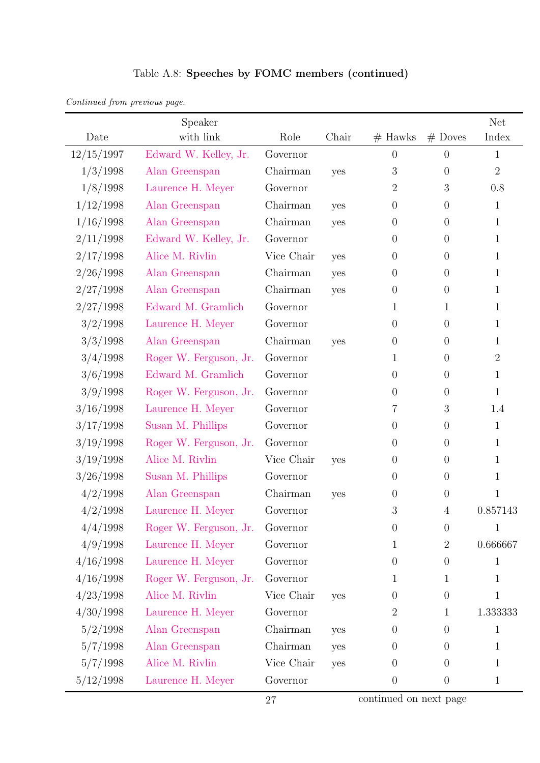|  |  | Table A.8: Speeches by FOMC members (continued) |  |
|--|--|-------------------------------------------------|--|
|  |  |                                                 |  |

|            | Speaker                |            |       |                  |                  | <b>Net</b>     |
|------------|------------------------|------------|-------|------------------|------------------|----------------|
| Date       | with link              | Role       | Chair | $#$ Hawks        | $#$ Doves        | Index          |
| 12/15/1997 | Edward W. Kelley, Jr.  | Governor   |       | $\overline{0}$   | $\overline{0}$   | $\mathbf{1}$   |
| 1/3/1998   | Alan Greenspan         | Chairman   | yes   | $\mathfrak{Z}$   | $\theta$         | $\overline{2}$ |
| 1/8/1998   | Laurence H. Meyer      | Governor   |       | $\overline{2}$   | 3                | 0.8            |
| 1/12/1998  | Alan Greenspan         | Chairman   | yes   | $\theta$         | $\theta$         | $\mathbf{1}$   |
| 1/16/1998  | Alan Greenspan         | Chairman   | yes   | $\theta$         | $\theta$         | $\mathbf{1}$   |
| 2/11/1998  | Edward W. Kelley, Jr.  | Governor   |       | $\overline{0}$   | $\theta$         | $\mathbf{1}$   |
| 2/17/1998  | Alice M. Rivlin        | Vice Chair | yes   | $\theta$         | $\theta$         | $\mathbf{1}$   |
| 2/26/1998  | Alan Greenspan         | Chairman   | yes   | $\theta$         | $\theta$         | $\mathbf{1}$   |
| 2/27/1998  | Alan Greenspan         | Chairman   | yes   | $\boldsymbol{0}$ | $\theta$         | $\mathbf{1}$   |
| 2/27/1998  | Edward M. Gramlich     | Governor   |       | 1                | 1                | $\mathbf{1}$   |
| 3/2/1998   | Laurence H. Meyer      | Governor   |       | $\boldsymbol{0}$ | $\theta$         | $\mathbf{1}$   |
| 3/3/1998   | Alan Greenspan         | Chairman   | yes   | $\boldsymbol{0}$ | $\theta$         | $\mathbf{1}$   |
| 3/4/1998   | Roger W. Ferguson, Jr. | Governor   |       | 1                | $\theta$         | $\overline{2}$ |
| 3/6/1998   | Edward M. Gramlich     | Governor   |       | $\theta$         | $\theta$         | $\mathbf{1}$   |
| 3/9/1998   | Roger W. Ferguson, Jr. | Governor   |       | $\overline{0}$   | $\theta$         | $\mathbf{1}$   |
| 3/16/1998  | Laurence H. Meyer      | Governor   |       | 7                | $\boldsymbol{3}$ | 1.4            |
| 3/17/1998  | Susan M. Phillips      | Governor   |       | $\boldsymbol{0}$ | $\theta$         | $\mathbf{1}$   |
| 3/19/1998  | Roger W. Ferguson, Jr. | Governor   |       | $\overline{0}$   | $\theta$         | $\mathbf{1}$   |
| 3/19/1998  | Alice M. Rivlin        | Vice Chair | yes   | $\theta$         | $\theta$         | $\mathbf{1}$   |
| 3/26/1998  | Susan M. Phillips      | Governor   |       | $\theta$         | $\theta$         | $\mathbf{1}$   |
| 4/2/1998   | Alan Greenspan         | Chairman   | yes   | $\boldsymbol{0}$ | $\theta$         | $\mathbf{1}$   |
| 4/2/1998   | Laurence H. Meyer      | Governor   |       | $\boldsymbol{3}$ | 4                | 0.857143       |
| 4/4/1998   | Roger W. Ferguson, Jr. | Governor   |       | $\theta$         | $\theta$         | 1              |
| 4/9/1998   | Laurence H. Meyer      | Governor   |       | 1                | $\sqrt{2}$       | 0.666667       |
| 4/16/1998  | Laurence H. Meyer      | Governor   |       | $\boldsymbol{0}$ | $\theta$         | 1              |
| 4/16/1998  | Roger W. Ferguson, Jr. | Governor   |       | 1                | 1                | $\mathbf{1}$   |
| 4/23/1998  | Alice M. Rivlin        | Vice Chair | yes   | $\theta$         | $\theta$         | $\mathbf 1$    |
| 4/30/1998  | Laurence H. Meyer      | Governor   |       | $\overline{2}$   | 1                | 1.333333       |
| 5/2/1998   | Alan Greenspan         | Chairman   | yes   | $\boldsymbol{0}$ | $\theta$         | $\mathbf{1}$   |
| 5/7/1998   | Alan Greenspan         | Chairman   | yes   | $\theta$         | $\theta$         | 1              |
| 5/7/1998   | Alice M. Rivlin        | Vice Chair | yes   | $\theta$         | $\overline{0}$   | $\mathbf{1}$   |
| 5/12/1998  | Laurence H. Meyer      | Governor   |       | $\boldsymbol{0}$ | $\boldsymbol{0}$ | $\mathbf{1}$   |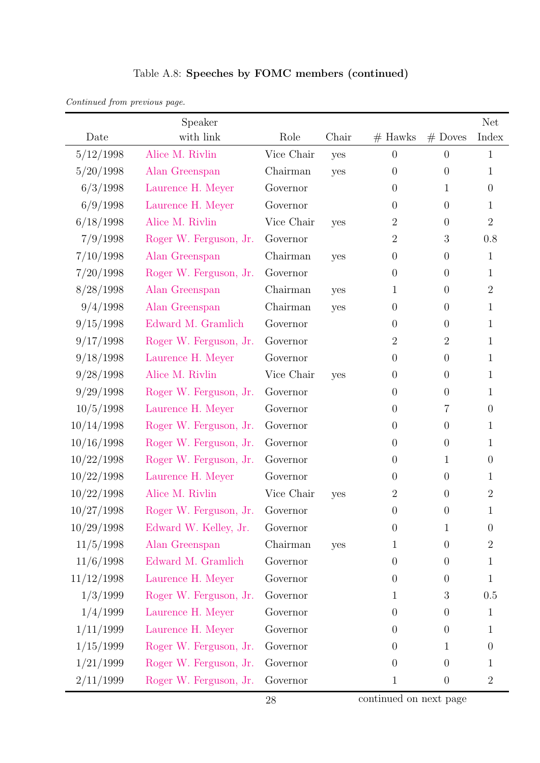|  |  | Table A.8: Speeches by FOMC members (continued) |  |
|--|--|-------------------------------------------------|--|
|  |  |                                                 |  |

|            | Speaker                |            |       |                  |                  | <b>Net</b>     |
|------------|------------------------|------------|-------|------------------|------------------|----------------|
| Date       | with link              | Role       | Chair | $#$ Hawks        | $#$ Doves        | Index          |
| 5/12/1998  | Alice M. Rivlin        | Vice Chair | yes   | $\theta$         | $\theta$         | 1              |
| 5/20/1998  | Alan Greenspan         | Chairman   | yes   | $\overline{0}$   | $\overline{0}$   | 1              |
| 6/3/1998   | Laurence H. Meyer      | Governor   |       | $\overline{0}$   | $\mathbf{1}$     | $\overline{0}$ |
| 6/9/1998   | Laurence H. Meyer      | Governor   |       | $\overline{0}$   | $\overline{0}$   | 1              |
| 6/18/1998  | Alice M. Rivlin        | Vice Chair | yes   | $\overline{2}$   | $\overline{0}$   | $\overline{2}$ |
| 7/9/1998   | Roger W. Ferguson, Jr. | Governor   |       | $\overline{2}$   | 3                | 0.8            |
| 7/10/1998  | Alan Greenspan         | Chairman   | yes   | $\boldsymbol{0}$ | $\boldsymbol{0}$ | $\mathbf{1}$   |
| 7/20/1998  | Roger W. Ferguson, Jr. | Governor   |       | $\overline{0}$   | $\overline{0}$   | 1              |
| 8/28/1998  | Alan Greenspan         | Chairman   | yes   | 1                | $\overline{0}$   | $\overline{2}$ |
| 9/4/1998   | Alan Greenspan         | Chairman   | yes   | $\theta$         | $\boldsymbol{0}$ | 1              |
| 9/15/1998  | Edward M. Gramlich     | Governor   |       | $\overline{0}$   | $\overline{0}$   | $\mathbf{1}$   |
| 9/17/1998  | Roger W. Ferguson, Jr. | Governor   |       | $\overline{2}$   | $\mathbf{2}$     | $\mathbf{1}$   |
| 9/18/1998  | Laurence H. Meyer      | Governor   |       | $\overline{0}$   | $\theta$         | 1              |
| 9/28/1998  | Alice M. Rivlin        | Vice Chair | yes   | $\theta$         | $\overline{0}$   | $\mathbf{1}$   |
| 9/29/1998  | Roger W. Ferguson, Jr. | Governor   |       | $\overline{0}$   | $\overline{0}$   | 1              |
| 10/5/1998  | Laurence H. Meyer      | Governor   |       | $\overline{0}$   | 7                | $\overline{0}$ |
| 10/14/1998 | Roger W. Ferguson, Jr. | Governor   |       | $\boldsymbol{0}$ | $\boldsymbol{0}$ | 1              |
| 10/16/1998 | Roger W. Ferguson, Jr. | Governor   |       | $\overline{0}$   | $\overline{0}$   | 1              |
| 10/22/1998 | Roger W. Ferguson, Jr. | Governor   |       | $\boldsymbol{0}$ | 1                | $\overline{0}$ |
| 10/22/1998 | Laurence H. Meyer      | Governor   |       | $\overline{0}$   | $\theta$         | 1              |
| 10/22/1998 | Alice M. Rivlin        | Vice Chair | yes   | $\overline{2}$   | $\overline{0}$   | $\overline{2}$ |
| 10/27/1998 | Roger W. Ferguson, Jr. | Governor   |       | $\overline{0}$   | $\overline{0}$   | $\mathbf 1$    |
| 10/29/1998 | Edward W. Kelley, Jr.  | Governor   |       | $\boldsymbol{0}$ | $\mathbf{1}$     | $\theta$       |
| 11/5/1998  | Alan Greenspan         | Chairman   | yes   | $\mathbf 1$      | $\overline{0}$   | $\overline{2}$ |
| 11/6/1998  | Edward M. Gramlich     | Governor   |       | $\overline{0}$   | $\theta$         | 1              |
| 11/12/1998 | Laurence H. Meyer      | Governor   |       | $\overline{0}$   | $\theta$         | $\mathbf{1}$   |
| 1/3/1999   | Roger W. Ferguson, Jr. | Governor   |       | $\mathbf{1}$     | $\boldsymbol{3}$ | 0.5            |
| 1/4/1999   | Laurence H. Meyer      | Governor   |       | $\overline{0}$   | $\theta$         | 1              |
| 1/11/1999  | Laurence H. Meyer      | Governor   |       | $\overline{0}$   | $\theta$         | 1              |
| 1/15/1999  | Roger W. Ferguson, Jr. | Governor   |       | $\overline{0}$   | $\mathbf{1}$     | $\overline{0}$ |
| 1/21/1999  | Roger W. Ferguson, Jr. | Governor   |       | $\overline{0}$   | $\overline{0}$   | 1              |
| 2/11/1999  | Roger W. Ferguson, Jr. | Governor   |       | $\mathbf{1}$     | $\boldsymbol{0}$ | $\overline{2}$ |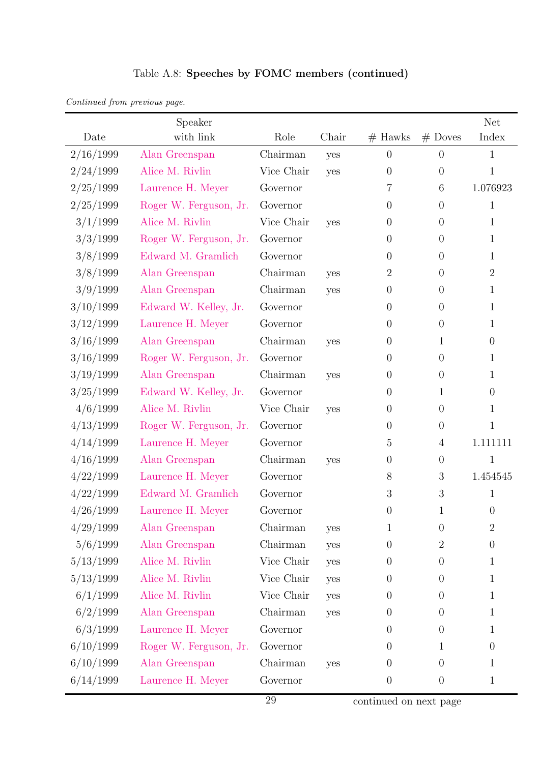|           | Speaker                |            |       |                  |                  | <b>Net</b>       |
|-----------|------------------------|------------|-------|------------------|------------------|------------------|
| Date      | with link              | Role       | Chair | $#$ Hawks        | $#$ Doves        | Index            |
| 2/16/1999 | Alan Greenspan         | Chairman   | yes   | $\theta$         | $\overline{0}$   | $\mathbf 1$      |
| 2/24/1999 | Alice M. Rivlin        | Vice Chair | yes   | $\overline{0}$   | $\theta$         | $\mathbf 1$      |
| 2/25/1999 | Laurence H. Meyer      | Governor   |       | 7                | 6                | 1.076923         |
| 2/25/1999 | Roger W. Ferguson, Jr. | Governor   |       | $\overline{0}$   | $\overline{0}$   | 1                |
| 3/1/1999  | Alice M. Rivlin        | Vice Chair | yes   | $\overline{0}$   | $\overline{0}$   | $\mathbf{1}$     |
| 3/3/1999  | Roger W. Ferguson, Jr. | Governor   |       | $\overline{0}$   | $\overline{0}$   | 1                |
| 3/8/1999  | Edward M. Gramlich     | Governor   |       | $\theta$         | $\overline{0}$   | 1                |
| 3/8/1999  | Alan Greenspan         | Chairman   | yes   | $\overline{2}$   | $\theta$         | $\overline{2}$   |
| 3/9/1999  | Alan Greenspan         | Chairman   | yes   | $\boldsymbol{0}$ | $\overline{0}$   | $\mathbf{1}$     |
| 3/10/1999 | Edward W. Kelley, Jr.  | Governor   |       | $\overline{0}$   | $\overline{0}$   | 1                |
| 3/12/1999 | Laurence H. Meyer      | Governor   |       | $\overline{0}$   | $\overline{0}$   | 1                |
| 3/16/1999 | Alan Greenspan         | Chairman   | yes   | $\overline{0}$   | $\mathbf 1$      | $\overline{0}$   |
| 3/16/1999 | Roger W. Ferguson, Jr. | Governor   |       | $\overline{0}$   | $\theta$         | 1                |
| 3/19/1999 | Alan Greenspan         | Chairman   | yes   | $\theta$         | $\overline{0}$   | $\mathbf{1}$     |
| 3/25/1999 | Edward W. Kelley, Jr.  | Governor   |       | $\overline{0}$   | $\mathbf 1$      | $\theta$         |
| 4/6/1999  | Alice M. Rivlin        | Vice Chair | yes   | $\theta$         | $\overline{0}$   | $\mathbf{1}$     |
| 4/13/1999 | Roger W. Ferguson, Jr. | Governor   |       | $\boldsymbol{0}$ | $\overline{0}$   | $\mathbf 1$      |
| 4/14/1999 | Laurence H. Meyer      | Governor   |       | $\overline{5}$   | $\overline{4}$   | 1.111111         |
| 4/16/1999 | Alan Greenspan         | Chairman   | yes   | $\theta$         | $\theta$         | 1                |
| 4/22/1999 | Laurence H. Meyer      | Governor   |       | 8                | 3                | 1.454545         |
| 4/22/1999 | Edward M. Gramlich     | Governor   |       | 3                | 3                | $\mathbf 1$      |
| 4/26/1999 | Laurence H. Meyer      | Governor   |       | $\boldsymbol{0}$ | $\mathbf{1}$     | $\theta$         |
| 4/29/1999 | Alan Greenspan         | Chairman   | yes   | 1                | $\theta$         | $\overline{2}$   |
| 5/6/1999  | Alan Greenspan         | Chairman   | yes   | $\overline{0}$   | $\overline{2}$   | $\boldsymbol{0}$ |
| 5/13/1999 | Alice M. Rivlin        | Vice Chair | yes   | $\boldsymbol{0}$ | $\theta$         | 1                |
| 5/13/1999 | Alice M. Rivlin        | Vice Chair | yes   | $\theta$         | $\overline{0}$   | $\mathbf{1}$     |
| 6/1/1999  | Alice M. Rivlin        | Vice Chair | yes   | $\theta$         | $\boldsymbol{0}$ | $\mathbf{1}$     |
| 6/2/1999  | Alan Greenspan         | Chairman   | yes   | $\overline{0}$   | $\overline{0}$   | 1                |
| 6/3/1999  | Laurence H. Meyer      | Governor   |       | $\overline{0}$   | $\theta$         | 1                |
| 6/10/1999 | Roger W. Ferguson, Jr. | Governor   |       | $\theta$         | $\mathbf 1$      | $\theta$         |
| 6/10/1999 | Alan Greenspan         | Chairman   | yes   | $\theta$         | $\theta$         | 1                |
| 6/14/1999 | Laurence H. Meyer      | Governor   |       | $\boldsymbol{0}$ | $\overline{0}$   | 1                |

## Table A.8: Speeches by FOMC members (continued)

Continued from previous page.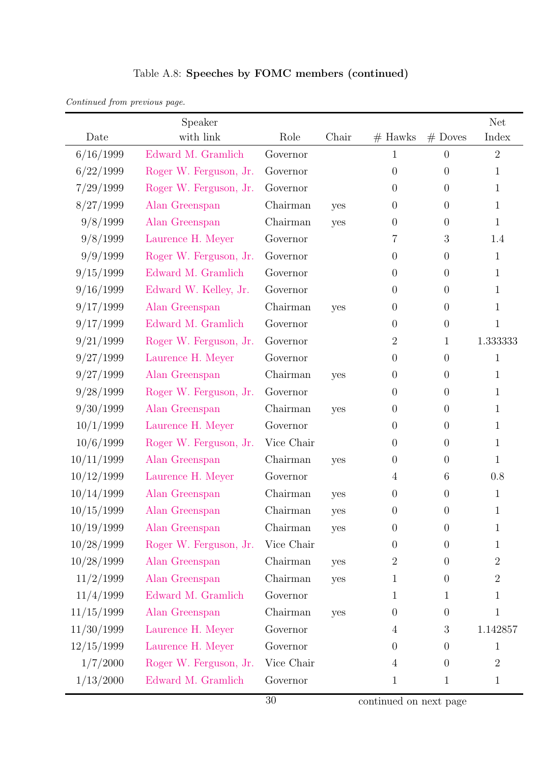| Continued from previous page. |  |  |  |  |
|-------------------------------|--|--|--|--|
|-------------------------------|--|--|--|--|

|            | Speaker                |            |       |                  |                | <b>Net</b>     |
|------------|------------------------|------------|-------|------------------|----------------|----------------|
| Date       | with link              | Role       | Chair | $#$ Hawks        | $#$ Doves      | Index          |
| 6/16/1999  | Edward M. Gramlich     | Governor   |       | 1                | $\theta$       | $\overline{2}$ |
| 6/22/1999  | Roger W. Ferguson, Jr. | Governor   |       | $\boldsymbol{0}$ | $\theta$       | $\mathbf{1}$   |
| 7/29/1999  | Roger W. Ferguson, Jr. | Governor   |       | $\boldsymbol{0}$ | $\theta$       | $\mathbf{1}$   |
| 8/27/1999  | Alan Greenspan         | Chairman   | yes   | $\theta$         | $\theta$       | $\mathbf{1}$   |
| 9/8/1999   | Alan Greenspan         | Chairman   | yes   | $\theta$         | $\theta$       | $\mathbf{1}$   |
| 9/8/1999   | Laurence H. Meyer      | Governor   |       | 7                | 3              | 1.4            |
| 9/9/1999   | Roger W. Ferguson, Jr. | Governor   |       | $\overline{0}$   | $\theta$       | $\mathbf{1}$   |
| 9/15/1999  | Edward M. Gramlich     | Governor   |       | $\boldsymbol{0}$ | $\theta$       | $\mathbf{1}$   |
| 9/16/1999  | Edward W. Kelley, Jr.  | Governor   |       | $\boldsymbol{0}$ | $\theta$       | $\mathbf{1}$   |
| 9/17/1999  | Alan Greenspan         | Chairman   | yes   | $\boldsymbol{0}$ | $\theta$       | $\mathbf{1}$   |
| 9/17/1999  | Edward M. Gramlich     | Governor   |       | $\boldsymbol{0}$ | $\theta$       | $\mathbf{1}$   |
| 9/21/1999  | Roger W. Ferguson, Jr. | Governor   |       | $\overline{2}$   | $\mathbf{1}$   | 1.333333       |
| 9/27/1999  | Laurence H. Meyer      | Governor   |       | $\overline{0}$   | $\theta$       | $\mathbf{1}$   |
| 9/27/1999  | Alan Greenspan         | Chairman   | yes   | $\theta$         | $\theta$       | $\mathbf{1}$   |
| 9/28/1999  | Roger W. Ferguson, Jr. | Governor   |       | $\boldsymbol{0}$ | $\overline{0}$ | $\mathbf{1}$   |
| 9/30/1999  | Alan Greenspan         | Chairman   | yes   | $\theta$         | $\theta$       | $\mathbf{1}$   |
| 10/1/1999  | Laurence H. Meyer      | Governor   |       | $\boldsymbol{0}$ | $\theta$       | $\mathbf{1}$   |
| 10/6/1999  | Roger W. Ferguson, Jr. | Vice Chair |       | $\boldsymbol{0}$ | $\theta$       | $\mathbf{1}$   |
| 10/11/1999 | Alan Greenspan         | Chairman   | yes   | $\boldsymbol{0}$ | $\theta$       | $\mathbf{1}$   |
| 10/12/1999 | Laurence H. Meyer      | Governor   |       | 4                | 6              | 0.8            |
| 10/14/1999 | Alan Greenspan         | Chairman   | yes   | $\boldsymbol{0}$ | $\theta$       | $\mathbf{1}$   |
| 10/15/1999 | Alan Greenspan         | Chairman   | yes   | $\boldsymbol{0}$ | $\theta$       | $\mathbf{1}$   |
| 10/19/1999 | Alan Greenspan         | Chairman   | yes   | 0                | $\theta$       | 1              |
| 10/28/1999 | Roger W. Ferguson, Jr. | Vice Chair |       | $\boldsymbol{0}$ | $\theta$       | $\mathbf{1}$   |
| 10/28/1999 | Alan Greenspan         | Chairman   | yes   | $\boldsymbol{2}$ | $\theta$       | $\overline{2}$ |
| 11/2/1999  | Alan Greenspan         | Chairman   | yes   | 1                | $\theta$       | $\overline{2}$ |
| 11/4/1999  | Edward M. Gramlich     | Governor   |       | $\mathbf{1}$     | $\mathbf{1}$   | $\mathbf{1}$   |
| 11/15/1999 | Alan Greenspan         | Chairman   | yes   | $\boldsymbol{0}$ | $\theta$       | $\mathbf{1}$   |
| 11/30/1999 | Laurence H. Meyer      | Governor   |       | 4                | $\mathfrak{Z}$ | 1.142857       |
| 12/15/1999 | Laurence H. Meyer      | Governor   |       | $\boldsymbol{0}$ | $\theta$       | $\mathbf{1}$   |
| 1/7/2000   | Roger W. Ferguson, Jr. | Vice Chair |       | $\overline{4}$   | $\theta$       | $\overline{2}$ |
| 1/13/2000  | Edward M. Gramlich     | Governor   |       | $\mathbf{1}$     | $\mathbf{1}$   | $\mathbf{1}$   |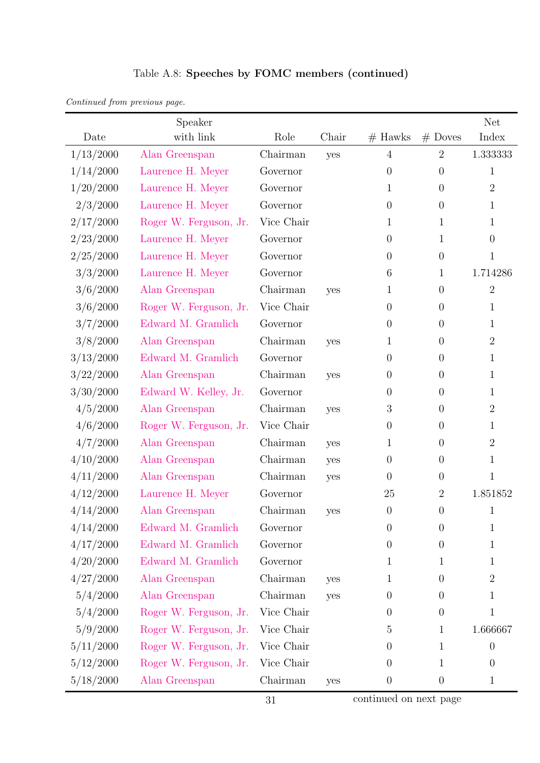| Continued from previous page. |  |  |
|-------------------------------|--|--|

|           | Speaker                |            |       |                  |                  | <b>Net</b>     |
|-----------|------------------------|------------|-------|------------------|------------------|----------------|
| Date      | with link              | Role       | Chair | $#$ Hawks        | $#$ Doves        | Index          |
| 1/13/2000 | Alan Greenspan         | Chairman   | yes   | $\overline{4}$   | $\overline{2}$   | 1.333333       |
| 1/14/2000 | Laurence H. Meyer      | Governor   |       | $\overline{0}$   | $\overline{0}$   | 1              |
| 1/20/2000 | Laurence H. Meyer      | Governor   |       | 1                | $\overline{0}$   | $\overline{2}$ |
| 2/3/2000  | Laurence H. Meyer      | Governor   |       | $\overline{0}$   | $\boldsymbol{0}$ | 1              |
| 2/17/2000 | Roger W. Ferguson, Jr. | Vice Chair |       | 1                | $\mathbf{1}$     | 1              |
| 2/23/2000 | Laurence H. Meyer      | Governor   |       | $\theta$         | $\mathbf{1}$     | $\overline{0}$ |
| 2/25/2000 | Laurence H. Meyer      | Governor   |       | $\overline{0}$   | $\overline{0}$   | 1              |
| 3/3/2000  | Laurence H. Meyer      | Governor   |       | 6                | $\mathbf{1}$     | 1.714286       |
| 3/6/2000  | Alan Greenspan         | Chairman   | yes   | 1                | $\overline{0}$   | $\overline{2}$ |
| 3/6/2000  | Roger W. Ferguson, Jr. | Vice Chair |       | $\overline{0}$   | $\overline{0}$   | 1              |
| 3/7/2000  | Edward M. Gramlich     | Governor   |       | $\overline{0}$   | $\boldsymbol{0}$ | 1              |
| 3/8/2000  | Alan Greenspan         | Chairman   | yes   | 1                | $\boldsymbol{0}$ | $\overline{2}$ |
| 3/13/2000 | Edward M. Gramlich     | Governor   |       | $\overline{0}$   | $\overline{0}$   | 1              |
| 3/22/2000 | Alan Greenspan         | Chairman   | yes   | $\boldsymbol{0}$ | $\overline{0}$   | 1              |
| 3/30/2000 | Edward W. Kelley, Jr.  | Governor   |       | $\overline{0}$   | $\overline{0}$   | 1              |
| 4/5/2000  | Alan Greenspan         | Chairman   | yes   | 3                | $\overline{0}$   | $\overline{2}$ |
| 4/6/2000  | Roger W. Ferguson, Jr. | Vice Chair |       | $\overline{0}$   | $\overline{0}$   | 1              |
| 4/7/2000  | Alan Greenspan         | Chairman   | yes   | 1                | $\overline{0}$   | $\overline{2}$ |
| 4/10/2000 | Alan Greenspan         | Chairman   | yes   | $\overline{0}$   | $\boldsymbol{0}$ | 1              |
| 4/11/2000 | Alan Greenspan         | Chairman   | yes   | $\overline{0}$   | $\overline{0}$   | $\mathbf 1$    |
| 4/12/2000 | Laurence H. Meyer      | Governor   |       | 25               | $\mathbf{2}$     | $1.851852\,$   |
| 4/14/2000 | Alan Greenspan         | Chairman   | yes   | $\boldsymbol{0}$ | $\overline{0}$   | $\mathbf 1$    |
| 4/14/2000 | Edward M. Gramlich     | Governor   |       | $\overline{0}$   | $\theta$         | 1              |
| 4/17/2000 | Edward M. Gramlich     | Governor   |       | $\overline{0}$   | $\boldsymbol{0}$ | 1              |
| 4/20/2000 | Edward M. Gramlich     | Governor   |       | 1                | $\mathbf{1}$     | 1              |
| 4/27/2000 | Alan Greenspan         | Chairman   | yes   | 1                | $\overline{0}$   | $\overline{2}$ |
| 5/4/2000  | Alan Greenspan         | Chairman   | yes   | $\overline{0}$   | $\boldsymbol{0}$ | 1              |
| 5/4/2000  | Roger W. Ferguson, Jr. | Vice Chair |       | $\overline{0}$   | $\boldsymbol{0}$ | 1              |
| 5/9/2000  | Roger W. Ferguson, Jr. | Vice Chair |       | 5                | $\mathbf{1}$     | 1.666667       |
| 5/11/2000 | Roger W. Ferguson, Jr. | Vice Chair |       | $\overline{0}$   | $\mathbf{1}$     | $\theta$       |
| 5/12/2000 | Roger W. Ferguson, Jr. | Vice Chair |       | $\overline{0}$   | $\mathbf{1}$     | $\overline{0}$ |
| 5/18/2000 | Alan Greenspan         | Chairman   | yes   | $\boldsymbol{0}$ | $\boldsymbol{0}$ | 1              |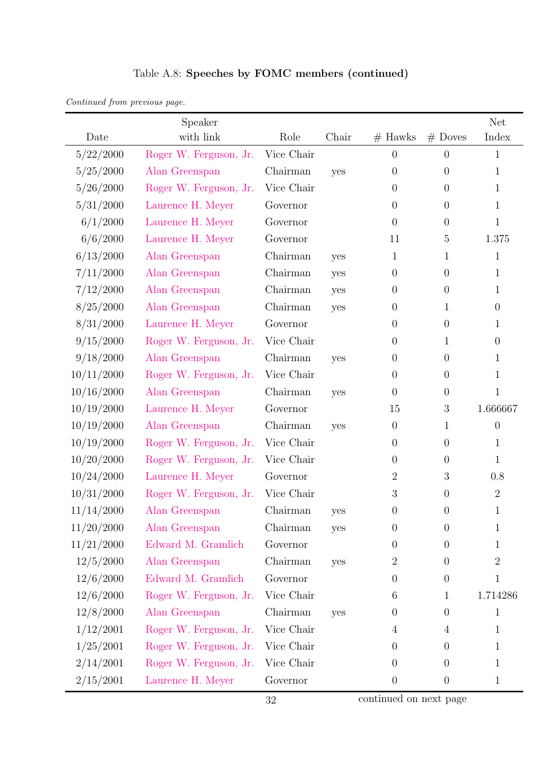|            | Speaker                |            |       |                  |                | Net              |
|------------|------------------------|------------|-------|------------------|----------------|------------------|
| Date       | with link              | Role       | Chair | $#$ Hawks        | $\#$ Doves     | Index            |
| 5/22/2000  | Roger W. Ferguson, Jr. | Vice Chair |       | $\overline{0}$   | $\overline{0}$ | $\mathbf{1}$     |
| 5/25/2000  | Alan Greenspan         | Chairman   | yes   | $\boldsymbol{0}$ | $\theta$       | $\mathbf{1}$     |
| 5/26/2000  | Roger W. Ferguson, Jr. | Vice Chair |       | $\overline{0}$   | $\theta$       | $\mathbf{1}$     |
| 5/31/2000  | Laurence H. Meyer      | Governor   |       | $\overline{0}$   | $\theta$       | $\mathbf{1}$     |
| 6/1/2000   | Laurence H. Meyer      | Governor   |       | $\theta$         | $\theta$       | $\mathbf{1}$     |
| 6/6/2000   | Laurence H. Meyer      | Governor   |       | 11               | $\overline{5}$ | 1.375            |
| 6/13/2000  | Alan Greenspan         | Chairman   | yes   | 1                | 1              | $\mathbf 1$      |
| 7/11/2000  | Alan Greenspan         | Chairman   | yes   | $\boldsymbol{0}$ | $\theta$       | $\mathbf{1}$     |
| 7/12/2000  | Alan Greenspan         | Chairman   | yes   | $\boldsymbol{0}$ | $\theta$       | $\mathbf{1}$     |
| 8/25/2000  | Alan Greenspan         | Chairman   | yes   | $\boldsymbol{0}$ | $\mathbf 1$    | $\boldsymbol{0}$ |
| 8/31/2000  | Laurence H. Meyer      | Governor   |       | $\boldsymbol{0}$ | $\theta$       | $\mathbf{1}$     |
| 9/15/2000  | Roger W. Ferguson, Jr. | Vice Chair |       | $\overline{0}$   | 1              | $\theta$         |
| 9/18/2000  | Alan Greenspan         | Chairman   | yes   | $\theta$         | $\theta$       | $\mathbf 1$      |
| 10/11/2000 | Roger W. Ferguson, Jr. | Vice Chair |       | $\boldsymbol{0}$ | $\theta$       | 1                |
| 10/16/2000 | Alan Greenspan         | Chairman   | yes   | $\boldsymbol{0}$ | $\theta$       | $\mathbf{1}$     |
| 10/19/2000 | Laurence H. Meyer      | Governor   |       | 15               | 3              | 1.666667         |
| 10/19/2000 | Alan Greenspan         | Chairman   | yes   | $\boldsymbol{0}$ | 1              | $\overline{0}$   |
| 10/19/2000 | Roger W. Ferguson, Jr. | Vice Chair |       | $\boldsymbol{0}$ | $\theta$       | $\mathbf{1}$     |
| 10/20/2000 | Roger W. Ferguson, Jr. | Vice Chair |       | $\boldsymbol{0}$ | $\theta$       | $\mathbf{1}$     |
| 10/24/2000 | Laurence H. Meyer      | Governor   |       | $\overline{2}$   | 3              | 0.8              |
| 10/31/2000 | Roger W. Ferguson, Jr. | Vice Chair |       | $\sqrt{3}$       | $\theta$       | $\overline{2}$   |
| 11/14/2000 | Alan Greenspan         | Chairman   | yes   | $\boldsymbol{0}$ | $\theta$       | $\mathbf{1}$     |
| 11/20/2000 | Alan Greenspan         | Chairman   | yes   | $\overline{0}$   | $\overline{0}$ | 1                |
| 11/21/2000 | Edward M. Gramlich     | Governor   |       | $\boldsymbol{0}$ | $\Omega$       | 1                |
| 12/5/2000  | Alan Greenspan         | Chairman   | yes   | $\overline{2}$   | $\theta$       | $\overline{2}$   |
| 12/6/2000  | Edward M. Gramlich     | Governor   |       | $\boldsymbol{0}$ | $\theta$       | $\mathbf{1}$     |
| 12/6/2000  | Roger W. Ferguson, Jr. | Vice Chair |       | 6                | $\mathbf{1}$   | 1.714286         |
| 12/8/2000  | Alan Greenspan         | Chairman   | yes   | $\boldsymbol{0}$ | $\theta$       | $\mathbf{1}$     |
| 1/12/2001  | Roger W. Ferguson, Jr. | Vice Chair |       | $\overline{4}$   | $\overline{4}$ | 1                |
| 1/25/2001  | Roger W. Ferguson, Jr. | Vice Chair |       | $\overline{0}$   | $\overline{0}$ | $\mathbf{1}$     |
| 2/14/2001  | Roger W. Ferguson, Jr. | Vice Chair |       | $\boldsymbol{0}$ | $\Omega$       | $\mathbf 1$      |
| 2/15/2001  | Laurence H. Meyer      | Governor   |       | $\boldsymbol{0}$ | $\theta$       | $\mathbf{1}$     |

Continued from previous page.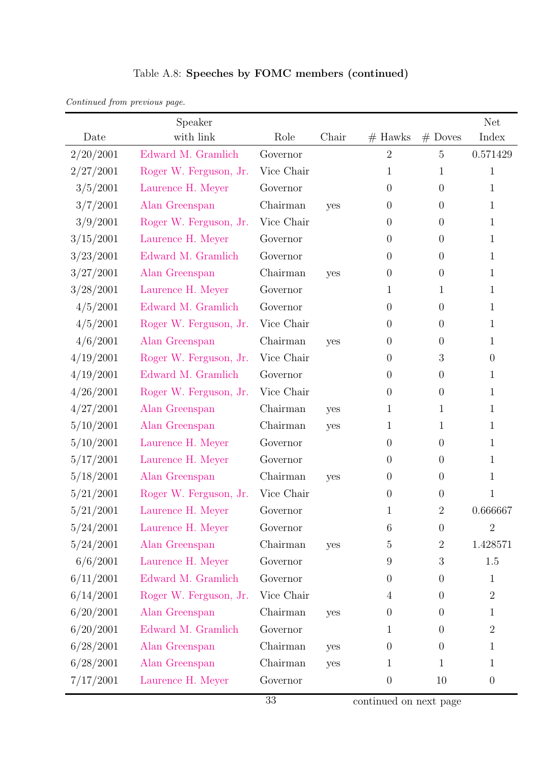| Table A.8: Speeches by FOMC members (continued) |  |  |  |
|-------------------------------------------------|--|--|--|
|-------------------------------------------------|--|--|--|

| Continued from previous page. |  |  |
|-------------------------------|--|--|
|                               |  |  |

|           | Speaker                |            |       |                  |                  | Net              |
|-----------|------------------------|------------|-------|------------------|------------------|------------------|
| Date      | with link              | Role       | Chair | $#$ Hawks        | $#$ Doves        | Index            |
| 2/20/2001 | Edward M. Gramlich     | Governor   |       | $\overline{2}$   | 5                | 0.571429         |
| 2/27/2001 | Roger W. Ferguson, Jr. | Vice Chair |       | $\mathbf 1$      | $\mathbf 1$      | $\mathbf{1}$     |
| 3/5/2001  | Laurence H. Meyer      | Governor   |       | $\overline{0}$   | $\overline{0}$   | 1                |
| 3/7/2001  | Alan Greenspan         | Chairman   | yes   | $\overline{0}$   | $\overline{0}$   | 1                |
| 3/9/2001  | Roger W. Ferguson, Jr. | Vice Chair |       | $\overline{0}$   | $\overline{0}$   | 1                |
| 3/15/2001 | Laurence H. Meyer      | Governor   |       | 0                | $\overline{0}$   | 1                |
| 3/23/2001 | Edward M. Gramlich     | Governor   |       | $\theta$         | $\overline{0}$   | 1                |
| 3/27/2001 | Alan Greenspan         | Chairman   | yes   | $\theta$         | $\overline{0}$   | 1                |
| 3/28/2001 | Laurence H. Meyer      | Governor   |       | 1                | $\mathbf 1$      | 1                |
| 4/5/2001  | Edward M. Gramlich     | Governor   |       | $\theta$         | $\theta$         | 1                |
| 4/5/2001  | Roger W. Ferguson, Jr. | Vice Chair |       | $\theta$         | $\overline{0}$   | 1                |
| 4/6/2001  | Alan Greenspan         | Chairman   | yes   | $\theta$         | $\boldsymbol{0}$ | 1                |
| 4/19/2001 | Roger W. Ferguson, Jr. | Vice Chair |       | $\theta$         | 3                | $\theta$         |
| 4/19/2001 | Edward M. Gramlich     | Governor   |       | $\theta$         | $\theta$         | 1                |
| 4/26/2001 | Roger W. Ferguson, Jr. | Vice Chair |       | $\theta$         | $\theta$         | 1                |
| 4/27/2001 | Alan Greenspan         | Chairman   | yes   | 1                | $\mathbf{1}$     | $\mathbf{1}$     |
| 5/10/2001 | Alan Greenspan         | Chairman   | yes   | 1                | $\mathbf{1}$     | 1                |
| 5/10/2001 | Laurence H. Meyer      | Governor   |       | $\overline{0}$   | $\theta$         | 1                |
| 5/17/2001 | Laurence H. Meyer      | Governor   |       | $\overline{0}$   | $\theta$         | $\mathbf{1}$     |
| 5/18/2001 | Alan Greenspan         | Chairman   | yes   | $\theta$         | $\overline{0}$   | $\mathbf{1}$     |
| 5/21/2001 | Roger W. Ferguson, Jr. | Vice Chair |       | $\overline{0}$   | $\overline{0}$   | $\mathbf{1}$     |
| 5/21/2001 | Laurence H. Meyer      | Governor   |       | $\mathbf 1$      | $\overline{2}$   | 0.666667         |
| 5/24/2001 | Laurence H. Meyer      | Governor   |       | 6                | $\theta$         | $\overline{2}$   |
| 5/24/2001 | Alan Greenspan         | Chairman   | yes   | 5                | $\mathbf{2}$     | 1.428571         |
| 6/6/2001  | Laurence H. Meyer      | Governor   |       | 9                | 3                | 1.5              |
| 6/11/2001 | Edward M. Gramlich     | Governor   |       | $\theta$         | $\overline{0}$   | $\mathbf{1}$     |
| 6/14/2001 | Roger W. Ferguson, Jr. | Vice Chair |       | $\overline{4}$   | $\overline{0}$   | $\overline{2}$   |
| 6/20/2001 | Alan Greenspan         | Chairman   | yes   | $\boldsymbol{0}$ | $\theta$         | $\mathbf{1}$     |
| 6/20/2001 | Edward M. Gramlich     | Governor   |       | 1                | $\overline{0}$   | $\overline{2}$   |
| 6/28/2001 | Alan Greenspan         | Chairman   | yes   | $\overline{0}$   | $\theta$         | $\mathbf{1}$     |
| 6/28/2001 | Alan Greenspan         | Chairman   | yes   | $\mathbf{1}$     | $\mathbf{1}$     | $\mathbf{1}$     |
| 7/17/2001 | Laurence H. Meyer      | Governor   |       | $\theta$         | 10               | $\boldsymbol{0}$ |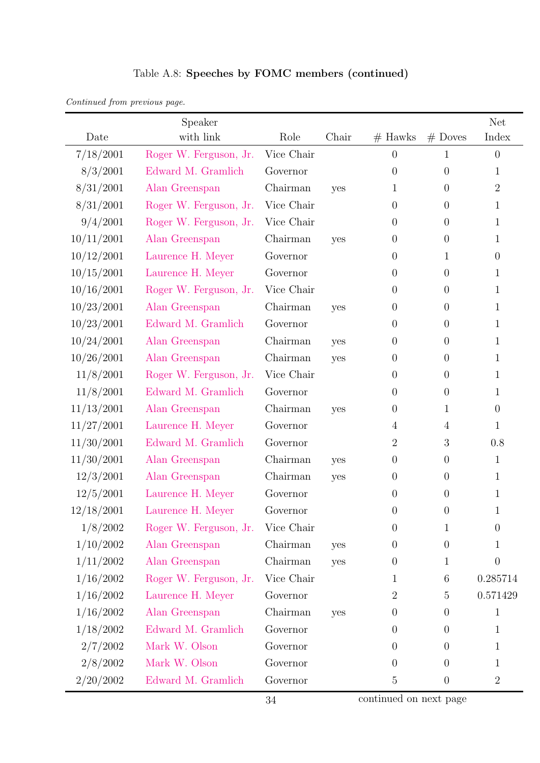|  |  |  | Table A.8: Speeches by FOMC members (continued) |
|--|--|--|-------------------------------------------------|
|--|--|--|-------------------------------------------------|

| Continued from previous page. |  |  |
|-------------------------------|--|--|
|                               |  |  |

|            | Speaker                |            |       |                |                  | <b>Net</b>     |
|------------|------------------------|------------|-------|----------------|------------------|----------------|
| Date       | with link              | Role       | Chair | $#$ Hawks      | $#$ Doves        | Index          |
| 7/18/2001  | Roger W. Ferguson, Jr. | Vice Chair |       | $\overline{0}$ | 1                | $\theta$       |
| 8/3/2001   | Edward M. Gramlich     | Governor   |       | $\overline{0}$ | $\theta$         | 1              |
| 8/31/2001  | Alan Greenspan         | Chairman   | yes   | 1              | $\theta$         | $\overline{2}$ |
| 8/31/2001  | Roger W. Ferguson, Jr. | Vice Chair |       | $\overline{0}$ | $\theta$         | 1              |
| 9/4/2001   | Roger W. Ferguson, Jr. | Vice Chair |       | $\theta$       | $\theta$         | 1              |
| 10/11/2001 | Alan Greenspan         | Chairman   | yes   | $\theta$       | $\theta$         | 1              |
| 10/12/2001 | Laurence H. Meyer      | Governor   |       | $\overline{0}$ | 1                | $\overline{0}$ |
| 10/15/2001 | Laurence H. Meyer      | Governor   |       | $\overline{0}$ | $\overline{0}$   | 1              |
| 10/16/2001 | Roger W. Ferguson, Jr. | Vice Chair |       | $\theta$       | $\theta$         | 1              |
| 10/23/2001 | Alan Greenspan         | Chairman   | yes   | $\theta$       | $\theta$         | 1              |
| 10/23/2001 | Edward M. Gramlich     | Governor   |       | $\theta$       | $\theta$         | 1              |
| 10/24/2001 | Alan Greenspan         | Chairman   | yes   | $\theta$       | $\theta$         | 1              |
| 10/26/2001 | Alan Greenspan         | Chairman   | yes   | $\theta$       | $\theta$         | 1              |
| 11/8/2001  | Roger W. Ferguson, Jr. | Vice Chair |       | $\overline{0}$ | $\theta$         | 1              |
| 11/8/2001  | Edward M. Gramlich     | Governor   |       | $\overline{0}$ | $\overline{0}$   | 1              |
| 11/13/2001 | Alan Greenspan         | Chairman   | yes   | $\theta$       | 1                | $\overline{0}$ |
| 11/27/2001 | Laurence H. Meyer      | Governor   |       | 4              | $\overline{4}$   | 1              |
| 11/30/2001 | Edward M. Gramlich     | Governor   |       | $\overline{2}$ | 3                | 0.8            |
| 11/30/2001 | Alan Greenspan         | Chairman   | yes   | $\theta$       | $\theta$         | $\mathbf{1}$   |
| 12/3/2001  | Alan Greenspan         | Chairman   | yes   | $\theta$       | $\theta$         | $\mathbf{1}$   |
| 12/5/2001  | Laurence H. Meyer      | Governor   |       | $\theta$       | $\theta$         | $\mathbf 1$    |
| 12/18/2001 | Laurence H. Meyer      | Governor   |       | $\theta$       | $\theta$         | 1              |
| 1/8/2002   | Roger W. Ferguson, Jr. | Vice Chair |       | $\theta$       | $\mathbf 1$      | $\theta$       |
| 1/10/2002  | Alan Greenspan         | Chairman   | yes   | $\theta$       | $\theta$         | 1              |
| 1/11/2002  | Alan Greenspan         | Chairman   | yes   | $\theta$       | 1                | $\Omega$       |
| 1/16/2002  | Roger W. Ferguson, Jr. | Vice Chair |       | 1              | $6\phantom{.}6$  | 0.285714       |
| 1/16/2002  | Laurence H. Meyer      | Governor   |       | $\sqrt{2}$     | $\overline{5}$   | 0.571429       |
| 1/16/2002  | Alan Greenspan         | Chairman   | yes   | $\theta$       | $\theta$         | $\mathbf 1$    |
| 1/18/2002  | Edward M. Gramlich     | Governor   |       | $\overline{0}$ | $\theta$         | 1              |
| 2/7/2002   | Mark W. Olson          | Governor   |       | $\theta$       | $\theta$         | 1              |
| 2/8/2002   | Mark W. Olson          | Governor   |       | $\theta$       | $\theta$         | 1              |
| 2/20/2002  | Edward M. Gramlich     | Governor   |       | $\overline{5}$ | $\boldsymbol{0}$ | $\overline{2}$ |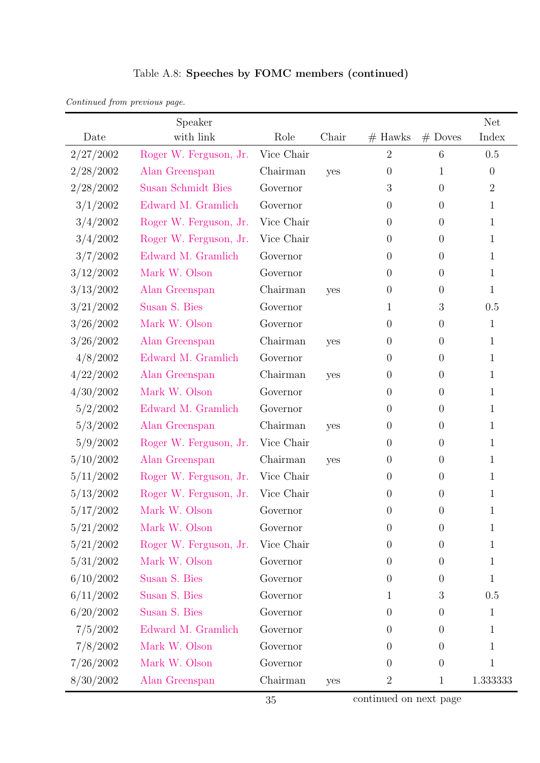| Table A.8: Speeches by FOMC members (continued) |  |  |  |
|-------------------------------------------------|--|--|--|
|-------------------------------------------------|--|--|--|

| Continued from previous page. |  |  |
|-------------------------------|--|--|
|                               |  |  |

|           | Speaker                |            |       |                |                  | <b>Net</b>     |
|-----------|------------------------|------------|-------|----------------|------------------|----------------|
| Date      | with link              | Role       | Chair | $#$ Hawks      | $#$ Doves        | Index          |
| 2/27/2002 | Roger W. Ferguson, Jr. | Vice Chair |       | $\overline{2}$ | 6                | 0.5            |
| 2/28/2002 | Alan Greenspan         | Chairman   | yes   | $\theta$       | $\mathbf{1}$     | $\theta$       |
| 2/28/2002 | Susan Schmidt Bies     | Governor   |       | 3              | $\overline{0}$   | $\overline{2}$ |
| 3/1/2002  | Edward M. Gramlich     | Governor   |       | $\theta$       | $\overline{0}$   | 1              |
| 3/4/2002  | Roger W. Ferguson, Jr. | Vice Chair |       | $\overline{0}$ | $\overline{0}$   | 1              |
| 3/4/2002  | Roger W. Ferguson, Jr. | Vice Chair |       | $\overline{0}$ | $\overline{0}$   | 1              |
| 3/7/2002  | Edward M. Gramlich     | Governor   |       | $\theta$       | $\overline{0}$   | 1              |
| 3/12/2002 | Mark W. Olson          | Governor   |       | $\overline{0}$ | $\theta$         | 1              |
| 3/13/2002 | Alan Greenspan         | Chairman   | yes   | $\theta$       | $\overline{0}$   | 1              |
| 3/21/2002 | Susan S. Bies          | Governor   |       | 1              | $\mathfrak{Z}$   | 0.5            |
| 3/26/2002 | Mark W. Olson          | Governor   |       | $\theta$       | $\theta$         | $\mathbf 1$    |
| 3/26/2002 | Alan Greenspan         | Chairman   | yes   | $\overline{0}$ | $\theta$         | 1              |
| 4/8/2002  | Edward M. Gramlich     | Governor   |       | $\overline{0}$ | $\overline{0}$   | 1              |
| 4/22/2002 | Alan Greenspan         | Chairman   | yes   | $\theta$       | $\overline{0}$   | 1              |
| 4/30/2002 | Mark W. Olson          | Governor   |       | $\theta$       | $\overline{0}$   | 1              |
| 5/2/2002  | Edward M. Gramlich     | Governor   |       | $\theta$       | $\overline{0}$   | 1              |
| 5/3/2002  | Alan Greenspan         | Chairman   | yes   | $\overline{0}$ | $\boldsymbol{0}$ | 1              |
| 5/9/2002  | Roger W. Ferguson, Jr. | Vice Chair |       | $\theta$       | $\boldsymbol{0}$ | 1              |
| 5/10/2002 | Alan Greenspan         | Chairman   | yes   | $\theta$       | $\boldsymbol{0}$ | 1              |
| 5/11/2002 | Roger W. Ferguson, Jr. | Vice Chair |       | $\theta$       | $\theta$         | 1              |
| 5/13/2002 | Roger W. Ferguson, Jr. | Vice Chair |       | $\overline{0}$ | $\theta$         | 1              |
| 5/17/2002 | Mark W. Olson          | Governor   |       | $\overline{0}$ | $\theta$         | 1              |
| 5/21/2002 | Mark W. Olson          | Governor   |       | $\theta$       | $\theta$         | 1              |
| 5/21/2002 | Roger W. Ferguson, Jr. | Vice Chair |       | $\theta$       | $\theta$         | 1              |
| 5/31/2002 | Mark W. Olson          | Governor   |       | $\theta$       | $\theta$         | 1              |
| 6/10/2002 | Susan S. Bies          | Governor   |       | $\theta$       | $\boldsymbol{0}$ | 1              |
| 6/11/2002 | Susan S. Bies          | Governor   |       | $\mathbf{1}$   | 3                | 0.5            |
| 6/20/2002 | Susan S. Bies          | Governor   |       | $\theta$       | $\boldsymbol{0}$ | $\mathbf{1}$   |
| 7/5/2002  | Edward M. Gramlich     | Governor   |       | $\overline{0}$ | $\overline{0}$   | 1              |
| 7/8/2002  | Mark W. Olson          | Governor   |       | $\theta$       | $\overline{0}$   | 1              |
| 7/26/2002 | Mark W. Olson          | Governor   |       | $\theta$       | $\theta$         | 1              |
| 8/30/2002 | Alan Greenspan         | Chairman   | yes   | $\overline{2}$ | $\mathbf{1}$     | 1.333333       |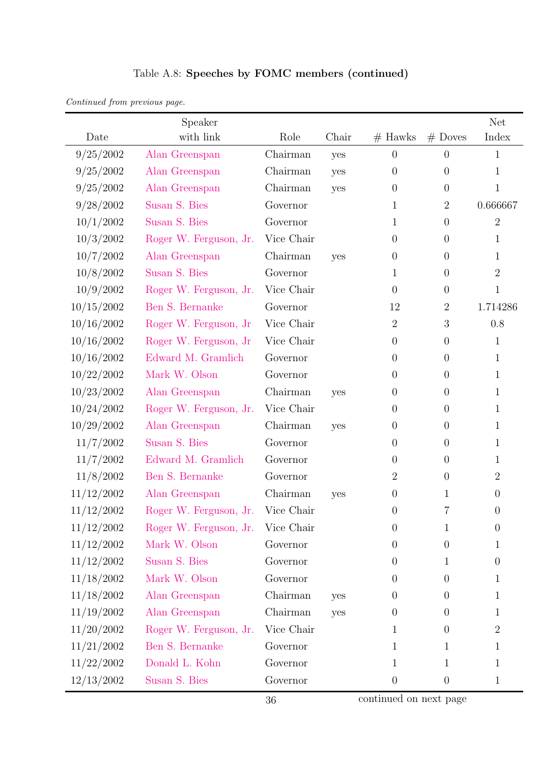| Continued from previous page. |  |  |
|-------------------------------|--|--|
|                               |  |  |

|            | Speaker                |            |       |                  |                  | <b>Net</b>     |
|------------|------------------------|------------|-------|------------------|------------------|----------------|
| Date       | with link              | Role       | Chair | $#$ Hawks        | $#$ Doves        | Index          |
| 9/25/2002  | Alan Greenspan         | Chairman   | yes   | $\theta$         | $\overline{0}$   | $\mathbf{1}$   |
| 9/25/2002  | Alan Greenspan         | Chairman   | yes   | $\theta$         | $\theta$         | $\mathbf{1}$   |
| 9/25/2002  | Alan Greenspan         | Chairman   | yes   | $\theta$         | $\theta$         | $\mathbf{1}$   |
| 9/28/2002  | Susan S. Bies          | Governor   |       | 1                | $\overline{2}$   | 0.666667       |
| 10/1/2002  | Susan S. Bies          | Governor   |       | 1                | $\boldsymbol{0}$ | $\overline{2}$ |
| 10/3/2002  | Roger W. Ferguson, Jr. | Vice Chair |       | $\boldsymbol{0}$ | $\theta$         | 1              |
| 10/7/2002  | Alan Greenspan         | Chairman   | yes   | $\theta$         | $\theta$         | $\mathbf{1}$   |
| 10/8/2002  | Susan S. Bies          | Governor   |       | 1                | $\theta$         | $\overline{2}$ |
| 10/9/2002  | Roger W. Ferguson, Jr. | Vice Chair |       | $\overline{0}$   | $\theta$         | $\mathbf{1}$   |
| 10/15/2002 | Ben S. Bernanke        | Governor   |       | 12               | $\overline{2}$   | 1.714286       |
| 10/16/2002 | Roger W. Ferguson, Jr. | Vice Chair |       | $\sqrt{2}$       | 3                | 0.8            |
| 10/16/2002 | Roger W. Ferguson, Jr. | Vice Chair |       | $\boldsymbol{0}$ | $\theta$         | $\mathbf{1}$   |
| 10/16/2002 | Edward M. Gramlich     | Governor   |       | $\overline{0}$   | $\theta$         | $\mathbf{1}$   |
| 10/22/2002 | Mark W. Olson          | Governor   |       | $\boldsymbol{0}$ | $\theta$         | $\mathbf{1}$   |
| 10/23/2002 | Alan Greenspan         | Chairman   | yes   | $\overline{0}$   | $\overline{0}$   | $\mathbf{1}$   |
| 10/24/2002 | Roger W. Ferguson, Jr. | Vice Chair |       | $\overline{0}$   | $\theta$         | $\mathbf{1}$   |
| 10/29/2002 | Alan Greenspan         | Chairman   | yes   | $\boldsymbol{0}$ | $\theta$         | $\mathbf{1}$   |
| 11/7/2002  | Susan S. Bies          | Governor   |       | $\theta$         | $\theta$         | $\mathbf{1}$   |
| 11/7/2002  | Edward M. Gramlich     | Governor   |       | $\boldsymbol{0}$ | $\theta$         | 1              |
| 11/8/2002  | Ben S. Bernanke        | Governor   |       | $\overline{2}$   | $\theta$         | $\overline{2}$ |
| 11/12/2002 | Alan Greenspan         | Chairman   | yes   | $\overline{0}$   | 1                | $\overline{0}$ |
| 11/12/2002 | Roger W. Ferguson, Jr. | Vice Chair |       | $\boldsymbol{0}$ | 7                | $\overline{0}$ |
| 11/12/2002 | Roger W. Ferguson, Jr. | Vice Chair |       | $\theta$         | $\mathbf{1}$     | $\theta$       |
| 11/12/2002 | Mark W. Olson          | Governor   |       | $\overline{0}$   | $\theta$         | 1              |
| 11/12/2002 | Susan S. Bies          | Governor   |       | $\theta$         | 1                | $\overline{0}$ |
| 11/18/2002 | Mark W. Olson          | Governor   |       | $\boldsymbol{0}$ | $\theta$         | $\mathbf{1}$   |
| 11/18/2002 | Alan Greenspan         | Chairman   | yes   | $\boldsymbol{0}$ | $\theta$         | $\mathbf{1}$   |
| 11/19/2002 | Alan Greenspan         | Chairman   | yes   | $\boldsymbol{0}$ | $\theta$         | $\mathbf{1}$   |
| 11/20/2002 | Roger W. Ferguson, Jr. | Vice Chair |       | 1                | $\boldsymbol{0}$ | $\overline{2}$ |
| 11/21/2002 | Ben S. Bernanke        | Governor   |       | 1                | $\mathbf{1}$     | $\mathbf{1}$   |
| 11/22/2002 | Donald L. Kohn         | Governor   |       | 1                | 1                | $\mathbf{1}$   |
| 12/13/2002 | Susan S. Bies          | Governor   |       | $\boldsymbol{0}$ | $\boldsymbol{0}$ | $\mathbf{1}$   |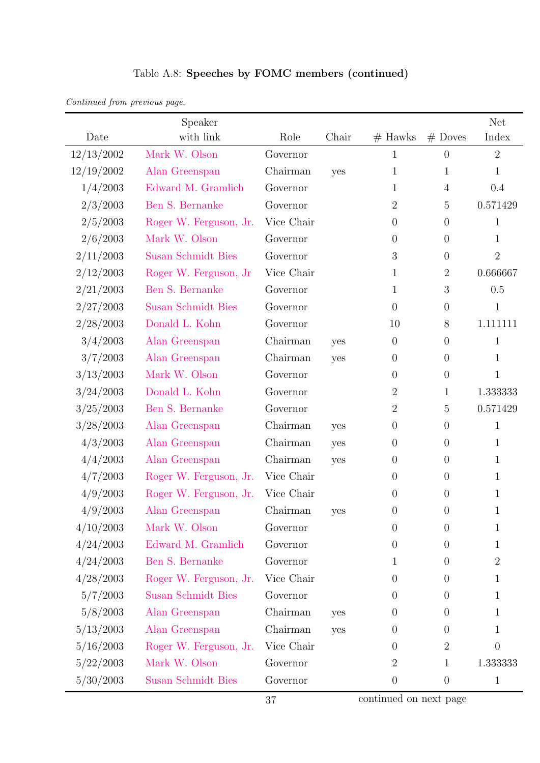| Continued from previous page. |  |  |
|-------------------------------|--|--|

|            | Speaker                   |            |       |                  |                  | <b>Net</b>     |
|------------|---------------------------|------------|-------|------------------|------------------|----------------|
| Date       | with link                 | Role       | Chair | $#$ Hawks        | $#$ Doves        | Index          |
| 12/13/2002 | Mark W. Olson             | Governor   |       | 1                | $\overline{0}$   | $\overline{2}$ |
| 12/19/2002 | Alan Greenspan            | Chairman   | yes   | 1                | 1                | $\mathbf{1}$   |
| 1/4/2003   | Edward M. Gramlich        | Governor   |       | 1                | $\overline{4}$   | 0.4            |
| 2/3/2003   | Ben S. Bernanke           | Governor   |       | $\overline{2}$   | $\overline{5}$   | 0.571429       |
| 2/5/2003   | Roger W. Ferguson, Jr.    | Vice Chair |       | $\overline{0}$   | $\theta$         | $\mathbf{1}$   |
| 2/6/2003   | Mark W. Olson             | Governor   |       | $\theta$         | $\theta$         | $\mathbf{1}$   |
| 2/11/2003  | <b>Susan Schmidt Bies</b> | Governor   |       | 3                | $\theta$         | $\overline{2}$ |
| 2/12/2003  | Roger W. Ferguson, Jr.    | Vice Chair |       | 1                | $\overline{2}$   | 0.666667       |
| 2/21/2003  | Ben S. Bernanke           | Governor   |       | 1                | $\sqrt{3}$       | 0.5            |
| 2/27/2003  | <b>Susan Schmidt Bies</b> | Governor   |       | $\overline{0}$   | $\theta$         | $\mathbf{1}$   |
| 2/28/2003  | Donald L. Kohn            | Governor   |       | 10               | $8\,$            | 1.111111       |
| 3/4/2003   | Alan Greenspan            | Chairman   | yes   | $\theta$         | $\theta$         | $\mathbf{1}$   |
| 3/7/2003   | Alan Greenspan            | Chairman   | yes   | $\theta$         | $\theta$         | $\mathbf{1}$   |
| 3/13/2003  | Mark W. Olson             | Governor   |       | $\boldsymbol{0}$ | $\theta$         | $\mathbf{1}$   |
| 3/24/2003  | Donald L. Kohn            | Governor   |       | $\overline{2}$   | 1                | 1.333333       |
| 3/25/2003  | Ben S. Bernanke           | Governor   |       | $\overline{2}$   | $\overline{5}$   | 0.571429       |
| 3/28/2003  | Alan Greenspan            | Chairman   | yes   | $\theta$         | $\theta$         | $\mathbf 1$    |
| 4/3/2003   | Alan Greenspan            | Chairman   | yes   | $\theta$         | $\theta$         | $\mathbf{1}$   |
| 4/4/2003   | Alan Greenspan            | Chairman   | yes   | $\theta$         | $\theta$         | $\mathbf{1}$   |
| 4/7/2003   | Roger W. Ferguson, Jr.    | Vice Chair |       | $\overline{0}$   | $\theta$         | $\mathbf{1}$   |
| 4/9/2003   | Roger W. Ferguson, Jr.    | Vice Chair |       | $\boldsymbol{0}$ | $\theta$         | $\mathbf{1}$   |
| 4/9/2003   | Alan Greenspan            | Chairman   | yes   | $\theta$         | $\theta$         | $\mathbf{1}$   |
| 4/10/2003  | Mark W. Olson             | Governor   |       | $\boldsymbol{0}$ | $\boldsymbol{0}$ | 1              |
| 4/24/2003  | Edward M. Gramlich        | Governor   |       | $\overline{0}$   | $\overline{0}$   | 1              |
| 4/24/2003  | Ben S. Bernanke           | Governor   |       | 1                | $\theta$         | $\overline{2}$ |
| 4/28/2003  | Roger W. Ferguson, Jr.    | Vice Chair |       | $\boldsymbol{0}$ | $\theta$         | $\mathbf{1}$   |
| 5/7/2003   | <b>Susan Schmidt Bies</b> | Governor   |       | $\theta$         | $\theta$         | 1              |
| 5/8/2003   | Alan Greenspan            | Chairman   | yes   | $\theta$         | $\theta$         | $\mathbf{1}$   |
| 5/13/2003  | Alan Greenspan            | Chairman   | yes   | $\theta$         | $\theta$         | 1              |
| 5/16/2003  | Roger W. Ferguson, Jr.    | Vice Chair |       | $\boldsymbol{0}$ | $\overline{2}$   | $\theta$       |
| 5/22/2003  | Mark W. Olson             | Governor   |       | $\overline{2}$   | 1                | 1.333333       |
| 5/30/2003  | <b>Susan Schmidt Bies</b> | Governor   |       | $\boldsymbol{0}$ | $\theta$         | $\mathbf{1}$   |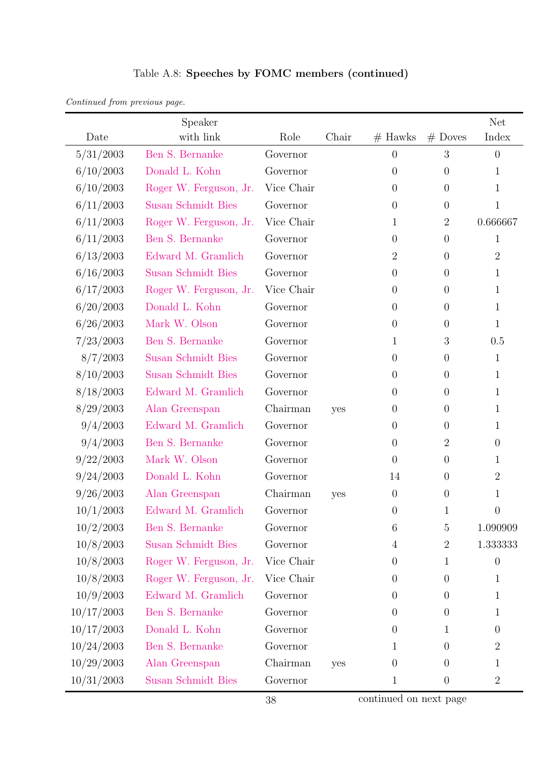| Continued from previous page. |  |  |
|-------------------------------|--|--|
|                               |  |  |

|            | Speaker                   |            |       |                  |                  | <b>Net</b>     |
|------------|---------------------------|------------|-------|------------------|------------------|----------------|
| Date       | with link                 | Role       | Chair | $#$ Hawks        | $#$ Doves        | Index          |
| 5/31/2003  | Ben S. Bernanke           | Governor   |       | $\overline{0}$   | 3                | $\theta$       |
| 6/10/2003  | Donald L. Kohn            | Governor   |       | $\boldsymbol{0}$ | $\theta$         | $\mathbf 1$    |
| 6/10/2003  | Roger W. Ferguson, Jr.    | Vice Chair |       | $\overline{0}$   | $\theta$         | $\mathbf{1}$   |
| 6/11/2003  | <b>Susan Schmidt Bies</b> | Governor   |       | $\boldsymbol{0}$ | $\theta$         | $\mathbf{1}$   |
| 6/11/2003  | Roger W. Ferguson, Jr.    | Vice Chair |       | 1                | $\overline{2}$   | 0.666667       |
| 6/11/2003  | Ben S. Bernanke           | Governor   |       | $\theta$         | $\theta$         | $\mathbf{1}$   |
| 6/13/2003  | Edward M. Gramlich        | Governor   |       | $\overline{2}$   | $\theta$         | $\overline{2}$ |
| 6/16/2003  | <b>Susan Schmidt Bies</b> | Governor   |       | $\theta$         | $\theta$         | 1              |
| 6/17/2003  | Roger W. Ferguson, Jr.    | Vice Chair |       | $\theta$         | $\theta$         | $\mathbf{1}$   |
| 6/20/2003  | Donald L. Kohn            | Governor   |       | $\overline{0}$   | $\theta$         | $\mathbf{1}$   |
| 6/26/2003  | Mark W. Olson             | Governor   |       | $\theta$         | $\theta$         | $\mathbf{1}$   |
| 7/23/2003  | Ben S. Bernanke           | Governor   |       | 1                | $\boldsymbol{3}$ | 0.5            |
| 8/7/2003   | <b>Susan Schmidt Bies</b> | Governor   |       | $\boldsymbol{0}$ | $\theta$         | $\mathbf{1}$   |
| 8/10/2003  | <b>Susan Schmidt Bies</b> | Governor   |       | $\theta$         | $\theta$         | $\mathbf{1}$   |
| 8/18/2003  | Edward M. Gramlich        | Governor   |       | $\theta$         | $\theta$         | 1              |
| 8/29/2003  | Alan Greenspan            | Chairman   | yes   | $\theta$         | $\theta$         | $\mathbf{1}$   |
| 9/4/2003   | Edward M. Gramlich        | Governor   |       | $\overline{0}$   | $\theta$         | 1              |
| 9/4/2003   | Ben S. Bernanke           | Governor   |       | $\theta$         | $\overline{2}$   | $\overline{0}$ |
| 9/22/2003  | Mark W. Olson             | Governor   |       | $\theta$         | $\theta$         | 1              |
| 9/24/2003  | Donald L. Kohn            | Governor   |       | 14               | $\theta$         | $\overline{2}$ |
| 9/26/2003  | Alan Greenspan            | Chairman   | yes   | $\boldsymbol{0}$ | $\boldsymbol{0}$ | $\mathbf 1$    |
| 10/1/2003  | Edward M. Gramlich        | Governor   |       | $\theta$         | 1                | $\overline{0}$ |
| 10/2/2003  | Ben S. Bernanke           | Governor   |       | 6                | 5                | 1.090909       |
| 10/8/2003  | <b>Susan Schmidt Bies</b> | Governor   |       | $\overline{4}$   | $\overline{2}$   | 1.333333       |
| 10/8/2003  | Roger W. Ferguson, Jr.    | Vice Chair |       | $\overline{0}$   | 1                | $\overline{0}$ |
| 10/8/2003  | Roger W. Ferguson, Jr.    | Vice Chair |       | $\boldsymbol{0}$ | $\theta$         | 1              |
| 10/9/2003  | Edward M. Gramlich        | Governor   |       | $\overline{0}$   | $\theta$         | 1              |
| 10/17/2003 | Ben S. Bernanke           | Governor   |       | $\theta$         | $\theta$         | $\mathbf{1}$   |
| 10/17/2003 | Donald L. Kohn            | Governor   |       | $\boldsymbol{0}$ | 1                | $\theta$       |
| 10/24/2003 | Ben S. Bernanke           | Governor   |       | 1                | $\overline{0}$   | $\overline{2}$ |
| 10/29/2003 | Alan Greenspan            | Chairman   | yes   | $\theta$         | $\theta$         | $\mathbf{1}$   |
| 10/31/2003 | <b>Susan Schmidt Bies</b> | Governor   |       | 1                | $\boldsymbol{0}$ | $\overline{2}$ |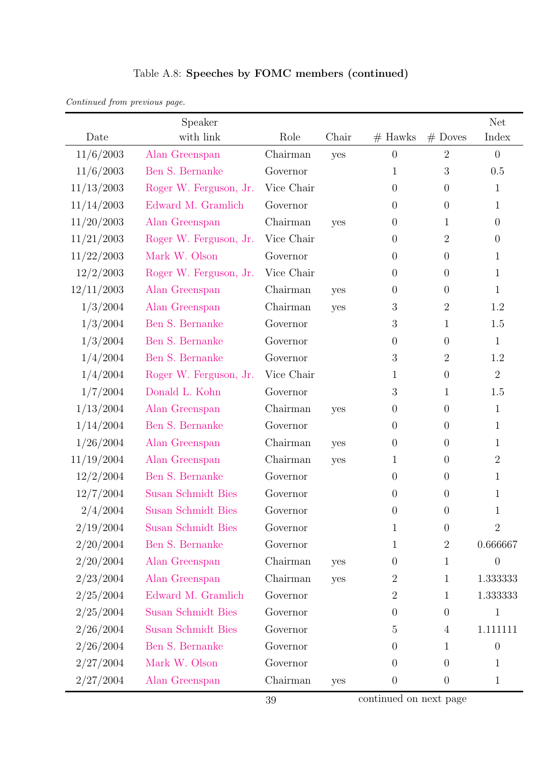| Continued from previous page. |  |  |
|-------------------------------|--|--|
|                               |  |  |

|               | Speaker                   |            |       |                  |                  | <b>Net</b>     |
|---------------|---------------------------|------------|-------|------------------|------------------|----------------|
| Date          | with link                 | Role       | Chair | $#$ Hawks        | $#$ Doves        | Index          |
| 11/6/2003     | Alan Greenspan            | Chairman   | yes   | $\theta$         | $\overline{2}$   | $\overline{0}$ |
| 11/6/2003     | Ben S. Bernanke           | Governor   |       | 1                | $\boldsymbol{3}$ | 0.5            |
| 11/13/2003    | Roger W. Ferguson, Jr.    | Vice Chair |       | $\overline{0}$   | $\theta$         | $\mathbf 1$    |
| 11/14/2003    | Edward M. Gramlich        | Governor   |       | $\overline{0}$   | $\theta$         | 1              |
| 11/20/2003    | Alan Greenspan            | Chairman   | yes   | $\overline{0}$   | 1                | $\overline{0}$ |
| 11/21/2003    | Roger W. Ferguson, Jr.    | Vice Chair |       | $\overline{0}$   | $\overline{2}$   | $\overline{0}$ |
| 11/22/2003    | Mark W. Olson             | Governor   |       | $\overline{0}$   | $\theta$         | $\mathbf{1}$   |
| 12/2/2003     | Roger W. Ferguson, Jr.    | Vice Chair |       | $\overline{0}$   | $\theta$         | 1              |
| 12/11/2003    | Alan Greenspan            | Chairman   | yes   | $\overline{0}$   | $\theta$         | $\mathbf{1}$   |
| 1/3/2004      | Alan Greenspan            | Chairman   | yes   | $\sqrt{3}$       | $\overline{2}$   | 1.2            |
| 1/3/2004      | Ben S. Bernanke           | Governor   |       | 3                | 1                | 1.5            |
| 1/3/2004      | Ben S. Bernanke           | Governor   |       | $\boldsymbol{0}$ | $\theta$         | $\mathbf{1}$   |
| 1/4/2004      | Ben S. Bernanke           | Governor   |       | 3                | $\overline{2}$   | 1.2            |
| 1/4/2004      | Roger W. Ferguson, Jr.    | Vice Chair |       | 1                | $\theta$         | $\overline{2}$ |
| 1/7/2004      | Donald L. Kohn            | Governor   |       | 3                | 1                | 1.5            |
| 1/13/2004     | Alan Greenspan            | Chairman   | yes   | $\theta$         | $\theta$         | $\mathbf{1}$   |
| 1/14/2004     | Ben S. Bernanke           | Governor   |       | $\overline{0}$   | $\theta$         | 1              |
| 1/26/2004     | Alan Greenspan            | Chairman   | yes   | $\theta$         | $\theta$         | 1              |
| 11/19/2004    | Alan Greenspan            | Chairman   | yes   | 1                | $\theta$         | $\overline{2}$ |
| 12/2/2004     | Ben S. Bernanke           | Governor   |       | $\theta$         | $\theta$         | $\mathbf{1}$   |
| 12/7/2004     | Susan Schmidt Bies        | Governor   |       | $\theta$         | $\theta$         | $\mathbf 1$    |
| 2/4/2004      | <b>Susan Schmidt Bies</b> | Governor   |       | $\theta$         | $\boldsymbol{0}$ | $\mathbf 1$    |
| $2/19/2004\,$ | <b>Susan Schmidt Bies</b> | Governor   |       | 1                | $\theta$         | $\overline{2}$ |
| 2/20/2004     | Ben S. Bernanke           | Governor   |       | 1                | $\sqrt{2}$       | 0.666667       |
| 2/20/2004     | Alan Greenspan            | Chairman   | yes   | $\theta$         | 1                | 0              |
| 2/23/2004     | Alan Greenspan            | Chairman   | yes   | 2                | 1                | 1.333333       |
| 2/25/2004     | Edward M. Gramlich        | Governor   |       | $\overline{2}$   | 1                | 1.333333       |
| 2/25/2004     | <b>Susan Schmidt Bies</b> | Governor   |       | $\theta$         | $\theta$         | $\mathbf{1}$   |
| 2/26/2004     | Susan Schmidt Bies        | Governor   |       | 5                | $\overline{4}$   | 1.111111       |
| 2/26/2004     | Ben S. Bernanke           | Governor   |       | $\theta$         | 1                | $\theta$       |
| 2/27/2004     | Mark W. Olson             | Governor   |       | $\overline{0}$   | $\theta$         | 1              |
| 2/27/2004     | Alan Greenspan            | Chairman   | yes   | $\boldsymbol{0}$ | $\theta$         | $\mathbf{1}$   |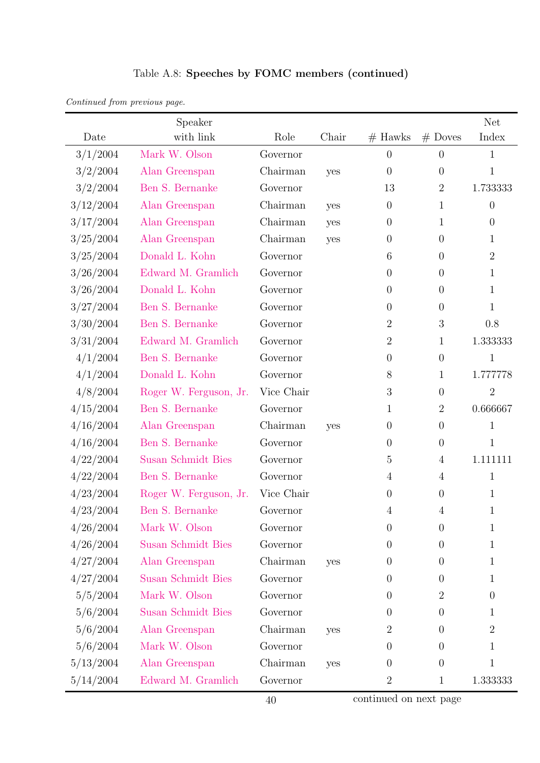| Continued from previous page. |  |  |
|-------------------------------|--|--|
|                               |  |  |

|             | Speaker                   |            |       |                |                  | <b>Net</b>       |
|-------------|---------------------------|------------|-------|----------------|------------------|------------------|
| Date        | with link                 | Role       | Chair | $#$ Hawks      | $#$ Doves        | Index            |
| 3/1/2004    | Mark W. Olson             | Governor   |       | $\theta$       | $\overline{0}$   | $\mathbf{1}$     |
| 3/2/2004    | Alan Greenspan            | Chairman   | yes   | $\overline{0}$ | $\boldsymbol{0}$ | $\mathbf{1}$     |
| 3/2/2004    | Ben S. Bernanke           | Governor   |       | 13             | $\overline{2}$   | 1.733333         |
| 3/12/2004   | Alan Greenspan            | Chairman   | yes   | $\theta$       | $\mathbf{1}$     | $\boldsymbol{0}$ |
| 3/17/2004   | Alan Greenspan            | Chairman   | yes   | $\overline{0}$ | $\mathbf{1}$     | $\overline{0}$   |
| 3/25/2004   | Alan Greenspan            | Chairman   | yes   | $\overline{0}$ | $\overline{0}$   | 1                |
| 3/25/2004   | Donald L. Kohn            | Governor   |       | 6              | $\boldsymbol{0}$ | $\overline{2}$   |
| 3/26/2004   | Edward M. Gramlich        | Governor   |       | $\theta$       | $\boldsymbol{0}$ | 1                |
| $3/26/2004$ | Donald L. Kohn            | Governor   |       | $\theta$       | $\boldsymbol{0}$ | $\mathbf{1}$     |
| 3/27/2004   | Ben S. Bernanke           | Governor   |       | $\theta$       | $\boldsymbol{0}$ | 1                |
| 3/30/2004   | Ben S. Bernanke           | Governor   |       | $\overline{2}$ | $\mathfrak 3$    | 0.8              |
| 3/31/2004   | Edward M. Gramlich        | Governor   |       | $\overline{2}$ | $\mathbf{1}$     | 1.333333         |
| 4/1/2004    | Ben S. Bernanke           | Governor   |       | $\overline{0}$ | $\boldsymbol{0}$ | $\mathbf{1}$     |
| 4/1/2004    | Donald L. Kohn            | Governor   |       | 8              | $\mathbf{1}$     | 1.777778         |
| 4/8/2004    | Roger W. Ferguson, Jr.    | Vice Chair |       | 3              | $\boldsymbol{0}$ | $\overline{2}$   |
| 4/15/2004   | Ben S. Bernanke           | Governor   |       | $\mathbf{1}$   | $\overline{2}$   | 0.666667         |
| 4/16/2004   | Alan Greenspan            | Chairman   | yes   | $\theta$       | $\boldsymbol{0}$ | $\mathbf{1}$     |
| 4/16/2004   | Ben S. Bernanke           | Governor   |       | $\theta$       | $\boldsymbol{0}$ | $\mathbf{1}$     |
| $4/22/2004$ | Susan Schmidt Bies        | Governor   |       | 5              | $\overline{4}$   | 1.111111         |
| 4/22/2004   | Ben S. Bernanke           | Governor   |       | $\overline{4}$ | $\overline{4}$   | $\mathbf{1}$     |
| 4/23/2004   | Roger W. Ferguson, Jr.    | Vice Chair |       | $\theta$       | $\boldsymbol{0}$ | $\mathbf{1}$     |
| 4/23/2004   | Ben S. Bernanke           | Governor   |       | 4              | $\overline{4}$   | 1                |
| 4/26/2004   | Mark W. Olson             | Governor   |       | $\theta$       | $\theta$         | 1                |
| 4/26/2004   | <b>Susan Schmidt Bies</b> | Governor   |       | $\theta$       | $\boldsymbol{0}$ | 1                |
| 4/27/2004   | Alan Greenspan            | Chairman   | yes   | $\theta$       | $\boldsymbol{0}$ | 1                |
| 4/27/2004   | <b>Susan Schmidt Bies</b> | Governor   |       | $\overline{0}$ | $\boldsymbol{0}$ | 1                |
| 5/5/2004    | Mark W. Olson             | Governor   |       | $\overline{0}$ | $\overline{2}$   | $\theta$         |
| 5/6/2004    | <b>Susan Schmidt Bies</b> | Governor   |       | $\overline{0}$ | $\boldsymbol{0}$ | 1                |
| 5/6/2004    | Alan Greenspan            | Chairman   | yes   | $\overline{2}$ | $\boldsymbol{0}$ | $\overline{2}$   |
| 5/6/2004    | Mark W. Olson             | Governor   |       | $\theta$       | $\theta$         | 1                |
| 5/13/2004   | Alan Greenspan            | Chairman   | yes   | $\theta$       | $\boldsymbol{0}$ | $\mathbf 1$      |
| 5/14/2004   | Edward M. Gramlich        | Governor   |       | $\overline{2}$ | $\mathbf{1}$     | 1.333333         |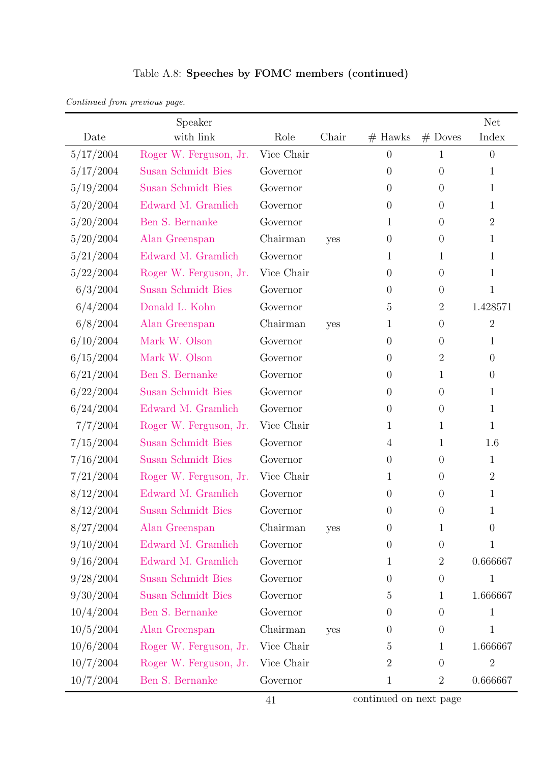| Continued from previous page. |  |  |
|-------------------------------|--|--|
|                               |  |  |

|           | Speaker                   |            |       |                |                  | <b>Net</b>       |
|-----------|---------------------------|------------|-------|----------------|------------------|------------------|
| Date      | with link                 | Role       | Chair | $#$ Hawks      | $#$ Doves        | Index            |
| 5/17/2004 | Roger W. Ferguson, Jr.    | Vice Chair |       | $\theta$       | 1                | $\theta$         |
| 5/17/2004 | Susan Schmidt Bies        | Governor   |       | $\overline{0}$ | $\boldsymbol{0}$ | 1                |
| 5/19/2004 | Susan Schmidt Bies        | Governor   |       | $\theta$       | $\theta$         | $\mathbf{1}$     |
| 5/20/2004 | Edward M. Gramlich        | Governor   |       | $\theta$       | $\boldsymbol{0}$ | 1                |
| 5/20/2004 | Ben S. Bernanke           | Governor   |       | 1              | $\boldsymbol{0}$ | $\overline{2}$   |
| 5/20/2004 | Alan Greenspan            | Chairman   | yes   | $\overline{0}$ | $\boldsymbol{0}$ | 1                |
| 5/21/2004 | Edward M. Gramlich        | Governor   |       | 1              | 1                | $\mathbf 1$      |
| 5/22/2004 | Roger W. Ferguson, Jr.    | Vice Chair |       | $\overline{0}$ | $\boldsymbol{0}$ | 1                |
| 6/3/2004  | <b>Susan Schmidt Bies</b> | Governor   |       | $\theta$       | $\boldsymbol{0}$ | $\mathbf 1$      |
| 6/4/2004  | Donald L. Kohn            | Governor   |       | $\overline{5}$ | $\overline{2}$   | 1.428571         |
| 6/8/2004  | Alan Greenspan            | Chairman   | yes   | $\mathbf 1$    | $\boldsymbol{0}$ | $\sqrt{2}$       |
| 6/10/2004 | Mark W. Olson             | Governor   |       | $\theta$       | $\boldsymbol{0}$ | 1                |
| 6/15/2004 | Mark W. Olson             | Governor   |       | $\overline{0}$ | $\overline{2}$   | $\boldsymbol{0}$ |
| 6/21/2004 | Ben S. Bernanke           | Governor   |       | $\overline{0}$ | 1                | $\overline{0}$   |
| 6/22/2004 | <b>Susan Schmidt Bies</b> | Governor   |       | $\overline{0}$ | $\overline{0}$   | 1                |
| 6/24/2004 | Edward M. Gramlich        | Governor   |       | $\overline{0}$ | $\boldsymbol{0}$ | $\mathbf{1}$     |
| 7/7/2004  | Roger W. Ferguson, Jr.    | Vice Chair |       | 1              | 1                | $\mathbf{1}$     |
| 7/15/2004 | <b>Susan Schmidt Bies</b> | Governor   |       | $\overline{4}$ | 1                | 1.6              |
| 7/16/2004 | Susan Schmidt Bies        | Governor   |       | $\theta$       | $\theta$         | $\mathbf{1}$     |
| 7/21/2004 | Roger W. Ferguson, Jr.    | Vice Chair |       | 1              | $\boldsymbol{0}$ | $\overline{2}$   |
| 8/12/2004 | Edward M. Gramlich        | Governor   |       | $\theta$       | $\boldsymbol{0}$ | $\mathbf{1}$     |
| 8/12/2004 | <b>Susan Schmidt Bies</b> | Governor   |       | $\overline{0}$ | $\theta$         | 1                |
| 8/27/2004 | Alan Greenspan            | Chairman   | yes   | $\theta$       | 1                | $\overline{0}$   |
| 9/10/2004 | Edward M. Gramlich        | Governor   |       | $\theta$       | $\boldsymbol{0}$ | 1                |
| 9/16/2004 | Edward M. Gramlich        | Governor   |       | $\mathbf{1}$   | $\overline{2}$   | 0.666667         |
| 9/28/2004 | <b>Susan Schmidt Bies</b> | Governor   |       | $\theta$       | $\boldsymbol{0}$ | 1                |
| 9/30/2004 | <b>Susan Schmidt Bies</b> | Governor   |       | 5              | $\mathbf{1}$     | 1.666667         |
| 10/4/2004 | Ben S. Bernanke           | Governor   |       | $\theta$       | $\boldsymbol{0}$ | 1                |
| 10/5/2004 | Alan Greenspan            | Chairman   | yes   | $\overline{0}$ | $\boldsymbol{0}$ | $\mathbf{1}$     |
| 10/6/2004 | Roger W. Ferguson, Jr.    | Vice Chair |       | $\overline{5}$ | 1                | 1.666667         |
| 10/7/2004 | Roger W. Ferguson, Jr.    | Vice Chair |       | $\overline{2}$ | $\boldsymbol{0}$ | $\sqrt{2}$       |
| 10/7/2004 | Ben S. Bernanke           | Governor   |       | $\mathbf{1}$   | $\overline{2}$   | 0.666667         |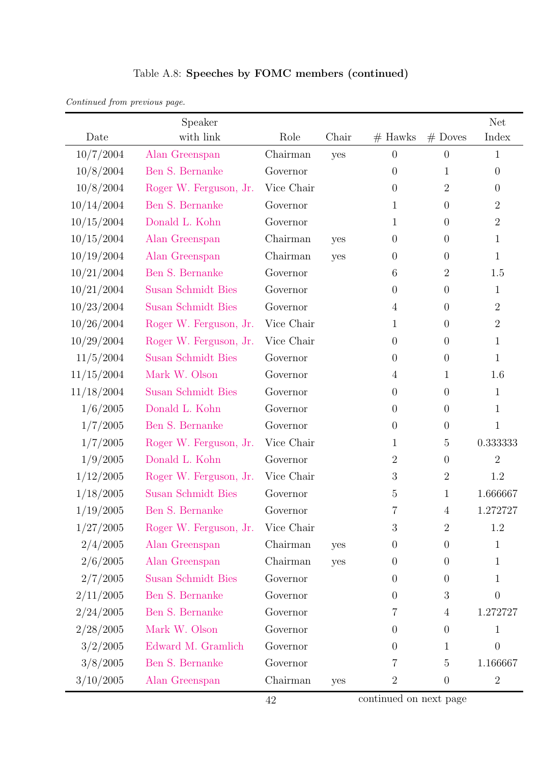| Table A.8: Speeches by FOMC members (continued) |  |  |  |
|-------------------------------------------------|--|--|--|
|-------------------------------------------------|--|--|--|

| Continued from previous page. |  |  |
|-------------------------------|--|--|

|            | Speaker                   |            |       |                  |                  | <b>Net</b>     |
|------------|---------------------------|------------|-------|------------------|------------------|----------------|
| Date       | with link                 | Role       | Chair | $#$ Hawks        | $#$ Doves        | Index          |
| 10/7/2004  | Alan Greenspan            | Chairman   | yes   | $\overline{0}$   | $\overline{0}$   | $\mathbf{1}$   |
| 10/8/2004  | Ben S. Bernanke           | Governor   |       | $\boldsymbol{0}$ | $\mathbf{1}$     | $\overline{0}$ |
| 10/8/2004  | Roger W. Ferguson, Jr.    | Vice Chair |       | $\boldsymbol{0}$ | $\overline{2}$   | $\overline{0}$ |
| 10/14/2004 | Ben S. Bernanke           | Governor   |       | 1                | $\theta$         | $\overline{2}$ |
| 10/15/2004 | Donald L. Kohn            | Governor   |       | 1                | $\theta$         | $\overline{2}$ |
| 10/15/2004 | Alan Greenspan            | Chairman   | yes   | $\boldsymbol{0}$ | $\theta$         | $\mathbf{1}$   |
| 10/19/2004 | Alan Greenspan            | Chairman   | yes   | $\boldsymbol{0}$ | $\boldsymbol{0}$ | $\mathbf{1}$   |
| 10/21/2004 | Ben S. Bernanke           | Governor   |       | 6                | $\overline{2}$   | 1.5            |
| 10/21/2004 | <b>Susan Schmidt Bies</b> | Governor   |       | $\theta$         | $\theta$         | $\mathbf{1}$   |
| 10/23/2004 | <b>Susan Schmidt Bies</b> | Governor   |       | $\overline{4}$   | $\overline{0}$   | $\overline{2}$ |
| 10/26/2004 | Roger W. Ferguson, Jr.    | Vice Chair |       | 1                | $\theta$         | $\overline{2}$ |
| 10/29/2004 | Roger W. Ferguson, Jr.    | Vice Chair |       | $\overline{0}$   | $\theta$         | $\mathbf{1}$   |
| 11/5/2004  | <b>Susan Schmidt Bies</b> | Governor   |       | $\theta$         | $\theta$         | $\mathbf{1}$   |
| 11/15/2004 | Mark W. Olson             | Governor   |       | $\overline{4}$   | $\mathbf{1}$     | 1.6            |
| 11/18/2004 | <b>Susan Schmidt Bies</b> | Governor   |       | $\boldsymbol{0}$ | $\theta$         | $\mathbf{1}$   |
| 1/6/2005   | Donald L. Kohn            | Governor   |       | $\boldsymbol{0}$ | $\theta$         | $\mathbf{1}$   |
| 1/7/2005   | Ben S. Bernanke           | Governor   |       | $\boldsymbol{0}$ | $\theta$         | $\mathbf{1}$   |
| 1/7/2005   | Roger W. Ferguson, Jr.    | Vice Chair |       | $\mathbf 1$      | 5                | 0.333333       |
| 1/9/2005   | Donald L. Kohn            | Governor   |       | $\overline{2}$   | $\theta$         | $\overline{2}$ |
| 1/12/2005  | Roger W. Ferguson, Jr.    | Vice Chair |       | 3                | $\mathbf{2}$     | 1.2            |
| 1/18/2005  | <b>Susan Schmidt Bies</b> | Governor   |       | $\overline{5}$   | $\mathbf{1}$     | 1.666667       |
| 1/19/2005  | Ben S. Bernanke           | Governor   |       | 7                | $\overline{4}$   | 1.272727       |
| 1/27/2005  | Roger W. Ferguson, Jr.    | Vice Chair |       | $\boldsymbol{3}$ | $\overline{2}$   | 1.2            |
| 2/4/2005   | Alan Greenspan            | Chairman   | yes   | $\theta$         | $\overline{0}$   | $\mathbf{1}$   |
| 2/6/2005   | Alan Greenspan            | Chairman   | yes   | $\overline{0}$   | 0                | 1              |
| 2/7/2005   | <b>Susan Schmidt Bies</b> | Governor   |       | $\theta$         | 0                | $\mathbf{1}$   |
| 2/11/2005  | Ben S. Bernanke           | Governor   |       | $\overline{0}$   | 3                | $\Omega$       |
| 2/24/2005  | Ben S. Bernanke           | Governor   |       | 7                | 4                | 1.272727       |
| 2/28/2005  | Mark W. Olson             | Governor   |       | $\overline{0}$   | $\boldsymbol{0}$ | $\mathbf{1}$   |
| 3/2/2005   | Edward M. Gramlich        | Governor   |       | $\overline{0}$   | 1                | $\theta$       |
| 3/8/2005   | Ben S. Bernanke           | Governor   |       | 7                | $\overline{5}$   | 1.166667       |
| 3/10/2005  | Alan Greenspan            | Chairman   | yes   | $\overline{2}$   | $\boldsymbol{0}$ | $\overline{2}$ |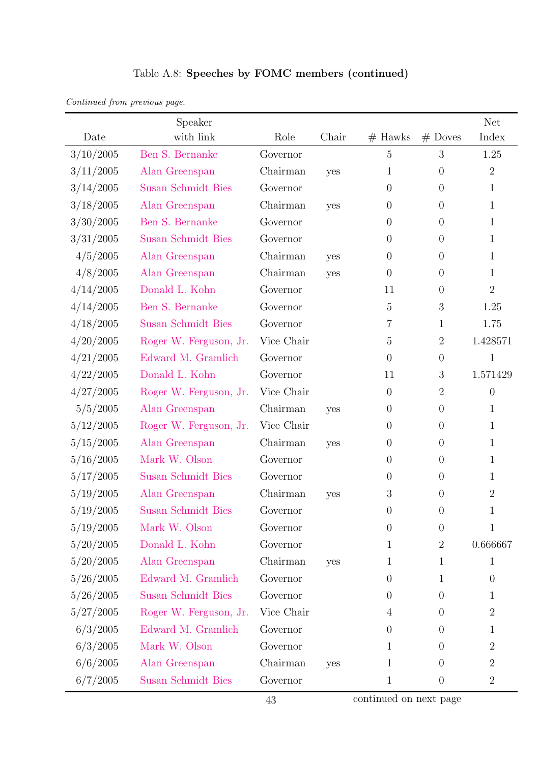|  |  |  |  |  | Table A.8: Speeches by FOMC members (continued) |
|--|--|--|--|--|-------------------------------------------------|
|--|--|--|--|--|-------------------------------------------------|

| Continued from previous page. |  |  |
|-------------------------------|--|--|
|                               |  |  |

|           | Speaker                   |            |       |                  |                  | Net              |
|-----------|---------------------------|------------|-------|------------------|------------------|------------------|
| Date      | with link                 | Role       | Chair | $#$ Hawks        | $#$ Doves        | Index            |
| 3/10/2005 | Ben S. Bernanke           | Governor   |       | $\overline{5}$   | 3                | 1.25             |
| 3/11/2005 | Alan Greenspan            | Chairman   | yes   | 1                | $\overline{0}$   | $\overline{2}$   |
| 3/14/2005 | <b>Susan Schmidt Bies</b> | Governor   |       | $\overline{0}$   | $\overline{0}$   | $\mathbf{1}$     |
| 3/18/2005 | Alan Greenspan            | Chairman   | yes   | $\overline{0}$   | $\overline{0}$   | 1                |
| 3/30/2005 | Ben S. Bernanke           | Governor   |       | $\overline{0}$   | $\boldsymbol{0}$ | 1                |
| 3/31/2005 | <b>Susan Schmidt Bies</b> | Governor   |       | $\overline{0}$   | $\overline{0}$   | 1                |
| 4/5/2005  | Alan Greenspan            | Chairman   | yes   | $\overline{0}$   | $\overline{0}$   | 1                |
| 4/8/2005  | Alan Greenspan            | Chairman   | yes   | $\overline{0}$   | $\overline{0}$   | 1                |
| 4/14/2005 | Donald L. Kohn            | Governor   |       | 11               | $\overline{0}$   | $\overline{2}$   |
| 4/14/2005 | Ben S. Bernanke           | Governor   |       | $\overline{5}$   | $\boldsymbol{3}$ | 1.25             |
| 4/18/2005 | <b>Susan Schmidt Bies</b> | Governor   |       | 7                | $\mathbf{1}$     | 1.75             |
| 4/20/2005 | Roger W. Ferguson, Jr.    | Vice Chair |       | 5                | $\mathbf{2}$     | 1.428571         |
| 4/21/2005 | Edward M. Gramlich        | Governor   |       | $\overline{0}$   | $\boldsymbol{0}$ | $\mathbf{1}$     |
| 4/22/2005 | Donald L. Kohn            | Governor   |       | 11               | 3                | 1.571429         |
| 4/27/2005 | Roger W. Ferguson, Jr.    | Vice Chair |       | $\overline{0}$   | $\overline{2}$   | $\overline{0}$   |
| 5/5/2005  | Alan Greenspan            | Chairman   | yes   | $\overline{0}$   | $\overline{0}$   | $\mathbf{1}$     |
| 5/12/2005 | Roger W. Ferguson, Jr.    | Vice Chair |       | $\overline{0}$   | $\overline{0}$   | 1                |
| 5/15/2005 | Alan Greenspan            | Chairman   | yes   | $\overline{0}$   | $\overline{0}$   | 1                |
| 5/16/2005 | Mark W. Olson             | Governor   |       | $\overline{0}$   | $\boldsymbol{0}$ | 1                |
| 5/17/2005 | <b>Susan Schmidt Bies</b> | Governor   |       | $\overline{0}$   | $\overline{0}$   | 1                |
| 5/19/2005 | Alan Greenspan            | Chairman   | yes   | 3                | $\boldsymbol{0}$ | $\overline{2}$   |
| 5/19/2005 | <b>Susan Schmidt Bies</b> | Governor   |       | $\boldsymbol{0}$ | $\overline{0}$   | 1                |
| 5/19/2005 | Mark W. Olson             | Governor   |       | $\theta$         | $\theta$         | 1                |
| 5/20/2005 | Donald L. Kohn            | Governor   |       | 1                | $\sqrt{2}$       | 0.666667         |
| 5/20/2005 | Alan Greenspan            | Chairman   | yes   | 1                | 1                | 1                |
| 5/26/2005 | Edward M. Gramlich        | Governor   |       | $\theta$         | $\mathbf{1}$     | $\theta$         |
| 5/26/2005 | Susan Schmidt Bies        | Governor   |       | $\theta$         | $\overline{0}$   | 1                |
| 5/27/2005 | Roger W. Ferguson, Jr.    | Vice Chair |       | 4                | $\overline{0}$   | $\overline{2}$   |
| 6/3/2005  | Edward M. Gramlich        | Governor   |       | $\overline{0}$   | $\boldsymbol{0}$ | 1                |
| 6/3/2005  | Mark W. Olson             | Governor   |       | 1                | $\overline{0}$   | $\boldsymbol{2}$ |
| 6/6/2005  | Alan Greenspan            | Chairman   | yes   | 1                | $\boldsymbol{0}$ | $\overline{2}$   |
| 6/7/2005  | Susan Schmidt Bies        | Governor   |       | $\mathbf 1$      | $\boldsymbol{0}$ | $\overline{2}$   |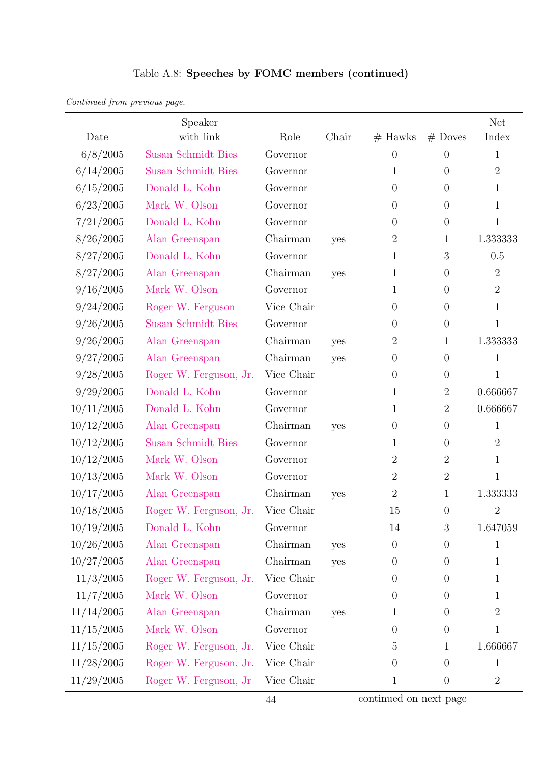| Continued from previous page. |  |
|-------------------------------|--|
|-------------------------------|--|

|            | Speaker                   |            |       |                  |                  | <b>Net</b>     |
|------------|---------------------------|------------|-------|------------------|------------------|----------------|
| Date       | with link                 | Role       | Chair | $#$ Hawks        | $#$ Doves        | Index          |
| 6/8/2005   | <b>Susan Schmidt Bies</b> | Governor   |       | $\theta$         | $\overline{0}$   | $\mathbf{1}$   |
| 6/14/2005  | <b>Susan Schmidt Bies</b> | Governor   |       | 1                | $\theta$         | $\sqrt{2}$     |
| 6/15/2005  | Donald L. Kohn            | Governor   |       | $\boldsymbol{0}$ | $\theta$         | $\mathbf{1}$   |
| 6/23/2005  | Mark W. Olson             | Governor   |       | $\overline{0}$   | $\theta$         | $\mathbf{1}$   |
| 7/21/2005  | Donald L. Kohn            | Governor   |       | $\overline{0}$   | $\theta$         | $\mathbf{1}$   |
| 8/26/2005  | Alan Greenspan            | Chairman   | yes   | $\sqrt{2}$       | 1                | 1.333333       |
| 8/27/2005  | Donald L. Kohn            | Governor   |       | 1                | $\sqrt{3}$       | 0.5            |
| 8/27/2005  | Alan Greenspan            | Chairman   | yes   | 1                | $\theta$         | $\overline{2}$ |
| 9/16/2005  | Mark W. Olson             | Governor   |       | 1                | $\theta$         | $\overline{2}$ |
| 9/24/2005  | Roger W. Ferguson         | Vice Chair |       | $\boldsymbol{0}$ | $\theta$         | $\mathbf{1}$   |
| 9/26/2005  | <b>Susan Schmidt Bies</b> | Governor   |       | $\theta$         | $\theta$         | $\mathbf{1}$   |
| 9/26/2005  | Alan Greenspan            | Chairman   | yes   | $\overline{2}$   | $\mathbf 1$      | 1.333333       |
| 9/27/2005  | Alan Greenspan            | Chairman   | yes   | $\boldsymbol{0}$ | $\theta$         | $\mathbf{1}$   |
| 9/28/2005  | Roger W. Ferguson, Jr.    | Vice Chair |       | $\boldsymbol{0}$ | $\theta$         | $\mathbf{1}$   |
| 9/29/2005  | Donald L. Kohn            | Governor   |       | 1                | $\overline{2}$   | 0.666667       |
| 10/11/2005 | Donald L. Kohn            | Governor   |       | 1                | $\sqrt{2}$       | 0.666667       |
| 10/12/2005 | Alan Greenspan            | Chairman   | yes   | $\boldsymbol{0}$ | $\theta$         | $\mathbf{1}$   |
| 10/12/2005 | <b>Susan Schmidt Bies</b> | Governor   |       | 1                | $\theta$         | $\overline{2}$ |
| 10/12/2005 | Mark W. Olson             | Governor   |       | $\sqrt{2}$       | $\overline{2}$   | $\mathbf{1}$   |
| 10/13/2005 | Mark W. Olson             | Governor   |       | $\overline{2}$   | $\overline{2}$   | $\mathbf{1}$   |
| 10/17/2005 | Alan Greenspan            | Chairman   | yes   | $\overline{2}$   | $\mathbf{1}$     | 1.333333       |
| 10/18/2005 | Roger W. Ferguson, Jr.    | Vice Chair |       | 15               | $\theta$         | $\overline{2}$ |
| 10/19/2005 | Donald L. Kohn            | Governor   |       | 14               | $\mathfrak{Z}$   | 1.647059       |
| 10/26/2005 | Alan Greenspan            | Chairman   | yes   | $\boldsymbol{0}$ | $\theta$         | $\mathbf{1}$   |
| 10/27/2005 | Alan Greenspan            | Chairman   | yes   | $\boldsymbol{0}$ | $\theta$         | $\mathbf{1}$   |
| 11/3/2005  | Roger W. Ferguson, Jr.    | Vice Chair |       | $\boldsymbol{0}$ | $\theta$         | $\mathbf{1}$   |
| 11/7/2005  | Mark W. Olson             | Governor   |       | $\boldsymbol{0}$ | $\theta$         | 1              |
| 11/14/2005 | Alan Greenspan            | Chairman   | yes   | 1                | $\theta$         | $\overline{2}$ |
| 11/15/2005 | Mark W. Olson             | Governor   |       | $\boldsymbol{0}$ | $\boldsymbol{0}$ | $\mathbf{1}$   |
| 11/15/2005 | Roger W. Ferguson, Jr.    | Vice Chair |       | $\overline{5}$   | 1                | 1.666667       |
| 11/28/2005 | Roger W. Ferguson, Jr.    | Vice Chair |       | $\theta$         | $\theta$         | $\mathbf{1}$   |
| 11/29/2005 | Roger W. Ferguson, Jr.    | Vice Chair |       | 1                | $\boldsymbol{0}$ | $\overline{2}$ |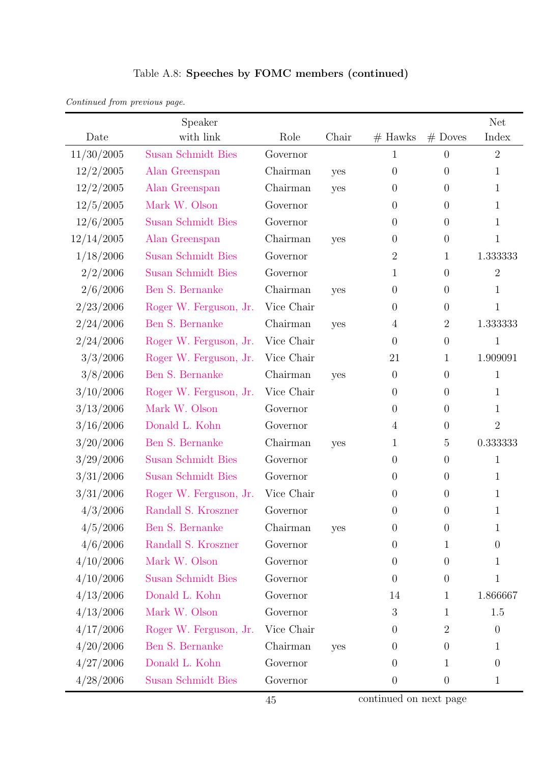| Continued from previous page. |  |  |
|-------------------------------|--|--|
|                               |  |  |

|            | Speaker                   |            |       |                  |                  | Net            |
|------------|---------------------------|------------|-------|------------------|------------------|----------------|
| Date       | with link                 | Role       | Chair | $#$ Hawks        | $#$ Doves        | Index          |
| 11/30/2005 | <b>Susan Schmidt Bies</b> | Governor   |       | 1                | $\theta$         | $\overline{2}$ |
| 12/2/2005  | Alan Greenspan            | Chairman   | yes   | $\theta$         | $\theta$         | $\mathbf{1}$   |
| 12/2/2005  | Alan Greenspan            | Chairman   | yes   | $\boldsymbol{0}$ | $\theta$         | 1              |
| 12/5/2005  | Mark W. Olson             | Governor   |       | $\boldsymbol{0}$ | $\theta$         | $\mathbf{1}$   |
| 12/6/2005  | <b>Susan Schmidt Bies</b> | Governor   |       | $\boldsymbol{0}$ | $\theta$         | 1              |
| 12/14/2005 | Alan Greenspan            | Chairman   | yes   | $\boldsymbol{0}$ | $\theta$         | $\mathbf{1}$   |
| 1/18/2006  | <b>Susan Schmidt Bies</b> | Governor   |       | $\sqrt{2}$       | $\mathbf{1}$     | 1.333333       |
| 2/2/2006   | <b>Susan Schmidt Bies</b> | Governor   |       | 1                | $\overline{0}$   | $\overline{2}$ |
| 2/6/2006   | Ben S. Bernanke           | Chairman   | yes   | $\theta$         | $\theta$         | $\mathbf{1}$   |
| 2/23/2006  | Roger W. Ferguson, Jr.    | Vice Chair |       | $\boldsymbol{0}$ | $\overline{0}$   | 1              |
| 2/24/2006  | Ben S. Bernanke           | Chairman   | yes   | $\overline{4}$   | $\overline{2}$   | 1.333333       |
| 2/24/2006  | Roger W. Ferguson, Jr.    | Vice Chair |       | $\overline{0}$   | $\theta$         | $\mathbf{1}$   |
| 3/3/2006   | Roger W. Ferguson, Jr.    | Vice Chair |       | 21               | $\mathbf{1}$     | 1.909091       |
| 3/8/2006   | Ben S. Bernanke           | Chairman   | yes   | $\boldsymbol{0}$ | $\boldsymbol{0}$ | $\mathbf{1}$   |
| 3/10/2006  | Roger W. Ferguson, Jr.    | Vice Chair |       | $\overline{0}$   | $\theta$         | 1              |
| 3/13/2006  | Mark W. Olson             | Governor   |       | $\overline{0}$   | $\theta$         | $\mathbf{1}$   |
| 3/16/2006  | Donald L. Kohn            | Governor   |       | $\overline{4}$   | $\overline{0}$   | $\overline{2}$ |
| 3/20/2006  | Ben S. Bernanke           | Chairman   | yes   | 1                | $\overline{5}$   | 0.333333       |
| 3/29/2006  | <b>Susan Schmidt Bies</b> | Governor   |       | $\theta$         | $\theta$         | $\mathbf 1$    |
| 3/31/2006  | <b>Susan Schmidt Bies</b> | Governor   |       | $\theta$         | $\theta$         | $\mathbf{1}$   |
| 3/31/2006  | Roger W. Ferguson, Jr.    | Vice Chair |       | $\boldsymbol{0}$ | $\theta$         | $\mathbf{1}$   |
| 4/3/2006   | Randall S. Kroszner       | Governor   |       | $\overline{0}$   | $\theta$         | $\mathbf 1$    |
| 4/5/2006   | Ben S. Bernanke           | Chairman   | yes   | $\boldsymbol{0}$ | $\theta$         | $\mathbf 1$    |
| 4/6/2006   | Randall S. Kroszner       | Governor   |       | 0                | $\mathbf 1$      | $\theta$       |
| 4/10/2006  | Mark W. Olson             | Governor   |       | $\boldsymbol{0}$ | $\theta$         | 1              |
| 4/10/2006  | <b>Susan Schmidt Bies</b> | Governor   |       | $\theta$         | $\theta$         | $\mathbf{1}$   |
| 4/13/2006  | Donald L. Kohn            | Governor   |       | 14               | 1                | 1.866667       |
| 4/13/2006  | Mark W. Olson             | Governor   |       | 3                | 1                | 1.5            |
| 4/17/2006  | Roger W. Ferguson, Jr.    | Vice Chair |       | $\boldsymbol{0}$ | 2                | $\overline{0}$ |
| 4/20/2006  | Ben S. Bernanke           | Chairman   | yes   | $\boldsymbol{0}$ | $\theta$         | $\mathbf{1}$   |
| 4/27/2006  | Donald L. Kohn            | Governor   |       | $\overline{0}$   | 1                | $\theta$       |
| 4/28/2006  | Susan Schmidt Bies        | Governor   |       | $\boldsymbol{0}$ | $\theta$         | $\mathbf{1}$   |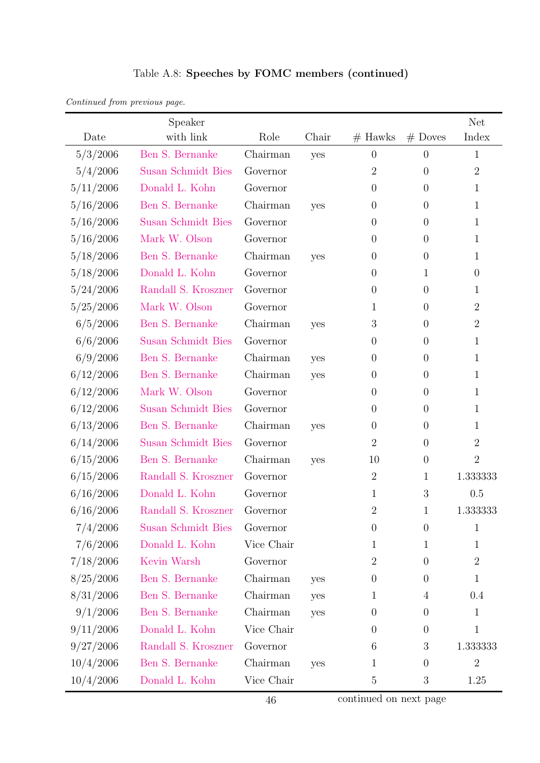|  | Table A.8: Speeches by FOMC members (continued) |  |
|--|-------------------------------------------------|--|
|--|-------------------------------------------------|--|

| Continued from previous page. |  |  |
|-------------------------------|--|--|
|-------------------------------|--|--|

|           | Speaker                   |            |       |                |                  | <b>Net</b>     |
|-----------|---------------------------|------------|-------|----------------|------------------|----------------|
| Date      | with link                 | Role       | Chair | $#$ Hawks      | $#$ Doves        | Index          |
| 5/3/2006  | Ben S. Bernanke           | Chairman   | yes   | $\theta$       | $\overline{0}$   | 1              |
| 5/4/2006  | <b>Susan Schmidt Bies</b> | Governor   |       | $\overline{2}$ | $\overline{0}$   | $2\,$          |
| 5/11/2006 | Donald L. Kohn            | Governor   |       | $\overline{0}$ | $\overline{0}$   | 1              |
| 5/16/2006 | Ben S. Bernanke           | Chairman   | yes   | $\theta$       | $\overline{0}$   | 1              |
| 5/16/2006 | Susan Schmidt Bies        | Governor   |       | $\theta$       | $\overline{0}$   | 1              |
| 5/16/2006 | Mark W. Olson             | Governor   |       | $\theta$       | $\overline{0}$   | 1              |
| 5/18/2006 | Ben S. Bernanke           | Chairman   | yes   | $\theta$       | $\overline{0}$   | 1              |
| 5/18/2006 | Donald L. Kohn            | Governor   |       | $\theta$       | 1                | $\theta$       |
| 5/24/2006 | Randall S. Kroszner       | Governor   |       | $\theta$       | $\overline{0}$   | 1              |
| 5/25/2006 | Mark W. Olson             | Governor   |       | 1              | $\theta$         | $\overline{2}$ |
| 6/5/2006  | Ben S. Bernanke           | Chairman   | yes   | 3              | $\overline{0}$   | $\overline{2}$ |
| 6/6/2006  | Susan Schmidt Bies        | Governor   |       | $\theta$       | $\overline{0}$   | 1              |
| 6/9/2006  | Ben S. Bernanke           | Chairman   | yes   | $\theta$       | $\overline{0}$   | 1              |
| 6/12/2006 | Ben S. Bernanke           | Chairman   | yes   | $\theta$       | $\overline{0}$   | 1              |
| 6/12/2006 | Mark W. Olson             | Governor   |       | $\theta$       | $\overline{0}$   | 1              |
| 6/12/2006 | <b>Susan Schmidt Bies</b> | Governor   |       | $\theta$       | $\overline{0}$   | 1              |
| 6/13/2006 | Ben S. Bernanke           | Chairman   | yes   | $\theta$       | $\overline{0}$   | 1              |
| 6/14/2006 | Susan Schmidt Bies        | Governor   |       | $\overline{2}$ | $\overline{0}$   | $\overline{2}$ |
| 6/15/2006 | Ben S. Bernanke           | Chairman   | yes   | 10             | $\boldsymbol{0}$ | $\overline{2}$ |
| 6/15/2006 | Randall S. Kroszner       | Governor   |       | $\overline{2}$ | $\mathbf 1$      | 1.333333       |
| 6/16/2006 | Donald L. Kohn            | Governor   |       | $\mathbf{1}$   | 3                | 0.5            |
| 6/16/2006 | Randall S. Kroszner       | Governor   |       | $\overline{2}$ | 1                | 1.333333       |
| 7/4/2006  | Susan Schmidt Bies        | Governor   |       | $\theta$       | $\overline{0}$   | 1              |
| 7/6/2006  | Donald L. Kohn            | Vice Chair |       | $\mathbf{1}$   | 1                | 1              |
| 7/18/2006 | Kevin Warsh               | Governor   |       | $\overline{2}$ | $\theta$         | $\overline{2}$ |
| 8/25/2006 | Ben S. Bernanke           | Chairman   | yes   | $\theta$       | $\theta$         | 1              |
| 8/31/2006 | Ben S. Bernanke           | Chairman   | yes   | $\mathbf{1}$   | 4                | 0.4            |
| 9/1/2006  | Ben S. Bernanke           | Chairman   | yes   | $\theta$       | $\overline{0}$   | 1              |
| 9/11/2006 | Donald L. Kohn            | Vice Chair |       | $\overline{0}$ | $\overline{0}$   | 1              |
| 9/27/2006 | Randall S. Kroszner       | Governor   |       | 6              | 3                | 1.333333       |
| 10/4/2006 | Ben S. Bernanke           | Chairman   | yes   | $\mathbf{1}$   | $\theta$         | $2\,$          |
| 10/4/2006 | Donald L. Kohn            | Vice Chair |       | 5              | $\sqrt{3}$       | 1.25           |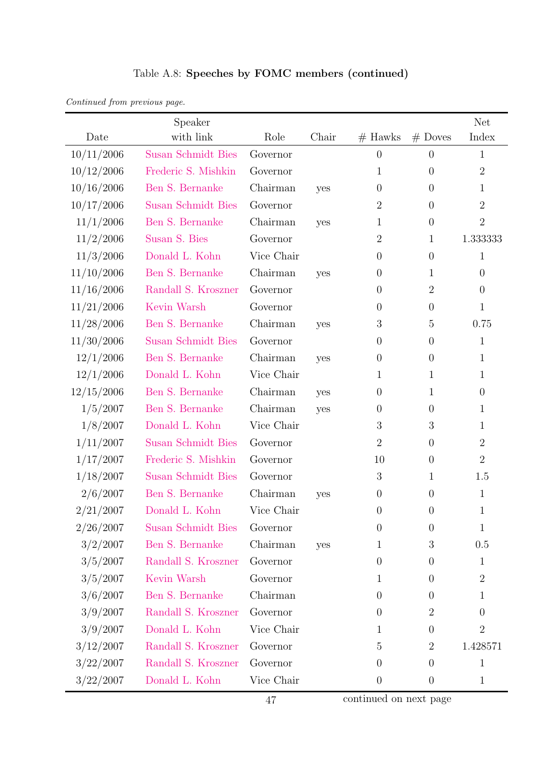| Continued from previous page. |  |  |
|-------------------------------|--|--|
|                               |  |  |

|            | Speaker                   |            |       |                  |                  | <b>Net</b>       |
|------------|---------------------------|------------|-------|------------------|------------------|------------------|
| Date       | with link                 | Role       | Chair | $#$ Hawks        | $#$ Doves        | Index            |
| 10/11/2006 | <b>Susan Schmidt Bies</b> | Governor   |       | $\boldsymbol{0}$ | $\overline{0}$   | $\mathbf{1}$     |
| 10/12/2006 | Frederic S. Mishkin       | Governor   |       | 1                | $\theta$         | $\overline{2}$   |
| 10/16/2006 | Ben S. Bernanke           | Chairman   | yes   | $\overline{0}$   | $\theta$         | 1                |
| 10/17/2006 | <b>Susan Schmidt Bies</b> | Governor   |       | $\overline{2}$   | $\theta$         | $\overline{2}$   |
| 11/1/2006  | Ben S. Bernanke           | Chairman   | yes   | $\mathbf{1}$     | $\theta$         | $\overline{2}$   |
| 11/2/2006  | Susan S. Bies             | Governor   |       | $\overline{2}$   | $\mathbf{1}$     | 1.333333         |
| 11/3/2006  | Donald L. Kohn            | Vice Chair |       | $\overline{0}$   | $\theta$         | $\mathbf{1}$     |
| 11/10/2006 | Ben S. Bernanke           | Chairman   | yes   | $\boldsymbol{0}$ | $\mathbf{1}$     | $\theta$         |
| 11/16/2006 | Randall S. Kroszner       | Governor   |       | $\boldsymbol{0}$ | $\mathbf{2}$     | $\theta$         |
| 11/21/2006 | Kevin Warsh               | Governor   |       | $\overline{0}$   | $\theta$         | $\mathbf 1$      |
| 11/28/2006 | Ben S. Bernanke           | Chairman   | yes   | $\mathfrak{Z}$   | $\overline{5}$   | 0.75             |
| 11/30/2006 | <b>Susan Schmidt Bies</b> | Governor   |       | $\boldsymbol{0}$ | $\theta$         | $\mathbf{1}$     |
| 12/1/2006  | Ben S. Bernanke           | Chairman   | yes   | $\boldsymbol{0}$ | $\theta$         | $\mathbf 1$      |
| 12/1/2006  | Donald L. Kohn            | Vice Chair |       | 1                | $\mathbf{1}$     | $\mathbf 1$      |
| 12/15/2006 | Ben S. Bernanke           | Chairman   | yes   | $\boldsymbol{0}$ | 1                | $\theta$         |
| 1/5/2007   | Ben S. Bernanke           | Chairman   | yes   | $\boldsymbol{0}$ | $\theta$         | $\mathbf 1$      |
| 1/8/2007   | Donald L. Kohn            | Vice Chair |       | 3                | $\boldsymbol{3}$ | 1                |
| 1/11/2007  | <b>Susan Schmidt Bies</b> | Governor   |       | $\overline{2}$   | $\theta$         | $\boldsymbol{2}$ |
| 1/17/2007  | Frederic S. Mishkin       | Governor   |       | 10               | $\theta$         | $\overline{2}$   |
| 1/18/2007  | <b>Susan Schmidt Bies</b> | Governor   |       | 3                | $\mathbf{1}$     | 1.5              |
| 2/6/2007   | Ben S. Bernanke           | Chairman   | yes   | $\boldsymbol{0}$ | $\theta$         | $\mathbf{1}$     |
| 2/21/2007  | Donald L. Kohn            | Vice Chair |       | $\overline{0}$   | $\theta$         | $\mathbf{1}$     |
| 2/26/2007  | Susan Schmidt Bies        | Governor   |       | 0                | $\theta$         | 1                |
| 3/2/2007   | Ben S. Bernanke           | Chairman   | yes   | 1                | 3                | 0.5              |
| 3/5/2007   | Randall S. Kroszner       | Governor   |       | $\boldsymbol{0}$ | $\theta$         | $\mathbf 1$      |
| 3/5/2007   | Kevin Warsh               | Governor   |       | 1                | $\theta$         | $\overline{2}$   |
| 3/6/2007   | Ben S. Bernanke           | Chairman   |       | $\overline{0}$   | $\theta$         | 1                |
| 3/9/2007   | Randall S. Kroszner       | Governor   |       | $\boldsymbol{0}$ | $\sqrt{2}$       | $\overline{0}$   |
| 3/9/2007   | Donald L. Kohn            | Vice Chair |       | 1                | $\theta$         | $\overline{2}$   |
| 3/12/2007  | Randall S. Kroszner       | Governor   |       | 5                | $\boldsymbol{2}$ | 1.428571         |
| 3/22/2007  | Randall S. Kroszner       | Governor   |       | $\overline{0}$   | $\theta$         | $\mathbf 1$      |
| 3/22/2007  | Donald L. Kohn            | Vice Chair |       | $\overline{0}$   | $\boldsymbol{0}$ | $\mathbf{1}$     |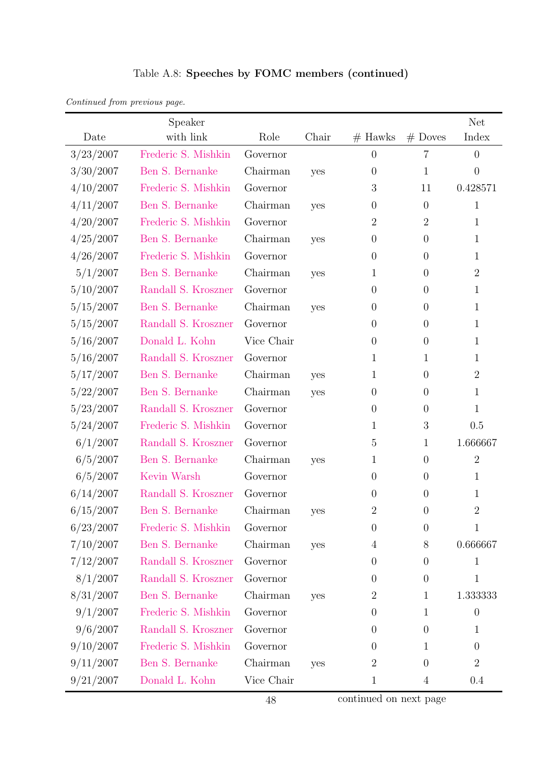|  | Table A.8: Speeches by FOMC members (continued) |  |
|--|-------------------------------------------------|--|
|--|-------------------------------------------------|--|

| Continued from previous page. |  |  |
|-------------------------------|--|--|
|                               |  |  |

|           | Speaker             |            |       |                |                | <b>Net</b>       |
|-----------|---------------------|------------|-------|----------------|----------------|------------------|
| Date      | with link           | Role       | Chair | $#$ Hawks      | $#$ Doves      | Index            |
| 3/23/2007 | Frederic S. Mishkin | Governor   |       | $\overline{0}$ | $\overline{7}$ | $\overline{0}$   |
| 3/30/2007 | Ben S. Bernanke     | Chairman   | yes   | $\theta$       | $\mathbf{1}$   | $\overline{0}$   |
| 4/10/2007 | Frederic S. Mishkin | Governor   |       | 3              | 11             | 0.428571         |
| 4/11/2007 | Ben S. Bernanke     | Chairman   | yes   | $\theta$       | $\overline{0}$ | $\mathbf{1}$     |
| 4/20/2007 | Frederic S. Mishkin | Governor   |       | $\overline{2}$ | $\overline{2}$ | $\mathbf{1}$     |
| 4/25/2007 | Ben S. Bernanke     | Chairman   | yes   | $\theta$       | $\theta$       | 1                |
| 4/26/2007 | Frederic S. Mishkin | Governor   |       | $\theta$       | $\theta$       | $\mathbf{1}$     |
| 5/1/2007  | Ben S. Bernanke     | Chairman   | yes   | 1              | $\overline{0}$ | $\overline{2}$   |
| 5/10/2007 | Randall S. Kroszner | Governor   |       | $\theta$       | $\theta$       | $\mathbf{1}$     |
| 5/15/2007 | Ben S. Bernanke     | Chairman   | yes   | $\theta$       | $\overline{0}$ | 1                |
| 5/15/2007 | Randall S. Kroszner | Governor   |       | $\theta$       | $\overline{0}$ | $\mathbf{1}$     |
| 5/16/2007 | Donald L. Kohn      | Vice Chair |       | $\theta$       | $\overline{0}$ | 1                |
| 5/16/2007 | Randall S. Kroszner | Governor   |       | 1              | $\mathbf{1}$   | 1                |
| 5/17/2007 | Ben S. Bernanke     | Chairman   | yes   | 1              | $\theta$       | $\overline{2}$   |
| 5/22/2007 | Ben S. Bernanke     | Chairman   | yes   | $\theta$       | $\theta$       | 1                |
| 5/23/2007 | Randall S. Kroszner | Governor   |       | $\theta$       | $\overline{0}$ | $\mathbf{1}$     |
| 5/24/2007 | Frederic S. Mishkin | Governor   |       | 1              | 3              | 0.5              |
| 6/1/2007  | Randall S. Kroszner | Governor   |       | 5              | $\mathbf{1}$   | 1.666667         |
| 6/5/2007  | Ben S. Bernanke     | Chairman   | yes   | $\mathbf{1}$   | $\theta$       | $\overline{2}$   |
| 6/5/2007  | Kevin Warsh         | Governor   |       | $\theta$       | $\theta$       | $\mathbf{1}$     |
| 6/14/2007 | Randall S. Kroszner | Governor   |       | $\theta$       | $\theta$       | 1                |
| 6/15/2007 | Ben S. Bernanke     | Chairman   | yes   | $\overline{2}$ | $\overline{0}$ | $\overline{2}$   |
| 6/23/2007 | Frederic S. Mishkin | Governor   |       | $\overline{0}$ | $\theta$       | 1                |
| 7/10/2007 | Ben S. Bernanke     | Chairman   | yes   | 4              | 8              | 0.666667         |
| 7/12/2007 | Randall S. Kroszner | Governor   |       | $\theta$       | $\overline{0}$ | $\mathbf 1$      |
| 8/1/2007  | Randall S. Kroszner | Governor   |       | $\theta$       | $\overline{0}$ | $\mathbf{1}$     |
| 8/31/2007 | Ben S. Bernanke     | Chairman   | yes   | $\overline{2}$ | $\mathbf{1}$   | 1.333333         |
| 9/1/2007  | Frederic S. Mishkin | Governor   |       | $\theta$       | $\mathbf{1}$   | $\boldsymbol{0}$ |
| 9/6/2007  | Randall S. Kroszner | Governor   |       | $\theta$       | $\overline{0}$ | $\mathbf 1$      |
| 9/10/2007 | Frederic S. Mishkin | Governor   |       | $\overline{0}$ | $\mathbf{1}$   | $\theta$         |
| 9/11/2007 | Ben S. Bernanke     | Chairman   | yes   | $\overline{2}$ | $\theta$       | $\overline{2}$   |
| 9/21/2007 | Donald L. Kohn      | Vice Chair |       | $\mathbf{1}$   | 4              | 0.4              |